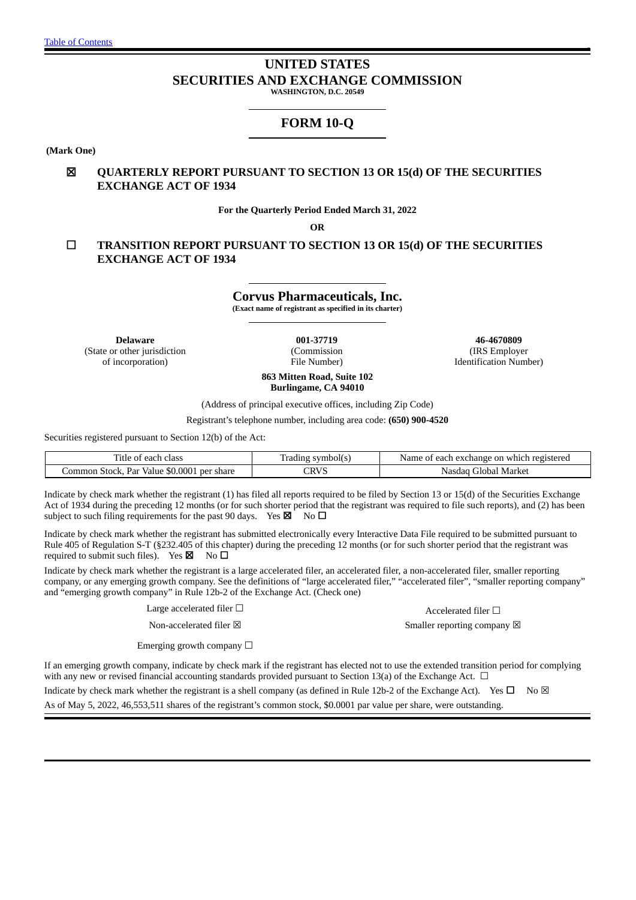### Table of [Contents](#page-1-0)

# **UNITED STATES**

# **SECURITIES AND EXCHANGE COMMISSION**

**WASHINGTON, D.C. 20549**

# **FORM 10-Q**

**(Mark One)**

# ☒ **QUARTERLY REPORT PURSUANT TO SECTION 13 OR 15(d) OF THE SECURITIES EXCHANGE ACT OF 1934**

**For the Quarterly Period Ended March 31, 2022**

**OR**

# ☐ **TRANSITION REPORT PURSUANT TO SECTION 13 OR 15(d) OF THE SECURITIES EXCHANGE ACT OF 1934**

**Corvus Pharmaceuticals, Inc.**

**(Exact name of registrant as specified in its charter)**

(State or other jurisdiction of incorporation)

(Commission File Number)

**863 Mitten Road, Suite 102 Burlingame, CA 94010**

**Delaware 001-37719 46-4670809** (IRS Employer Identification Number) **-**

(Address of principal executive offices, including Zip Code)

Registrant's telephone number, including area code: **(650) 900-4520**

Securities registered pursuant to Section 12(b) of the Act:

| Fitle of each class                        | Trading symbol(s) | Name of each exchange on which registered |
|--------------------------------------------|-------------------|-------------------------------------------|
| Common Stock, Par Value \$0.0001 per share | CRVS              | Market<br>Nasdag Global                   |

Indicate by check mark whether the registrant (1) has filed all reports required to be filed by Section 13 or 15(d) of the Securities Exchange Act of 1934 during the preceding 12 months (or for such shorter period that the registrant was required to file such reports), and (2) has been subject to such filing requirements for the past 90 days. Yes  $\boxtimes^-$  No  $\Box$ 

Indicate by check mark whether the registrant has submitted electronically every Interactive Data File required to be submitted pursuant to Rule 405 of Regulation S-T (§232.405 of this chapter) during the preceding 12 months (or for such shorter period that the registrant was required to submit such files). Yes  $\boxtimes$  No  $\Box$ 

Indicate by check mark whether the registrant is a large accelerated filer, an accelerated filer, a non-accelerated filer, smaller reporting company, or any emerging growth company. See the definitions of "large accelerated filer," "accelerated filer", "smaller reporting company" and "emerging growth company" in Rule 12b-2 of the Exchange Act. (Check one)

Large accelerated filer □<br>
Accelerated filer □ Non-accelerated filer  $\boxtimes$  Smaller reporting company  $\boxtimes$ 

Emerging growth company  $\Box$ 

If an emerging growth company, indicate by check mark if the registrant has elected not to use the extended transition period for complying with any new or revised financial accounting standards provided pursuant to Section 13(a) of the Exchange Act.  $\Box$ Indicate by check mark whether the registrant is a shell company (as defined in Rule 12b-2 of the Exchange Act). Yes  $\square$  No  $\boxtimes$ 

As of May 5, 2022, 46,553,511 shares of the registrant's common stock, \$0.0001 par value per share, were outstanding.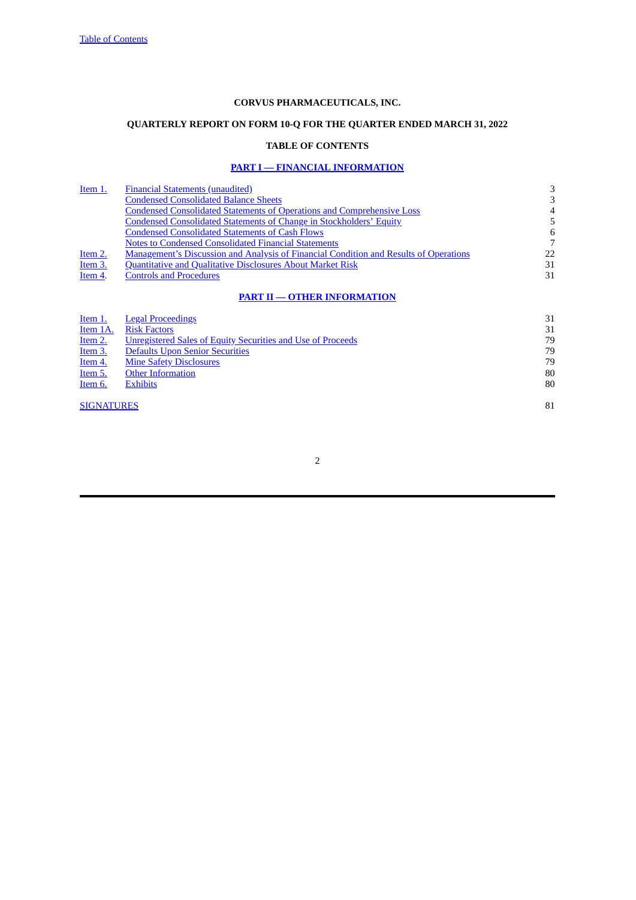# **CORVUS PHARMACEUTICALS, INC.**

# **QUARTERLY REPORT ON FORM 10-Q FOR THE QUARTER ENDED MARCH 31, 2022**

# **TABLE OF CONTENTS**

# **PART I — FINANCIAL [INFORMATION](#page-2-0)**

<span id="page-1-0"></span>

| Item 1  | <b>Financial Statements (unaudited)</b>                                                      | 3              |
|---------|----------------------------------------------------------------------------------------------|----------------|
|         | <b>Condensed Consolidated Balance Sheets</b>                                                 | 3              |
|         | <b>Condensed Consolidated Statements of Operations and Comprehensive Loss</b>                | $\overline{4}$ |
|         | <b>Condensed Consolidated Statements of Change in Stockholders' Equity</b>                   | 5.             |
|         | <b>Condensed Consolidated Statements of Cash Flows</b>                                       | 6              |
|         | <b>Notes to Condensed Consolidated Financial Statements</b>                                  | 7              |
| Item 2. | <b>Management's Discussion and Analysis of Financial Condition and Results of Operations</b> | 22             |
| Item 3. | <b>Quantitative and Qualitative Disclosures About Market Risk</b>                            | 31             |
| Item 4. | <b>Controls and Procedures</b>                                                               | 31             |
|         |                                                                                              |                |

# **PART II — OTHER [INFORMATION](#page-30-2)**

| <u>Item 1.</u>    | <b>Legal Proceedings</b>                                    | 31 |
|-------------------|-------------------------------------------------------------|----|
| <u>Item 1A.</u>   | <b>Risk Factors</b>                                         | 31 |
| <u>Item 2.</u>    | Unregistered Sales of Equity Securities and Use of Proceeds | 79 |
| Item 3.           | <b>Defaults Upon Senior Securities</b>                      | 79 |
| <u>Item 4.</u>    | <b>Mine Safety Disclosures</b>                              | 79 |
| Item 5.           | <b>Other Information</b>                                    | 80 |
| Item 6.           | <b>Exhibits</b>                                             | 80 |
| <b>SIGNATURES</b> |                                                             | 81 |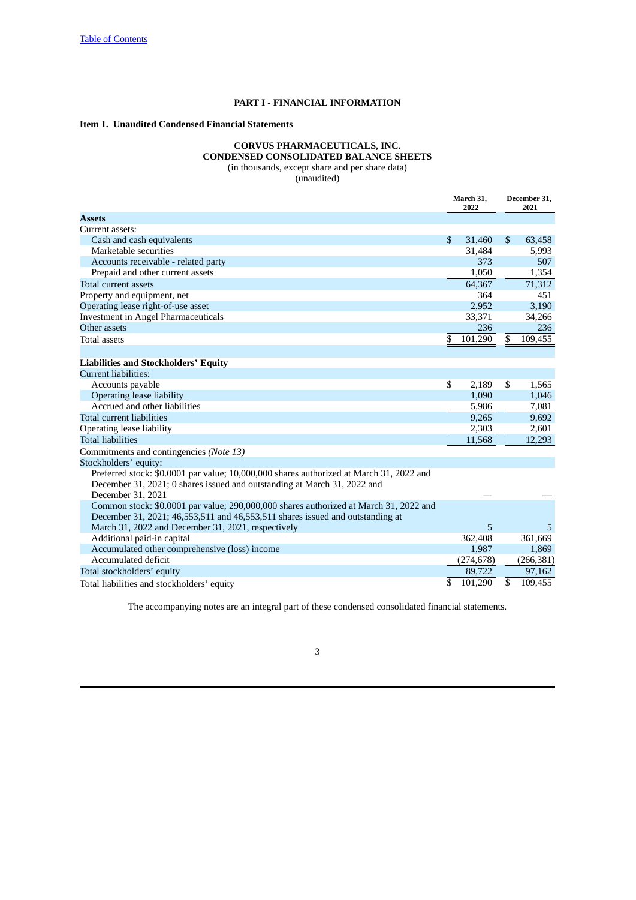# **PART I - FINANCIAL INFORMATION**

# <span id="page-2-2"></span><span id="page-2-1"></span><span id="page-2-0"></span>**Item 1. Unaudited Condensed Financial Statements**

# **CORVUS PHARMACEUTICALS, INC. CONDENSED CONSOLIDATED BALANCE SHEETS**

(in thousands, except share and per share data)

(unaudited)

|                                                                                         |              | March 31,<br>2022 |                | December 31,<br>2021 |
|-----------------------------------------------------------------------------------------|--------------|-------------------|----------------|----------------------|
| <b>Assets</b>                                                                           |              |                   |                |                      |
| Current assets:                                                                         |              |                   |                |                      |
| Cash and cash equivalents                                                               | $\mathbf{s}$ | 31,460            | $\mathfrak{F}$ | 63,458               |
| Marketable securities                                                                   |              | 31,484            |                | 5,993                |
| Accounts receivable - related party                                                     |              | 373               |                | 507                  |
| Prepaid and other current assets                                                        |              | 1,050             |                | 1,354                |
| <b>Total current assets</b>                                                             |              | 64,367            |                | 71,312               |
| Property and equipment, net                                                             |              | 364               |                | 451                  |
| Operating lease right-of-use asset                                                      |              | 2,952             |                | 3,190                |
| <b>Investment in Angel Pharmaceuticals</b>                                              |              | 33,371            |                | 34,266               |
| Other assets                                                                            |              | 236               |                | 236                  |
| <b>Total assets</b>                                                                     | \$           | 101,290           | \$             | 109,455              |
|                                                                                         |              |                   |                |                      |
| <b>Liabilities and Stockholders' Equity</b>                                             |              |                   |                |                      |
| Current liabilities:                                                                    |              |                   |                |                      |
| Accounts payable                                                                        | \$           | 2,189             | \$             | 1,565                |
| <b>Operating lease liability</b>                                                        |              | 1,090             |                | 1,046                |
| Accrued and other liabilities                                                           |              | 5,986             |                | 7,081                |
| <b>Total current liabilities</b>                                                        |              | 9,265             |                | 9,692                |
| Operating lease liability                                                               |              | 2,303             |                | 2,601                |
| <b>Total liabilities</b>                                                                |              | 11,568            |                | 12.293               |
| Commitments and contingencies (Note 13)                                                 |              |                   |                |                      |
| Stockholders' equity:                                                                   |              |                   |                |                      |
| Preferred stock: \$0.0001 par value; 10,000,000 shares authorized at March 31, 2022 and |              |                   |                |                      |
| December 31, 2021; 0 shares issued and outstanding at March 31, 2022 and                |              |                   |                |                      |
| December 31, 2021                                                                       |              |                   |                |                      |
| Common stock: \$0.0001 par value; 290,000,000 shares authorized at March 31, 2022 and   |              |                   |                |                      |
| December 31, 2021; 46,553,511 and 46,553,511 shares issued and outstanding at           |              |                   |                |                      |
| March 31, 2022 and December 31, 2021, respectively                                      |              | 5                 |                | 5.                   |
| Additional paid-in capital                                                              |              | 362,408           |                | 361,669              |
| Accumulated other comprehensive (loss) income                                           |              | 1,987             |                | 1,869                |
| Accumulated deficit                                                                     |              | (274, 678)        |                | (266, 381)           |
| Total stockholders' equity                                                              |              | 89,722            |                | 97,162               |
| Total liabilities and stockholders' equity                                              | \$           | 101,290           | \$             | 109.455              |

The accompanying notes are an integral part of these condensed consolidated financial statements.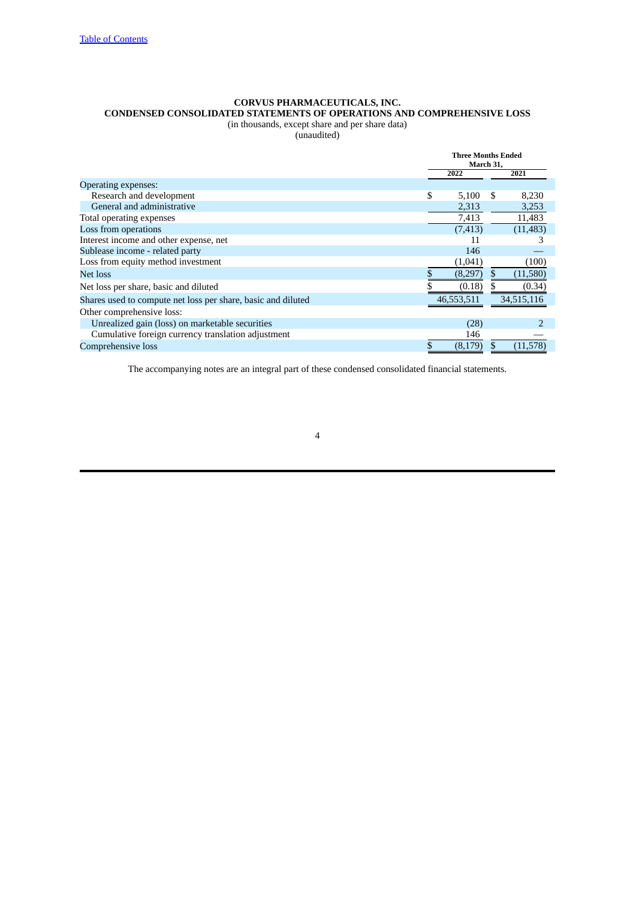### <span id="page-3-0"></span>**CORVUS PHARMACEUTICALS, INC. CONDENSED CONSOLIDATED STATEMENTS OF OPERATIONS AND COMPREHENSIVE LOSS**

(in thousands, except share and per share data)

(unaudited)

|                                                              | <b>Three Months Ended</b><br>March 31, |    |            |  |
|--------------------------------------------------------------|----------------------------------------|----|------------|--|
|                                                              | 2022                                   |    | 2021       |  |
| <b>Operating expenses:</b>                                   |                                        |    |            |  |
| Research and development                                     | \$<br>5,100                            | S  | 8,230      |  |
| General and administrative                                   | 2,313                                  |    | 3,253      |  |
| Total operating expenses                                     | 7,413                                  |    | 11,483     |  |
| Loss from operations                                         | (7, 413)                               |    | (11, 483)  |  |
| Interest income and other expense, net                       | 11                                     |    | З          |  |
| Sublease income - related party                              | 146                                    |    |            |  |
| Loss from equity method investment                           | (1,041)                                |    | (100)      |  |
| <b>Net loss</b>                                              | (8,297)                                | \$ | (11, 580)  |  |
| Net loss per share, basic and diluted                        | (0.18)                                 |    | (0.34)     |  |
| Shares used to compute net loss per share, basic and diluted | 46,553,511                             |    | 34,515,116 |  |
| Other comprehensive loss:                                    |                                        |    |            |  |
| Unrealized gain (loss) on marketable securities              | (28)                                   |    |            |  |
| Cumulative foreign currency translation adjustment           | 146                                    |    |            |  |
| Comprehensive loss                                           | (8, 179)                               | \$ | (11, 578)  |  |

The accompanying notes are an integral part of these condensed consolidated financial statements.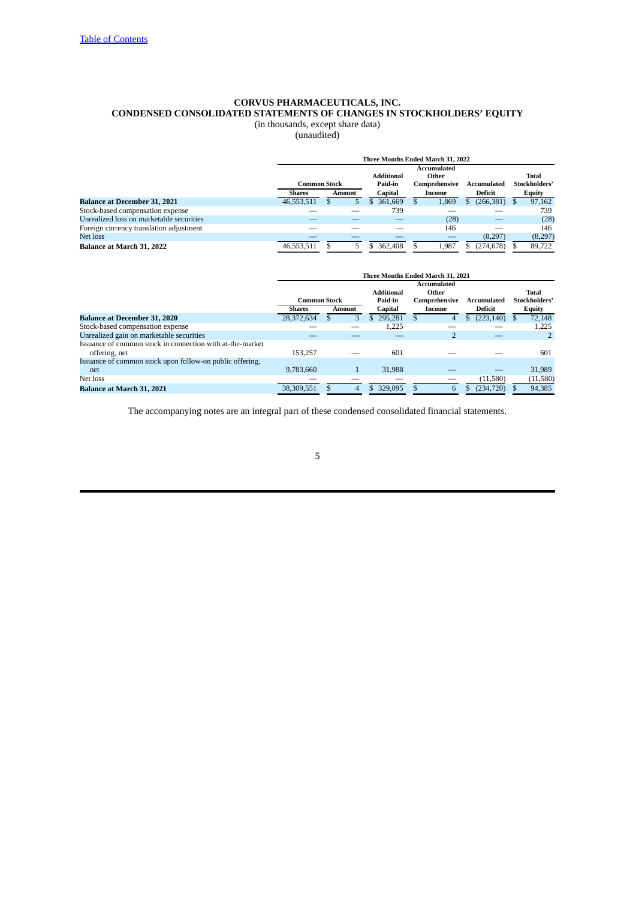# <span id="page-4-0"></span>**CORVUS PHARMACEUTICALS, INC. CONDENSED CONSOLIDATED STATEMENTS OF CHANGES IN STOCKHOLDERS' EQUITY**

(in thousands, except share data)

(unaudited)

|                                          | Three Months Ended March 31, 2022 |        |                              |                                       |             |                               |  |  |
|------------------------------------------|-----------------------------------|--------|------------------------------|---------------------------------------|-------------|-------------------------------|--|--|
|                                          | Common Stock                      |        | <b>Additional</b><br>Paid-in | Accumulated<br>Other<br>Comprehensive | Accumulated | <b>Total</b><br>Stockholders' |  |  |
|                                          | <b>Shares</b>                     | Amount | Capital                      | Income                                | Deficit     | <b>Equity</b>                 |  |  |
| <b>Balance at December 31, 2021</b>      | 46,553,511                        | 5      | 361,669                      | 1.869                                 | (266, 381)  | 97,162<br>S                   |  |  |
| Stock-based compensation expense         |                                   |        | 739                          |                                       |             | 739                           |  |  |
| Unrealized loss on marketable securities |                                   |        |                              | (28)                                  |             | (28)                          |  |  |
| Foreign currency translation adjustment  |                                   |        |                              | 146                                   |             | 146                           |  |  |
| Net loss                                 |                                   |        |                              |                                       | (8,297)     | (8,297)                       |  |  |
| <b>Balance at March 31, 2022</b>         | 46,553,511                        |        | 362,408                      | 1,987                                 | (274, 678)  | 89,722                        |  |  |

|                                                           | Three Months Ended March 31, 2021 |               |                              |                                       |                  |                        |  |  |
|-----------------------------------------------------------|-----------------------------------|---------------|------------------------------|---------------------------------------|------------------|------------------------|--|--|
|                                                           | <b>Common Stock</b>               |               | <b>Additional</b><br>Paid-in | Accumulated<br>Other<br>Comprehensive | Accumulated      | Total<br>Stockholders' |  |  |
|                                                           | <b>Shares</b>                     | <b>Amount</b> | Capital                      | Income                                | Deficit          | <b>Equity</b>          |  |  |
| <b>Balance at December 31, 2020</b>                       | 28,372,634                        |               | 295,281                      | 4                                     | (223, 140)<br>\$ | 72,148                 |  |  |
| Stock-based compensation expense                          |                                   |               | 1.225                        |                                       |                  | 1,225                  |  |  |
| Unrealized gain on marketable securities                  |                                   |               |                              |                                       |                  |                        |  |  |
| Issuance of common stock in connection with at-the-market |                                   |               |                              |                                       |                  |                        |  |  |
| offering, net                                             | 153,257                           |               | 601                          |                                       |                  | 601                    |  |  |
| Issuance of common stock upon follow-on public offering,  |                                   |               |                              |                                       |                  |                        |  |  |
| net                                                       | 9,783,660                         |               | 31,988                       |                                       |                  | 31,989                 |  |  |
| Net loss                                                  |                                   |               |                              |                                       | (11,580)         | (11, 580)              |  |  |
| <b>Balance at March 31, 2021</b>                          | 38,309,551                        |               | 329.095                      | h                                     | (234, 720)       | 94,385                 |  |  |

The accompanying notes are an integral part of these condensed consolidated financial statements.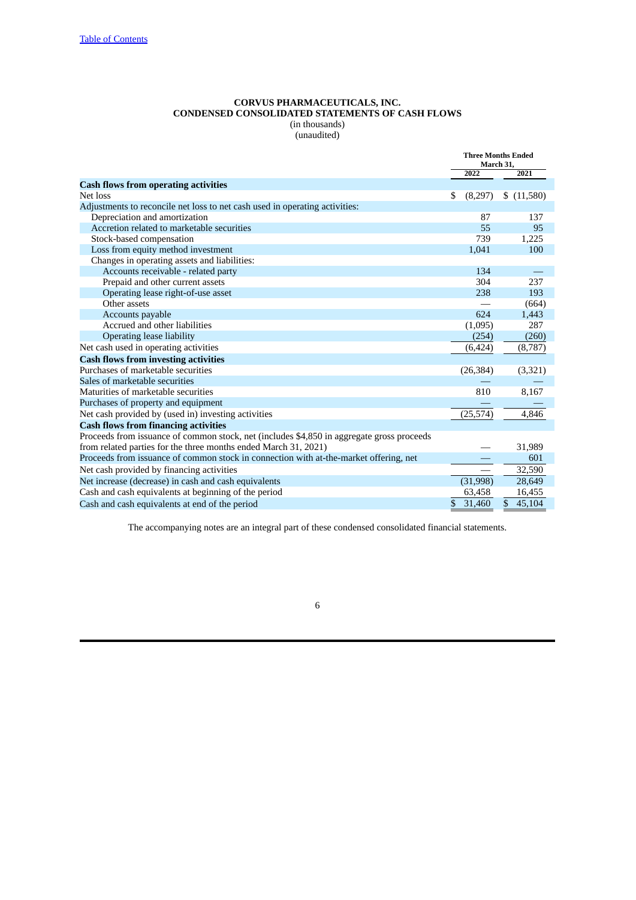### **CORVUS PHARMACEUTICALS, INC. CONDENSED CONSOLIDATED STATEMENTS OF CASH FLOWS** (in thousands) (unaudited)

<span id="page-5-0"></span>**Three Months Ended March 31, 2022 2021 Cash flows from operating activities** Net loss \$ (8,297) \ \$ (11,580) Adjustments to reconcile net loss to net cash used in operating activities: Depreciation and amortization and amortization and amortization and amortization and amortization and amortization and amortization and amortization and amortization and amortization and amortization and amortization and a Accretion related to marketable securities **1996 and 2012** 1996 and 2012 1997 and 2013 1997 and 2013 1998 and 201<br>Stock-based compensation Stock-based compensation 739 1,225<br>
Loss from equity method investment<br>
1.041 100 Loss from equity method investment Changes in operating assets and liabilities: Accounts receivable - related party 134  $\sim$  134  $\sim$  134  $\sim$  134  $\sim$  134  $\sim$  134  $\sim$  135  $\sim$  134  $\sim$  135  $\sim$  135  $\sim$  135  $\sim$  135  $\sim$  137  $\sim$  137  $\sim$  137  $\sim$  137  $\sim$  138  $\sim$  138  $\sim$  138  $\sim$  138  $\sim$  138  $\$ Prepaid and other current assets 304 237<br>
238 238 304 237 238 237 238 3193 Operating lease right-of-use asset 238 193 Other assets  $\qquad$  (664) Accounts payable 624 1,443 Accrued and other liabilities (1,095) 287<br>
Operating lease liability (254) (260) Operating lease liability (254) (260) Net cash used in operating activities  $(6,424)$   $(8,787)$ **Cash flows from investing activities** Purchases of marketable securities (26,384) (3,321) (3,321) Sales of marketable securities Maturities of marketable securities 810 8,167 Purchases of property and equipment Net cash provided by (used in) investing activities (25,574) 4,846 **Cash flows from financing activities** Proceeds from issuance of common stock, net (includes \$4,850 in aggregate gross proceeds from related parties for the three months ended March 31, 2021) — 31,989 Proceeds from issuance of common stock in connection with at-the-market offering, net  $-$  601 Net cash provided by financing activities example of the state of the state of the state of the state of the state of the state of the state of the state of the state of the state of the state of the state of the state of Net increase (decrease) in cash and cash equivalents (31,998) 28,649 Cash and cash equivalents at beginning of the period 63,458 16,455 Cash and cash equivalents at end of the period  $\frac{1}{2}$  \$ 31,460 \$ 45,104

The accompanying notes are an integral part of these condensed consolidated financial statements.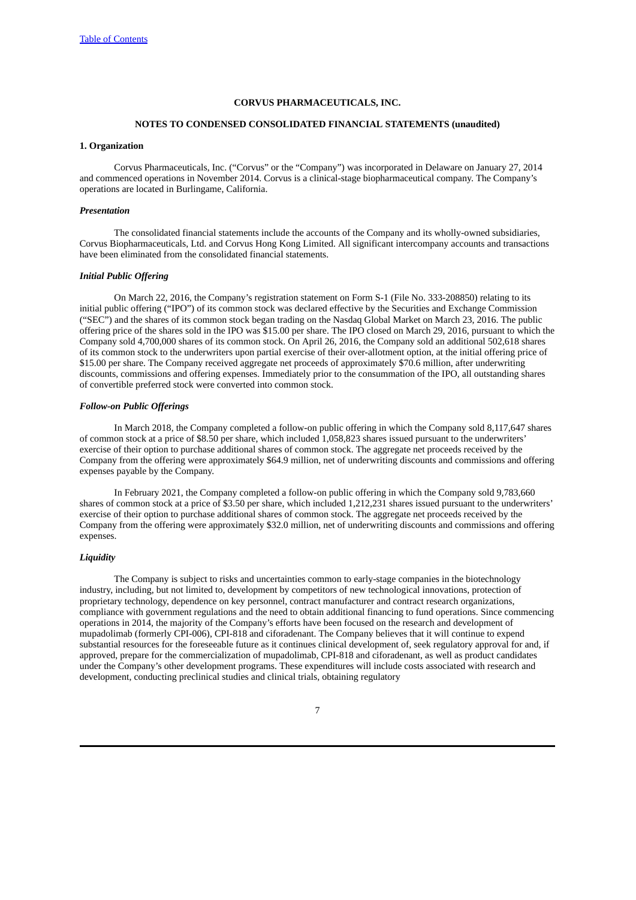#### **CORVUS PHARMACEUTICALS, INC.**

#### **NOTES TO CONDENSED CONSOLIDATED FINANCIAL STATEMENTS (unaudited)**

### <span id="page-6-0"></span>**1. Organization**

Corvus Pharmaceuticals, Inc. ("Corvus" or the "Company") was incorporated in Delaware on January 27, 2014 and commenced operations in November 2014. Corvus is a clinical-stage biopharmaceutical company. The Company's operations are located in Burlingame, California.

### *Presentation*

The consolidated financial statements include the accounts of the Company and its wholly-owned subsidiaries, Corvus Biopharmaceuticals, Ltd. and Corvus Hong Kong Limited. All significant intercompany accounts and transactions have been eliminated from the consolidated financial statements.

### *Initial Public Offering*

On March 22, 2016, the Company's registration statement on Form S-1 (File No. 333-208850) relating to its initial public offering ("IPO") of its common stock was declared effective by the Securities and Exchange Commission ("SEC") and the shares of its common stock began trading on the Nasdaq Global Market on March 23, 2016. The public offering price of the shares sold in the IPO was \$15.00 per share. The IPO closed on March 29, 2016, pursuant to which the Company sold 4,700,000 shares of its common stock. On April 26, 2016, the Company sold an additional 502,618 shares of its common stock to the underwriters upon partial exercise of their over-allotment option, at the initial offering price of \$15.00 per share. The Company received aggregate net proceeds of approximately \$70.6 million, after underwriting discounts, commissions and offering expenses. Immediately prior to the consummation of the IPO, all outstanding shares of convertible preferred stock were converted into common stock.

### *Follow-on Public Offerings*

In March 2018, the Company completed a follow-on public offering in which the Company sold 8,117,647 shares of common stock at a price of \$8.50 per share, which included 1,058,823 shares issued pursuant to the underwriters' exercise of their option to purchase additional shares of common stock. The aggregate net proceeds received by the Company from the offering were approximately \$64.9 million, net of underwriting discounts and commissions and offering expenses payable by the Company.

In February 2021, the Company completed a follow-on public offering in which the Company sold 9,783,660 shares of common stock at a price of \$3.50 per share, which included 1,212,231 shares issued pursuant to the underwriters' exercise of their option to purchase additional shares of common stock. The aggregate net proceeds received by the Company from the offering were approximately \$32.0 million, net of underwriting discounts and commissions and offering expenses.

### *Liquidity*

The Company is subject to risks and uncertainties common to early-stage companies in the biotechnology industry, including, but not limited to, development by competitors of new technological innovations, protection of proprietary technology, dependence on key personnel, contract manufacturer and contract research organizations, compliance with government regulations and the need to obtain additional financing to fund operations. Since commencing operations in 2014, the majority of the Company's efforts have been focused on the research and development of mupadolimab (formerly CPI-006), CPI-818 and ciforadenant. The Company believes that it will continue to expend substantial resources for the foreseeable future as it continues clinical development of, seek regulatory approval for and, if approved, prepare for the commercialization of mupadolimab, CPI-818 and ciforadenant, as well as product candidates under the Company's other development programs. These expenditures will include costs associated with research and development, conducting preclinical studies and clinical trials, obtaining regulatory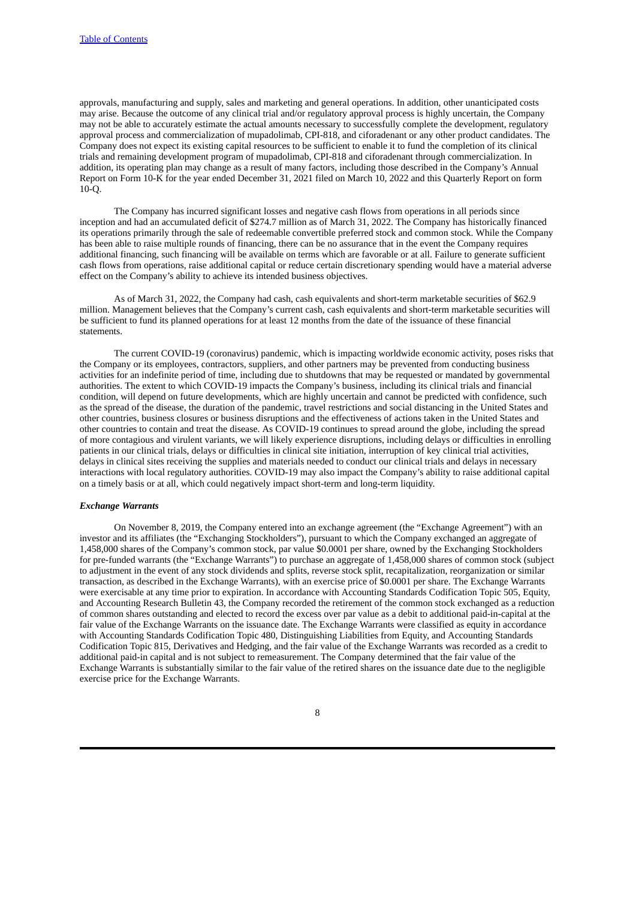approvals, manufacturing and supply, sales and marketing and general operations. In addition, other unanticipated costs may arise. Because the outcome of any clinical trial and/or regulatory approval process is highly uncertain, the Company may not be able to accurately estimate the actual amounts necessary to successfully complete the development, regulatory approval process and commercialization of mupadolimab, CPI-818, and ciforadenant or any other product candidates. The Company does not expect its existing capital resources to be sufficient to enable it to fund the completion of its clinical trials and remaining development program of mupadolimab, CPI-818 and ciforadenant through commercialization. In addition, its operating plan may change as a result of many factors, including those described in the Company's Annual Report on Form 10-K for the year ended December 31, 2021 filed on March 10, 2022 and this Quarterly Report on form 10-Q.

The Company has incurred significant losses and negative cash flows from operations in all periods since inception and had an accumulated deficit of \$274.7 million as of March 31, 2022. The Company has historically financed its operations primarily through the sale of redeemable convertible preferred stock and common stock. While the Company has been able to raise multiple rounds of financing, there can be no assurance that in the event the Company requires additional financing, such financing will be available on terms which are favorable or at all. Failure to generate sufficient cash flows from operations, raise additional capital or reduce certain discretionary spending would have a material adverse effect on the Company's ability to achieve its intended business objectives.

As of March 31, 2022, the Company had cash, cash equivalents and short-term marketable securities of \$62.9 million. Management believes that the Company's current cash, cash equivalents and short-term marketable securities will be sufficient to fund its planned operations for at least 12 months from the date of the issuance of these financial statements.

The current COVID-19 (coronavirus) pandemic, which is impacting worldwide economic activity, poses risks that the Company or its employees, contractors, suppliers, and other partners may be prevented from conducting business activities for an indefinite period of time, including due to shutdowns that may be requested or mandated by governmental authorities. The extent to which COVID-19 impacts the Company's business, including its clinical trials and financial condition, will depend on future developments, which are highly uncertain and cannot be predicted with confidence, such as the spread of the disease, the duration of the pandemic, travel restrictions and social distancing in the United States and other countries, business closures or business disruptions and the effectiveness of actions taken in the United States and other countries to contain and treat the disease. As COVID-19 continues to spread around the globe, including the spread of more contagious and virulent variants, we will likely experience disruptions, including delays or difficulties in enrolling patients in our clinical trials, delays or difficulties in clinical site initiation, interruption of key clinical trial activities, delays in clinical sites receiving the supplies and materials needed to conduct our clinical trials and delays in necessary interactions with local regulatory authorities. COVID-19 may also impact the Company's ability to raise additional capital on a timely basis or at all, which could negatively impact short-term and long-term liquidity.

#### *Exchange Warrants*

On November 8, 2019, the Company entered into an exchange agreement (the "Exchange Agreement") with an investor and its affiliates (the "Exchanging Stockholders"), pursuant to which the Company exchanged an aggregate of 1,458,000 shares of the Company's common stock, par value \$0.0001 per share, owned by the Exchanging Stockholders for pre-funded warrants (the "Exchange Warrants") to purchase an aggregate of 1,458,000 shares of common stock (subject to adjustment in the event of any stock dividends and splits, reverse stock split, recapitalization, reorganization or similar transaction, as described in the Exchange Warrants), with an exercise price of \$0.0001 per share. The Exchange Warrants were exercisable at any time prior to expiration. In accordance with Accounting Standards Codification Topic 505, Equity, and Accounting Research Bulletin 43, the Company recorded the retirement of the common stock exchanged as a reduction of common shares outstanding and elected to record the excess over par value as a debit to additional paid-in-capital at the fair value of the Exchange Warrants on the issuance date. The Exchange Warrants were classified as equity in accordance with Accounting Standards Codification Topic 480, Distinguishing Liabilities from Equity, and Accounting Standards Codification Topic 815, Derivatives and Hedging, and the fair value of the Exchange Warrants was recorded as a credit to additional paid-in capital and is not subject to remeasurement. The Company determined that the fair value of the Exchange Warrants is substantially similar to the fair value of the retired shares on the issuance date due to the negligible exercise price for the Exchange Warrants.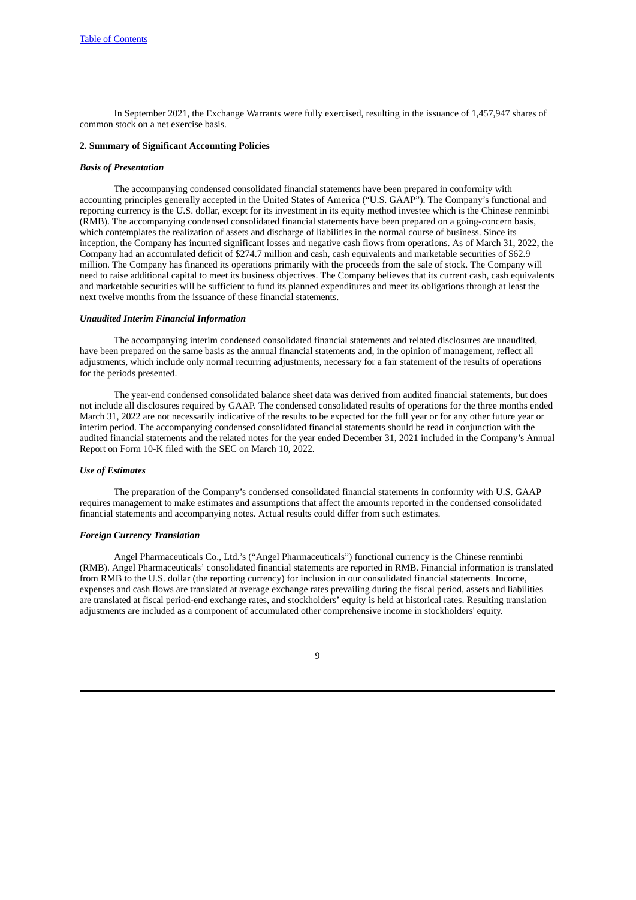In September 2021, the Exchange Warrants were fully exercised, resulting in the issuance of 1,457,947 shares of common stock on a net exercise basis.

### **2. Summary of Significant Accounting Policies**

#### *Basis of Presentation*

The accompanying condensed consolidated financial statements have been prepared in conformity with accounting principles generally accepted in the United States of America ("U.S. GAAP"). The Company's functional and reporting currency is the U.S. dollar, except for its investment in its equity method investee which is the Chinese renminbi (RMB). The accompanying condensed consolidated financial statements have been prepared on a going-concern basis, which contemplates the realization of assets and discharge of liabilities in the normal course of business. Since its inception, the Company has incurred significant losses and negative cash flows from operations. As of March 31, 2022, the Company had an accumulated deficit of \$274.7 million and cash, cash equivalents and marketable securities of \$62.9 million. The Company has financed its operations primarily with the proceeds from the sale of stock. The Company will need to raise additional capital to meet its business objectives. The Company believes that its current cash, cash equivalents and marketable securities will be sufficient to fund its planned expenditures and meet its obligations through at least the next twelve months from the issuance of these financial statements.

#### *Unaudited Interim Financial Information*

The accompanying interim condensed consolidated financial statements and related disclosures are unaudited, have been prepared on the same basis as the annual financial statements and, in the opinion of management, reflect all adjustments, which include only normal recurring adjustments, necessary for a fair statement of the results of operations for the periods presented.

The year-end condensed consolidated balance sheet data was derived from audited financial statements, but does not include all disclosures required by GAAP. The condensed consolidated results of operations for the three months ended March 31, 2022 are not necessarily indicative of the results to be expected for the full year or for any other future year or interim period. The accompanying condensed consolidated financial statements should be read in conjunction with the audited financial statements and the related notes for the year ended December 31, 2021 included in the Company's Annual Report on Form 10-K filed with the SEC on March 10, 2022.

#### *Use of Estimates*

The preparation of the Company's condensed consolidated financial statements in conformity with U.S. GAAP requires management to make estimates and assumptions that affect the amounts reported in the condensed consolidated financial statements and accompanying notes. Actual results could differ from such estimates.

### *Foreign Currency Translation*

Angel Pharmaceuticals Co., Ltd.'s ("Angel Pharmaceuticals") functional currency is the Chinese renminbi (RMB). Angel Pharmaceuticals' consolidated financial statements are reported in RMB. Financial information is translated from RMB to the U.S. dollar (the reporting currency) for inclusion in our consolidated financial statements. Income, expenses and cash flows are translated at average exchange rates prevailing during the fiscal period, assets and liabilities are translated at fiscal period-end exchange rates, and stockholders' equity is held at historical rates. Resulting translation adjustments are included as a component of accumulated other comprehensive income in stockholders' equity.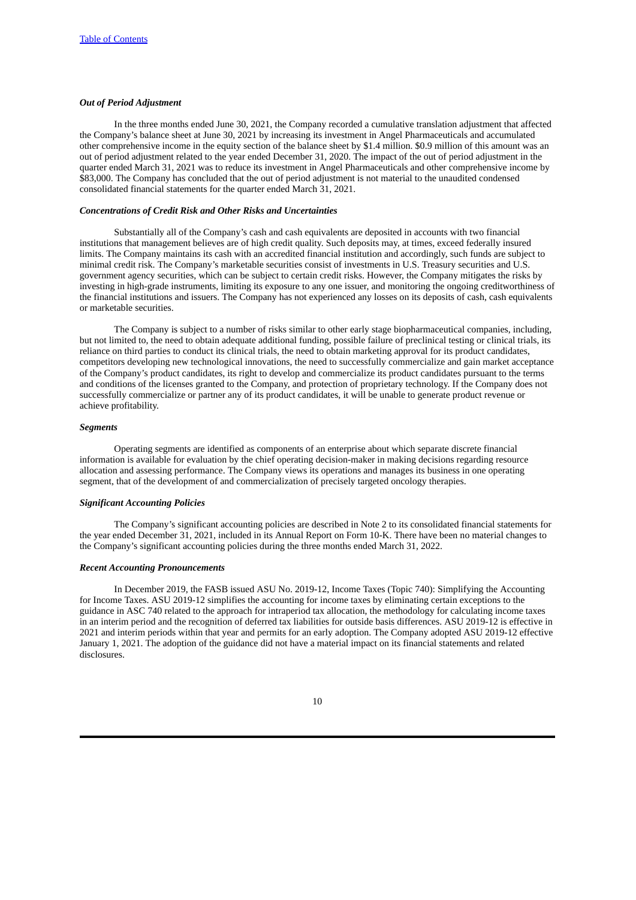### *Out of Period Adjustment*

In the three months ended June 30, 2021, the Company recorded a cumulative translation adjustment that affected the Company's balance sheet at June 30, 2021 by increasing its investment in Angel Pharmaceuticals and accumulated other comprehensive income in the equity section of the balance sheet by \$1.4 million. \$0.9 million of this amount was an out of period adjustment related to the year ended December 31, 2020. The impact of the out of period adjustment in the quarter ended March 31, 2021 was to reduce its investment in Angel Pharmaceuticals and other comprehensive income by \$83,000. The Company has concluded that the out of period adjustment is not material to the unaudited condensed consolidated financial statements for the quarter ended March 31, 2021.

### *Concentrations of Credit Risk and Other Risks and Uncertainties*

Substantially all of the Company's cash and cash equivalents are deposited in accounts with two financial institutions that management believes are of high credit quality. Such deposits may, at times, exceed federally insured limits. The Company maintains its cash with an accredited financial institution and accordingly, such funds are subject to minimal credit risk. The Company's marketable securities consist of investments in U.S. Treasury securities and U.S. government agency securities, which can be subject to certain credit risks. However, the Company mitigates the risks by investing in high-grade instruments, limiting its exposure to any one issuer, and monitoring the ongoing creditworthiness of the financial institutions and issuers. The Company has not experienced any losses on its deposits of cash, cash equivalents or marketable securities.

The Company is subject to a number of risks similar to other early stage biopharmaceutical companies, including, but not limited to, the need to obtain adequate additional funding, possible failure of preclinical testing or clinical trials, its reliance on third parties to conduct its clinical trials, the need to obtain marketing approval for its product candidates, competitors developing new technological innovations, the need to successfully commercialize and gain market acceptance of the Company's product candidates, its right to develop and commercialize its product candidates pursuant to the terms and conditions of the licenses granted to the Company, and protection of proprietary technology. If the Company does not successfully commercialize or partner any of its product candidates, it will be unable to generate product revenue or achieve profitability.

### *Segments*

Operating segments are identified as components of an enterprise about which separate discrete financial information is available for evaluation by the chief operating decision-maker in making decisions regarding resource allocation and assessing performance. The Company views its operations and manages its business in one operating segment, that of the development of and commercialization of precisely targeted oncology therapies.

#### *Significant Accounting Policies*

The Company's significant accounting policies are described in Note 2 to its consolidated financial statements for the year ended December 31, 2021, included in its Annual Report on Form 10-K. There have been no material changes to the Company's significant accounting policies during the three months ended March 31, 2022.

### *Recent Accounting Pronouncements*

In December 2019, the FASB issued ASU No. 2019-12, Income Taxes (Topic 740): Simplifying the Accounting for Income Taxes. ASU 2019-12 simplifies the accounting for income taxes by eliminating certain exceptions to the guidance in ASC 740 related to the approach for intraperiod tax allocation, the methodology for calculating income taxes in an interim period and the recognition of deferred tax liabilities for outside basis differences. ASU 2019-12 is effective in 2021 and interim periods within that year and permits for an early adoption. The Company adopted ASU 2019-12 effective January 1, 2021. The adoption of the guidance did not have a material impact on its financial statements and related disclosures.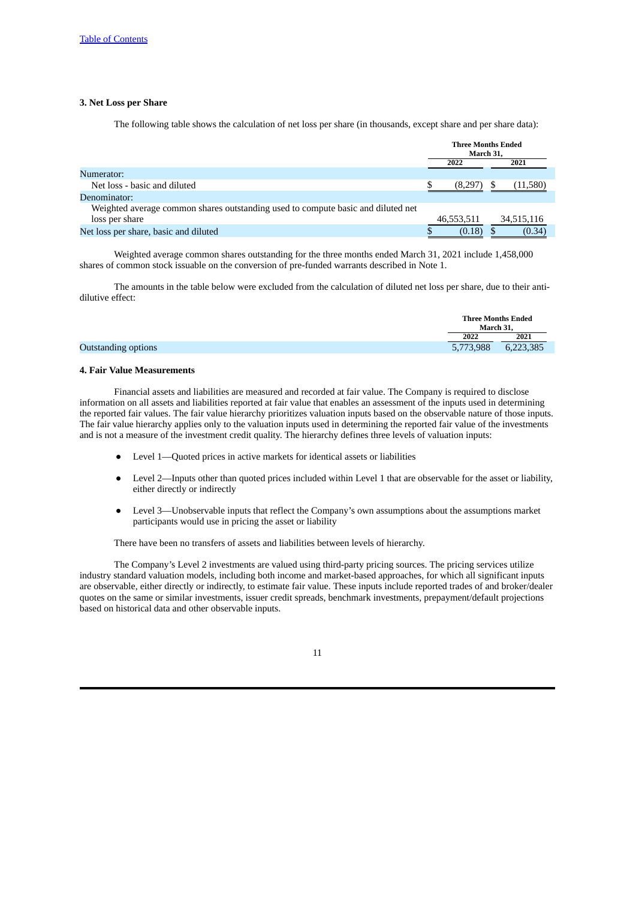## **3. Net Loss per Share**

The following table shows the calculation of net loss per share (in thousands, except share and per share data):

|                                                                                  | <b>Three Months Ended</b><br>March 31, |            |
|----------------------------------------------------------------------------------|----------------------------------------|------------|
|                                                                                  | 2022                                   | 2021       |
| Numerator:                                                                       |                                        |            |
| Net loss - basic and diluted                                                     | (8,297)                                | (11,580)   |
| Denominator:                                                                     |                                        |            |
| Weighted average common shares outstanding used to compute basic and diluted net |                                        |            |
| loss per share                                                                   | 46,553,511                             | 34,515,116 |
| Net loss per share, basic and diluted                                            | (0.18)                                 | (0.34)     |

Weighted average common shares outstanding for the three months ended March 31, 2021 include 1,458,000 shares of common stock issuable on the conversion of pre-funded warrants described in Note 1.

The amounts in the table below were excluded from the calculation of diluted net loss per share, due to their antidilutive effect:

|                     | <b>Three Months Ended</b><br>March 31, |           |
|---------------------|----------------------------------------|-----------|
|                     | 2022                                   | 2021      |
| Outstanding options | 5,773,988                              | 6,223,385 |
|                     |                                        |           |

# **4. Fair Value Measurements**

Financial assets and liabilities are measured and recorded at fair value. The Company is required to disclose information on all assets and liabilities reported at fair value that enables an assessment of the inputs used in determining the reported fair values. The fair value hierarchy prioritizes valuation inputs based on the observable nature of those inputs. The fair value hierarchy applies only to the valuation inputs used in determining the reported fair value of the investments and is not a measure of the investment credit quality. The hierarchy defines three levels of valuation inputs:

- Level 1—Quoted prices in active markets for identical assets or liabilities
- Level 2—Inputs other than quoted prices included within Level 1 that are observable for the asset or liability, either directly or indirectly
- Level 3—Unobservable inputs that reflect the Company's own assumptions about the assumptions market participants would use in pricing the asset or liability

There have been no transfers of assets and liabilities between levels of hierarchy.

The Company's Level 2 investments are valued using third-party pricing sources. The pricing services utilize industry standard valuation models, including both income and market-based approaches, for which all significant inputs are observable, either directly or indirectly, to estimate fair value. These inputs include reported trades of and broker/dealer quotes on the same or similar investments, issuer credit spreads, benchmark investments, prepayment/default projections based on historical data and other observable inputs.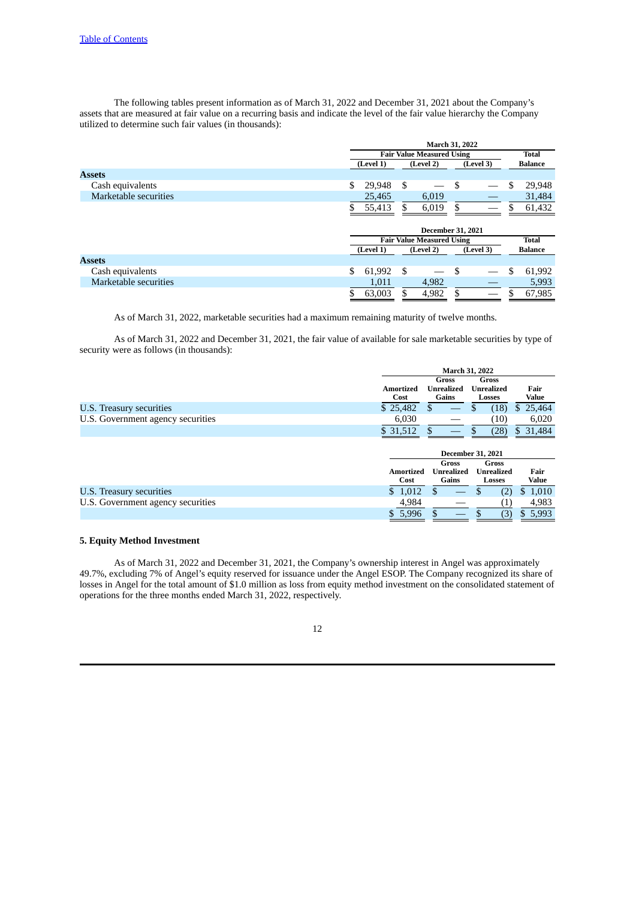The following tables present information as of March 31, 2022 and December 31, 2021 about the Company's assets that are measured at fair value on a recurring basis and indicate the level of the fair value hierarchy the Company utilized to determine such fair values (in thousands):

|     | March 31, 2022                   |                        |       |                        |  |                                                                                        |                |
|-----|----------------------------------|------------------------|-------|------------------------|--|----------------------------------------------------------------------------------------|----------------|
|     | <b>Fair Value Measured Using</b> |                        |       |                        |  | <b>Total</b>                                                                           |                |
|     |                                  |                        |       |                        |  |                                                                                        | <b>Balance</b> |
|     |                                  |                        |       |                        |  |                                                                                        |                |
| \$. | 29.948                           | S                      |       | \$                     |  | \$                                                                                     | 29,948         |
|     | 25,465                           |                        | 6,019 |                        |  |                                                                                        | 31,484         |
| \$  | 55,413                           | \$.                    | 6.019 | \$                     |  | \$.                                                                                    | 61,432         |
|     |                                  |                        |       |                        |  |                                                                                        |                |
|     |                                  |                        |       |                        |  |                                                                                        |                |
|     |                                  |                        |       |                        |  |                                                                                        | <b>Total</b>   |
|     |                                  |                        |       |                        |  |                                                                                        | <b>Balance</b> |
|     |                                  |                        |       |                        |  |                                                                                        |                |
| \$  | 61,992                           | \$                     |       | \$                     |  | \$                                                                                     | 61,992         |
|     | 1,011                            |                        | 4,982 |                        |  |                                                                                        | 5,993          |
|     | 63,003                           |                        | 4,982 | \$                     |  |                                                                                        | 67,985         |
|     |                                  | (Level 1)<br>(Level 1) |       | (Level 2)<br>(Level 2) |  | (Level 3)<br><b>December 31, 2021</b><br><b>Fair Value Measured Using</b><br>(Level 3) |                |

As of March 31, 2022, marketable securities had a maximum remaining maturity of twelve months.

As of March 31, 2022 and December 31, 2021, the fair value of available for sale marketable securities by type of security were as follows (in thousands):

|                                   |           | March 31, 2022             |  |        |  |          |  |  |  |  |  |  |  |            |
|-----------------------------------|-----------|----------------------------|--|--------|--|----------|--|--|--|--|--|--|--|------------|
|                                   |           | Gross<br><b>Unrealized</b> |  | Gross  |  |          |  |  |  |  |  |  |  |            |
|                                   | Amortized |                            |  |        |  |          |  |  |  |  |  |  |  | Unrealized |
|                                   | Cost      | Gains                      |  | Losses |  | Value    |  |  |  |  |  |  |  |            |
| U.S. Treasury securities          | \$25,482  |                            |  | (18)   |  | \$25,464 |  |  |  |  |  |  |  |            |
| U.S. Government agency securities | 6,030     |                            |  | (10)   |  | 6,020    |  |  |  |  |  |  |  |            |
|                                   | \$ 31,512 |                            |  | (28)   |  | 31,484   |  |  |  |  |  |  |  |            |
|                                   |           |                            |  |        |  |          |  |  |  |  |  |  |  |            |
|                                   |           | <b>December 31, 2021</b>   |  |        |  |          |  |  |  |  |  |  |  |            |
|                                   |           | Croce                      |  | Croce  |  |          |  |  |  |  |  |  |  |            |

|                                   | Amortized<br>Cost | Gross<br>Unrealized<br>Gains | Gross<br>Unrealized<br>Losses | Fair<br>Value |
|-----------------------------------|-------------------|------------------------------|-------------------------------|---------------|
| U.S. Treasury securities          | \$1.012           |                              |                               | \$1,010       |
| U.S. Government agency securities | 4.984             |                              |                               | 4.983         |
|                                   | 5.996             |                              | ( ئ                           | 5.993         |

## **5. Equity Method Investment**

As of March 31, 2022 and December 31, 2021, the Company's ownership interest in Angel was approximately 49.7%, excluding 7% of Angel's equity reserved for issuance under the Angel ESOP. The Company recognized its share of losses in Angel for the total amount of \$1.0 million as loss from equity method investment on the consolidated statement of operations for the three months ended March 31, 2022, respectively.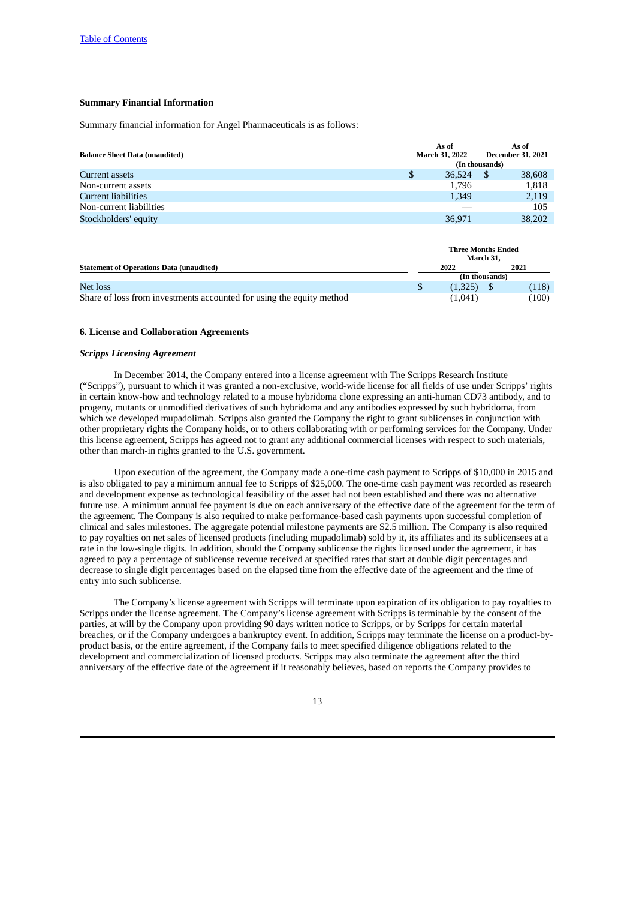### **Summary Financial Information**

Summary financial information for Angel Pharmaceuticals is as follows:

| <b>Balance Sheet Data (unaudited)</b> | As of<br><b>March 31, 2022</b> |                |  | As of<br><b>December 31, 2021</b> |
|---------------------------------------|--------------------------------|----------------|--|-----------------------------------|
|                                       |                                | (In thousands) |  |                                   |
| Current assets                        | \$                             | 36,524         |  | 38,608                            |
| Non-current assets                    |                                | 1.796          |  | 1,818                             |
| Current liabilities                   |                                | 1,349          |  | 2,119                             |
| Non-current liabilities               |                                |                |  | 105                               |
| Stockholders' equity                  |                                | 36,971         |  | 38,202                            |
|                                       |                                |                |  |                                   |

|                                                                      |                | Three Months Ended | March 31. |       |
|----------------------------------------------------------------------|----------------|--------------------|-----------|-------|
| <b>Statement of Operations Data (unaudited)</b>                      | 2022           |                    |           | 2021  |
|                                                                      | (In thousands) |                    |           |       |
| Net loss                                                             | \$             | (1.325)            |           | (118) |
| Share of loss from investments accounted for using the equity method |                | (1,041)            |           | (100) |

#### **6. License and Collaboration Agreements**

### *Scripps Licensing Agreement*

In December 2014, the Company entered into a license agreement with The Scripps Research Institute ("Scripps"), pursuant to which it was granted a non-exclusive, world-wide license for all fields of use under Scripps' rights in certain know-how and technology related to a mouse hybridoma clone expressing an anti-human CD73 antibody, and to progeny, mutants or unmodified derivatives of such hybridoma and any antibodies expressed by such hybridoma, from which we developed mupadolimab. Scripps also granted the Company the right to grant sublicenses in conjunction with other proprietary rights the Company holds, or to others collaborating with or performing services for the Company. Under this license agreement, Scripps has agreed not to grant any additional commercial licenses with respect to such materials, other than march-in rights granted to the U.S. government.

Upon execution of the agreement, the Company made a one-time cash payment to Scripps of \$10,000 in 2015 and is also obligated to pay a minimum annual fee to Scripps of \$25,000. The one-time cash payment was recorded as research and development expense as technological feasibility of the asset had not been established and there was no alternative future use. A minimum annual fee payment is due on each anniversary of the effective date of the agreement for the term of the agreement. The Company is also required to make performance-based cash payments upon successful completion of clinical and sales milestones. The aggregate potential milestone payments are \$2.5 million. The Company is also required to pay royalties on net sales of licensed products (including mupadolimab) sold by it, its affiliates and its sublicensees at a rate in the low-single digits. In addition, should the Company sublicense the rights licensed under the agreement, it has agreed to pay a percentage of sublicense revenue received at specified rates that start at double digit percentages and decrease to single digit percentages based on the elapsed time from the effective date of the agreement and the time of entry into such sublicense.

The Company's license agreement with Scripps will terminate upon expiration of its obligation to pay royalties to Scripps under the license agreement. The Company's license agreement with Scripps is terminable by the consent of the parties, at will by the Company upon providing 90 days written notice to Scripps, or by Scripps for certain material breaches, or if the Company undergoes a bankruptcy event. In addition, Scripps may terminate the license on a product-byproduct basis, or the entire agreement, if the Company fails to meet specified diligence obligations related to the development and commercialization of licensed products. Scripps may also terminate the agreement after the third anniversary of the effective date of the agreement if it reasonably believes, based on reports the Company provides to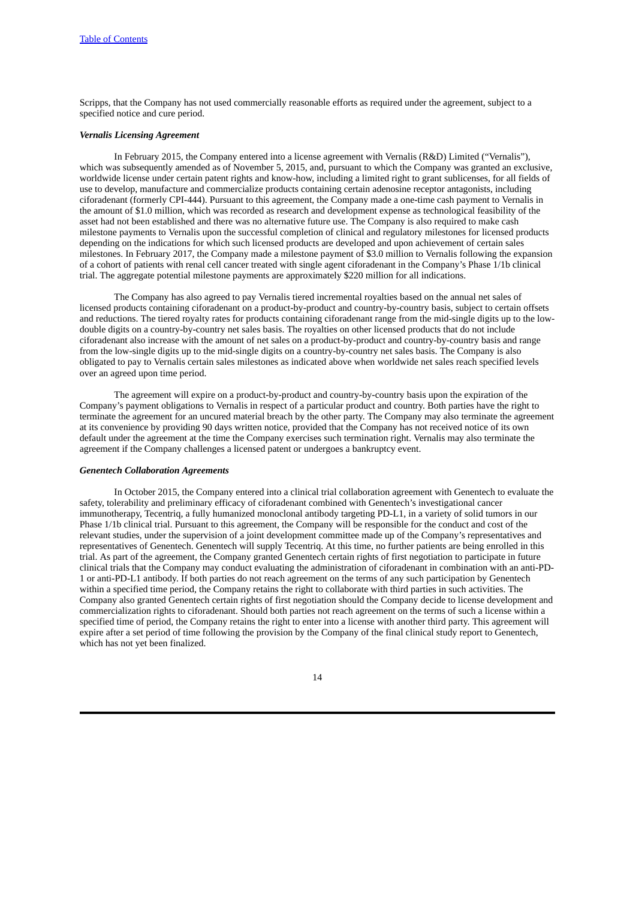Scripps, that the Company has not used commercially reasonable efforts as required under the agreement, subject to a specified notice and cure period.

### *Vernalis Licensing Agreement*

In February 2015, the Company entered into a license agreement with Vernalis (R&D) Limited ("Vernalis"), which was subsequently amended as of November 5, 2015, and, pursuant to which the Company was granted an exclusive, worldwide license under certain patent rights and know-how, including a limited right to grant sublicenses, for all fields of use to develop, manufacture and commercialize products containing certain adenosine receptor antagonists, including ciforadenant (formerly CPI-444). Pursuant to this agreement, the Company made a one-time cash payment to Vernalis in the amount of \$1.0 million, which was recorded as research and development expense as technological feasibility of the asset had not been established and there was no alternative future use. The Company is also required to make cash milestone payments to Vernalis upon the successful completion of clinical and regulatory milestones for licensed products depending on the indications for which such licensed products are developed and upon achievement of certain sales milestones. In February 2017, the Company made a milestone payment of \$3.0 million to Vernalis following the expansion of a cohort of patients with renal cell cancer treated with single agent ciforadenant in the Company's Phase 1/1b clinical trial. The aggregate potential milestone payments are approximately \$220 million for all indications.

The Company has also agreed to pay Vernalis tiered incremental royalties based on the annual net sales of licensed products containing ciforadenant on a product-by-product and country-by-country basis, subject to certain offsets and reductions. The tiered royalty rates for products containing ciforadenant range from the mid-single digits up to the lowdouble digits on a country-by-country net sales basis. The royalties on other licensed products that do not include ciforadenant also increase with the amount of net sales on a product-by-product and country-by-country basis and range from the low-single digits up to the mid-single digits on a country-by-country net sales basis. The Company is also obligated to pay to Vernalis certain sales milestones as indicated above when worldwide net sales reach specified levels over an agreed upon time period.

The agreement will expire on a product-by-product and country-by-country basis upon the expiration of the Company's payment obligations to Vernalis in respect of a particular product and country. Both parties have the right to terminate the agreement for an uncured material breach by the other party. The Company may also terminate the agreement at its convenience by providing 90 days written notice, provided that the Company has not received notice of its own default under the agreement at the time the Company exercises such termination right. Vernalis may also terminate the agreement if the Company challenges a licensed patent or undergoes a bankruptcy event.

#### *Genentech Collaboration Agreements*

In October 2015, the Company entered into a clinical trial collaboration agreement with Genentech to evaluate the safety, tolerability and preliminary efficacy of ciforadenant combined with Genentech's investigational cancer immunotherapy, Tecentriq, a fully humanized monoclonal antibody targeting PD-L1, in a variety of solid tumors in our Phase 1/1b clinical trial. Pursuant to this agreement, the Company will be responsible for the conduct and cost of the relevant studies, under the supervision of a joint development committee made up of the Company's representatives and representatives of Genentech. Genentech will supply Tecentriq. At this time, no further patients are being enrolled in this trial. As part of the agreement, the Company granted Genentech certain rights of first negotiation to participate in future clinical trials that the Company may conduct evaluating the administration of ciforadenant in combination with an anti-PD-1 or anti-PD-L1 antibody. If both parties do not reach agreement on the terms of any such participation by Genentech within a specified time period, the Company retains the right to collaborate with third parties in such activities. The Company also granted Genentech certain rights of first negotiation should the Company decide to license development and commercialization rights to ciforadenant. Should both parties not reach agreement on the terms of such a license within a specified time of period, the Company retains the right to enter into a license with another third party. This agreement will expire after a set period of time following the provision by the Company of the final clinical study report to Genentech, which has not yet been finalized.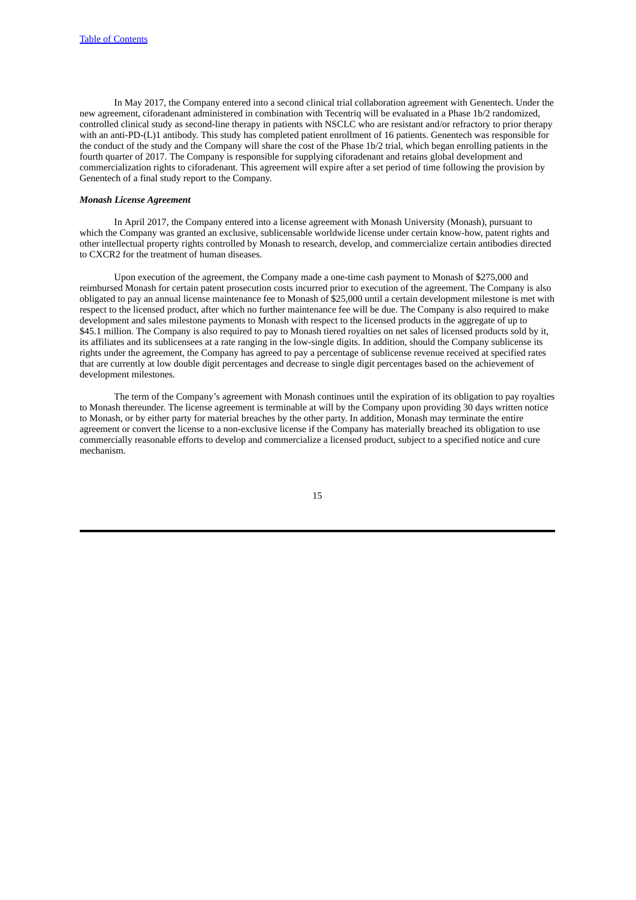In May 2017, the Company entered into a second clinical trial collaboration agreement with Genentech. Under the new agreement, ciforadenant administered in combination with Tecentriq will be evaluated in a Phase 1b/2 randomized, controlled clinical study as second-line therapy in patients with NSCLC who are resistant and/or refractory to prior therapy with an anti-PD-(L)1 antibody. This study has completed patient enrollment of 16 patients. Genentech was responsible for the conduct of the study and the Company will share the cost of the Phase 1b/2 trial, which began enrolling patients in the fourth quarter of 2017. The Company is responsible for supplying ciforadenant and retains global development and commercialization rights to ciforadenant. This agreement will expire after a set period of time following the provision by Genentech of a final study report to the Company.

#### *Monash License Agreement*

In April 2017, the Company entered into a license agreement with Monash University (Monash), pursuant to which the Company was granted an exclusive, sublicensable worldwide license under certain know-how, patent rights and other intellectual property rights controlled by Monash to research, develop, and commercialize certain antibodies directed to CXCR2 for the treatment of human diseases.

Upon execution of the agreement, the Company made a one-time cash payment to Monash of \$275,000 and reimbursed Monash for certain patent prosecution costs incurred prior to execution of the agreement. The Company is also obligated to pay an annual license maintenance fee to Monash of \$25,000 until a certain development milestone is met with respect to the licensed product, after which no further maintenance fee will be due. The Company is also required to make development and sales milestone payments to Monash with respect to the licensed products in the aggregate of up to \$45.1 million. The Company is also required to pay to Monash tiered royalties on net sales of licensed products sold by it, its affiliates and its sublicensees at a rate ranging in the low-single digits. In addition, should the Company sublicense its rights under the agreement, the Company has agreed to pay a percentage of sublicense revenue received at specified rates that are currently at low double digit percentages and decrease to single digit percentages based on the achievement of development milestones.

The term of the Company's agreement with Monash continues until the expiration of its obligation to pay royalties to Monash thereunder. The license agreement is terminable at will by the Company upon providing 30 days written notice to Monash, or by either party for material breaches by the other party. In addition, Monash may terminate the entire agreement or convert the license to a non-exclusive license if the Company has materially breached its obligation to use commercially reasonable efforts to develop and commercialize a licensed product, subject to a specified notice and cure mechanism.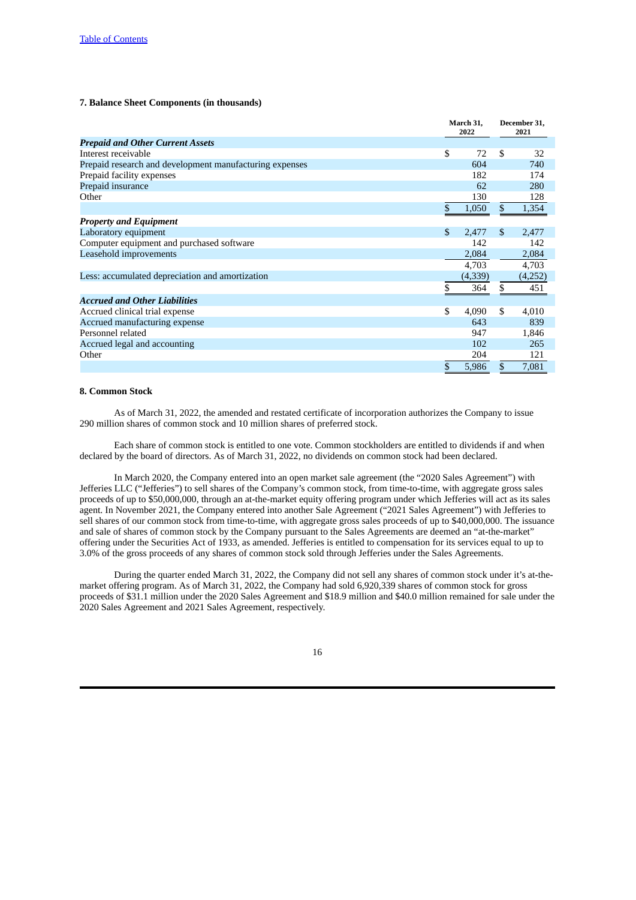### **7. Balance Sheet Components (in thousands)**

|                                                         |               | March 31,<br>2022 |               | December 31,<br>2021 |
|---------------------------------------------------------|---------------|-------------------|---------------|----------------------|
| <b>Prepaid and Other Current Assets</b>                 |               |                   |               |                      |
| Interest receivable                                     | \$            | 72                | \$.           | 32                   |
| Prepaid research and development manufacturing expenses |               | 604               |               | 740                  |
| Prepaid facility expenses                               |               | 182               |               | 174                  |
| Prepaid insurance                                       |               | 62                |               | 280                  |
| Other                                                   |               | 130               |               | 128                  |
|                                                         | \$            | 1,050             | $\mathbb{S}$  | 1,354                |
| <b>Property and Equipment</b>                           |               |                   |               |                      |
| Laboratory equipment                                    | $\mathcal{S}$ | 2.477             | <sup>\$</sup> | 2,477                |
| Computer equipment and purchased software               |               | 142               |               | 142                  |
| Leasehold improvements                                  |               | 2,084             |               | 2,084                |
|                                                         |               | 4,703             |               | 4,703                |
| Less: accumulated depreciation and amortization         |               | (4,339)           |               | (4,252)              |
|                                                         | \$            | 364               | \$            | 451                  |
| <b>Accrued and Other Liabilities</b>                    |               |                   |               |                      |
| Accrued clinical trial expense                          | \$            | 4,090             | \$.           | 4,010                |
| Accrued manufacturing expense                           |               | 643               |               | 839                  |
| Personnel related                                       |               | 947               |               | 1,846                |
| Accrued legal and accounting                            |               | 102               |               | 265                  |
| Other                                                   |               | 204               |               | 121                  |
|                                                         | \$            | 5,986             | \$            | 7,081                |

# **8. Common Stock**

As of March 31, 2022, the amended and restated certificate of incorporation authorizes the Company to issue 290 million shares of common stock and 10 million shares of preferred stock.

Each share of common stock is entitled to one vote. Common stockholders are entitled to dividends if and when declared by the board of directors. As of March 31, 2022, no dividends on common stock had been declared.

In March 2020, the Company entered into an open market sale agreement (the "2020 Sales Agreement") with Jefferies LLC ("Jefferies") to sell shares of the Company's common stock, from time-to-time, with aggregate gross sales proceeds of up to \$50,000,000, through an at-the-market equity offering program under which Jefferies will act as its sales agent. In November 2021, the Company entered into another Sale Agreement ("2021 Sales Agreement") with Jefferies to sell shares of our common stock from time-to-time, with aggregate gross sales proceeds of up to \$40,000,000. The issuance and sale of shares of common stock by the Company pursuant to the Sales Agreements are deemed an "at-the-market" offering under the Securities Act of 1933, as amended. Jefferies is entitled to compensation for its services equal to up to 3.0% of the gross proceeds of any shares of common stock sold through Jefferies under the Sales Agreements.

During the quarter ended March 31, 2022, the Company did not sell any shares of common stock under it's at-themarket offering program. As of March 31, 2022, the Company had sold 6,920,339 shares of common stock for gross proceeds of \$31.1 million under the 2020 Sales Agreement and \$18.9 million and \$40.0 million remained for sale under the 2020 Sales Agreement and 2021 Sales Agreement, respectively.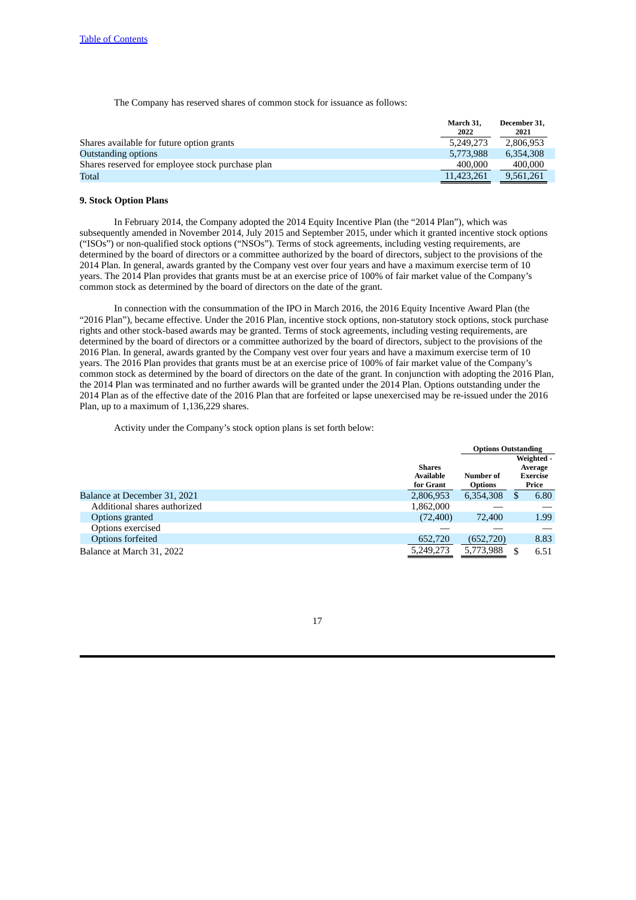The Company has reserved shares of common stock for issuance as follows:

|                                                  | March 31.<br>2022 | December 31,<br>2021 |
|--------------------------------------------------|-------------------|----------------------|
| Shares available for future option grants        | 5.249.273         | 2,806,953            |
| <b>Outstanding options</b>                       | 5,773,988         | 6.354.308            |
| Shares reserved for employee stock purchase plan | 400,000           | 400,000              |
| Total                                            | 11,423,261        | 9,561,261            |

### **9. Stock Option Plans**

In February 2014, the Company adopted the 2014 Equity Incentive Plan (the "2014 Plan"), which was subsequently amended in November 2014, July 2015 and September 2015, under which it granted incentive stock options ("ISOs") or non-qualified stock options ("NSOs"). Terms of stock agreements, including vesting requirements, are determined by the board of directors or a committee authorized by the board of directors, subject to the provisions of the 2014 Plan. In general, awards granted by the Company vest over four years and have a maximum exercise term of 10 years. The 2014 Plan provides that grants must be at an exercise price of 100% of fair market value of the Company's common stock as determined by the board of directors on the date of the grant.

In connection with the consummation of the IPO in March 2016, the 2016 Equity Incentive Award Plan (the "2016 Plan"), became effective. Under the 2016 Plan, incentive stock options, non-statutory stock options, stock purchase rights and other stock-based awards may be granted. Terms of stock agreements, including vesting requirements, are determined by the board of directors or a committee authorized by the board of directors, subject to the provisions of the 2016 Plan. In general, awards granted by the Company vest over four years and have a maximum exercise term of 10 years. The 2016 Plan provides that grants must be at an exercise price of 100% of fair market value of the Company's common stock as determined by the board of directors on the date of the grant. In conjunction with adopting the 2016 Plan, the 2014 Plan was terminated and no further awards will be granted under the 2014 Plan. Options outstanding under the 2014 Plan as of the effective date of the 2016 Plan that are forfeited or lapse unexercised may be re-issued under the 2016 Plan, up to a maximum of 1,136,229 shares.

Activity under the Company's stock option plans is set forth below:

|                              |                                                | <b>Options Outstanding</b>  |   |                                                   |
|------------------------------|------------------------------------------------|-----------------------------|---|---------------------------------------------------|
|                              | <b>Shares</b><br><b>Available</b><br>for Grant | Number of<br><b>Options</b> |   | Weighted -<br>Average<br><b>Exercise</b><br>Price |
| Balance at December 31, 2021 | 2,806,953                                      | 6,354,308                   | S | 6.80                                              |
| Additional shares authorized | 1,862,000                                      |                             |   |                                                   |
| Options granted              | (72, 400)                                      | 72,400                      |   | 1.99                                              |
| Options exercised            |                                                |                             |   |                                                   |
| Options forfeited            | 652,720                                        | (652, 720)                  |   | 8.83                                              |
| Balance at March 31, 2022    | 5,249,273                                      | 5,773,988                   |   | 6.51                                              |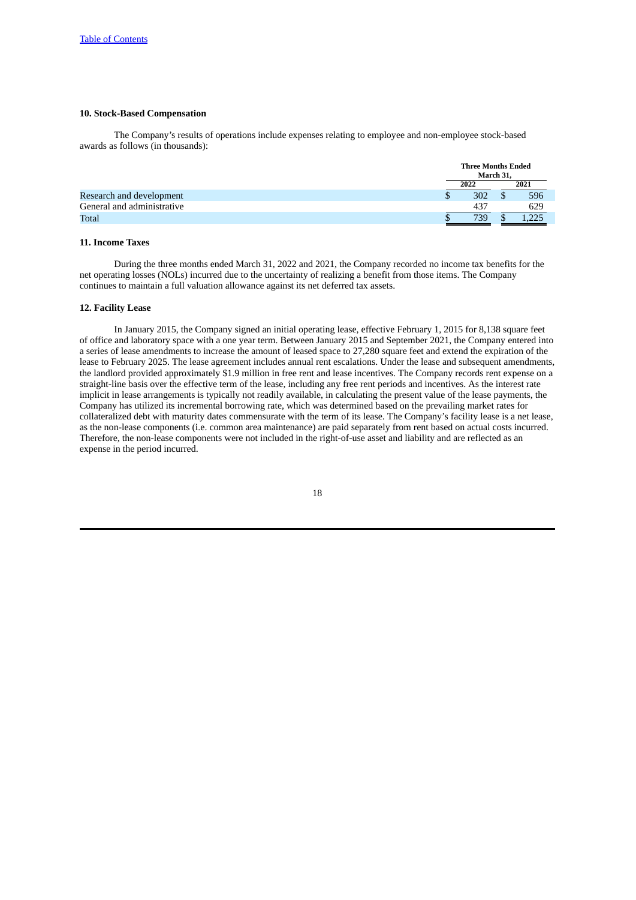### **10. Stock-Based Compensation**

The Company's results of operations include expenses relating to employee and non-employee stock-based awards as follows (in thousands):

|                            |      | <b>Three Months Ended</b> | March 31. |     |
|----------------------------|------|---------------------------|-----------|-----|
|                            | 2022 |                           | 2021      |     |
| Research and development   | D    | 302                       |           | 596 |
| General and administrative |      | 437                       |           | 629 |
| Total                      | ۰D   | 739                       |           |     |

### **11. Income Taxes**

During the three months ended March 31, 2022 and 2021, the Company recorded no income tax benefits for the net operating losses (NOLs) incurred due to the uncertainty of realizing a benefit from those items. The Company continues to maintain a full valuation allowance against its net deferred tax assets.

#### **12. Facility Lease**

In January 2015, the Company signed an initial operating lease, effective February 1, 2015 for 8,138 square feet of office and laboratory space with a one year term. Between January 2015 and September 2021, the Company entered into a series of lease amendments to increase the amount of leased space to 27,280 square feet and extend the expiration of the lease to February 2025. The lease agreement includes annual rent escalations. Under the lease and subsequent amendments, the landlord provided approximately \$1.9 million in free rent and lease incentives. The Company records rent expense on a straight-line basis over the effective term of the lease, including any free rent periods and incentives. As the interest rate implicit in lease arrangements is typically not readily available, in calculating the present value of the lease payments, the Company has utilized its incremental borrowing rate, which was determined based on the prevailing market rates for collateralized debt with maturity dates commensurate with the term of its lease. The Company's facility lease is a net lease, as the non-lease components (i.e. common area maintenance) are paid separately from rent based on actual costs incurred. Therefore, the non-lease components were not included in the right-of-use asset and liability and are reflected as an expense in the period incurred.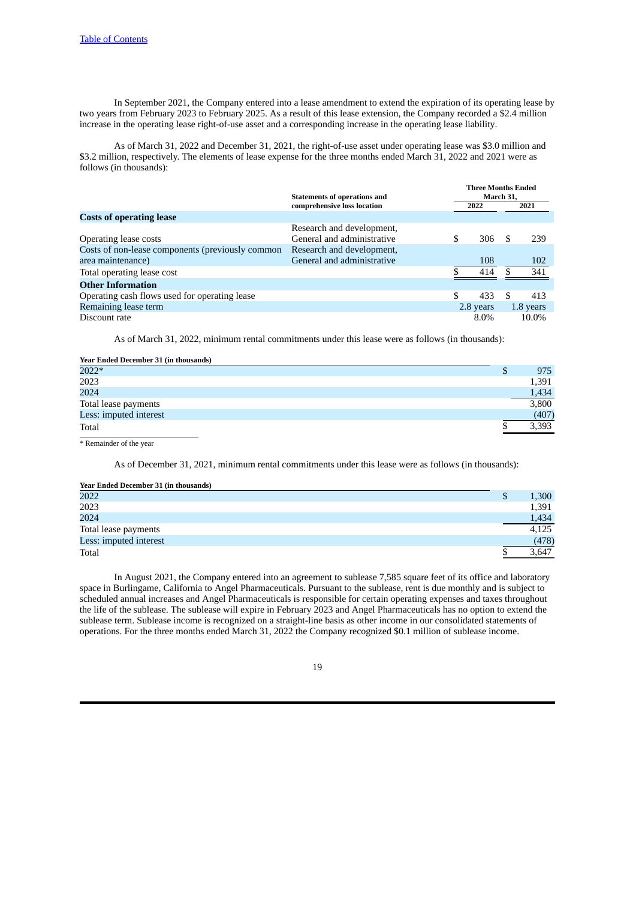In September 2021, the Company entered into a lease amendment to extend the expiration of its operating lease by two years from February 2023 to February 2025. As a result of this lease extension, the Company recorded a \$2.4 million increase in the operating lease right-of-use asset and a corresponding increase in the operating lease liability.

As of March 31, 2022 and December 31, 2021, the right-of-use asset under operating lease was \$3.0 million and \$3.2 million, respectively. The elements of lease expense for the three months ended March 31, 2022 and 2021 were as follows (in thousands):

|                                                  | <b>Statements of operations and</b> |    | <b>Three Months Ended</b><br>March 31, |    |           |  |
|--------------------------------------------------|-------------------------------------|----|----------------------------------------|----|-----------|--|
|                                                  | comprehensive loss location         |    | 2022                                   |    | 2021      |  |
| <b>Costs of operating lease</b>                  |                                     |    |                                        |    |           |  |
|                                                  | Research and development,           |    |                                        |    |           |  |
| Operating lease costs                            | General and administrative          | S  | 306                                    |    | 239       |  |
| Costs of non-lease components (previously common | Research and development,           |    |                                        |    |           |  |
| area maintenance)                                | General and administrative          |    | 108                                    |    | 102       |  |
| Total operating lease cost                       |                                     |    | 414                                    |    | 341       |  |
| <b>Other Information</b>                         |                                     |    |                                        |    |           |  |
| Operating cash flows used for operating lease    |                                     | \$ | 433                                    | £. | 413       |  |
| Remaining lease term                             |                                     |    | 2.8 years                              |    | 1.8 years |  |
| Discount rate                                    |                                     |    | 8.0%                                   |    | 10.0%     |  |

As of March 31, 2022, minimum rental commitments under this lease were as follows (in thousands):

| <b>Year Ended December 31 (in thousands)</b> |       |
|----------------------------------------------|-------|
| 2022*                                        | 975   |
| 2023                                         | 1,391 |
| 2024                                         | 1,434 |
| Total lease payments                         | 3,800 |
| Less: imputed interest                       | (407) |
| Total                                        | 3,393 |

\* Remainder of the year

As of December 31, 2021, minimum rental commitments under this lease were as follows (in thousands):

| <b>Year Ended December 31 (in thousands)</b> |       |
|----------------------------------------------|-------|
| 2022                                         | 1,300 |
| 2023                                         | 1,391 |
| 2024                                         | 1,434 |
| Total lease payments                         | 4,125 |
| Less: imputed interest                       | (478) |
| Total                                        | 3,647 |

In August 2021, the Company entered into an agreement to sublease 7,585 square feet of its office and laboratory space in Burlingame, California to Angel Pharmaceuticals. Pursuant to the sublease, rent is due monthly and is subject to scheduled annual increases and Angel Pharmaceuticals is responsible for certain operating expenses and taxes throughout the life of the sublease. The sublease will expire in February 2023 and Angel Pharmaceuticals has no option to extend the sublease term. Sublease income is recognized on a straight-line basis as other income in our consolidated statements of operations. For the three months ended March 31, 2022 the Company recognized \$0.1 million of sublease income.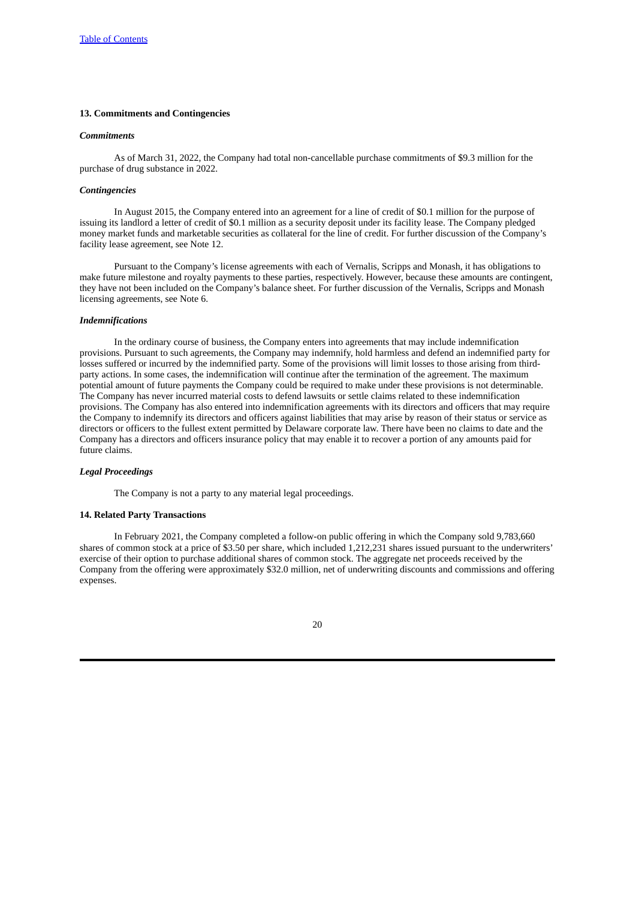### **13. Commitments and Contingencies**

### *Commitments*

As of March 31, 2022, the Company had total non-cancellable purchase commitments of \$9.3 million for the purchase of drug substance in 2022.

#### *Contingencies*

In August 2015, the Company entered into an agreement for a line of credit of \$0.1 million for the purpose of issuing its landlord a letter of credit of \$0.1 million as a security deposit under its facility lease. The Company pledged money market funds and marketable securities as collateral for the line of credit. For further discussion of the Company's facility lease agreement, see Note 12.

Pursuant to the Company's license agreements with each of Vernalis, Scripps and Monash, it has obligations to make future milestone and royalty payments to these parties, respectively. However, because these amounts are contingent, they have not been included on the Company's balance sheet. For further discussion of the Vernalis, Scripps and Monash licensing agreements, see Note 6.

### *Indemnifications*

In the ordinary course of business, the Company enters into agreements that may include indemnification provisions. Pursuant to such agreements, the Company may indemnify, hold harmless and defend an indemnified party for losses suffered or incurred by the indemnified party. Some of the provisions will limit losses to those arising from thirdparty actions. In some cases, the indemnification will continue after the termination of the agreement. The maximum potential amount of future payments the Company could be required to make under these provisions is not determinable. The Company has never incurred material costs to defend lawsuits or settle claims related to these indemnification provisions. The Company has also entered into indemnification agreements with its directors and officers that may require the Company to indemnify its directors and officers against liabilities that may arise by reason of their status or service as directors or officers to the fullest extent permitted by Delaware corporate law. There have been no claims to date and the Company has a directors and officers insurance policy that may enable it to recover a portion of any amounts paid for future claims.

### *Legal Proceedings*

The Company is not a party to any material legal proceedings.

#### **14. Related Party Transactions**

In February 2021, the Company completed a follow-on public offering in which the Company sold 9,783,660 shares of common stock at a price of \$3.50 per share, which included 1,212,231 shares issued pursuant to the underwriters' exercise of their option to purchase additional shares of common stock. The aggregate net proceeds received by the Company from the offering were approximately \$32.0 million, net of underwriting discounts and commissions and offering expenses.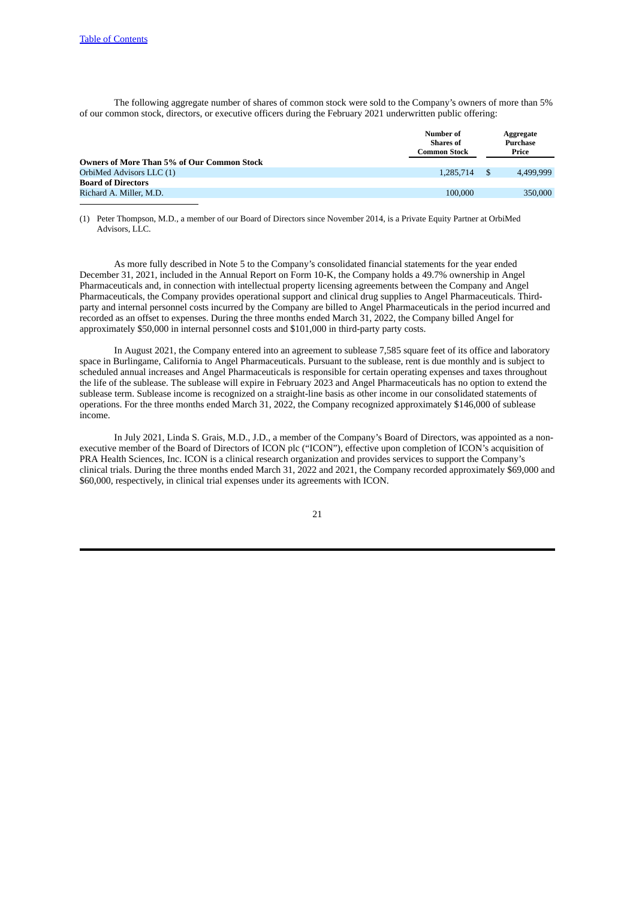The following aggregate number of shares of common stock were sold to the Company's owners of more than 5% of our common stock, directors, or executive officers during the February 2021 underwritten public offering:

|                                                   | Number of<br><b>Shares</b> of<br><b>Common Stock</b> | Aggregate<br>Purchase<br>Price |
|---------------------------------------------------|------------------------------------------------------|--------------------------------|
| <b>Owners of More Than 5% of Our Common Stock</b> |                                                      |                                |
| OrbiMed Advisors LLC (1)                          | 1,285,714                                            | 4.499.999                      |
| <b>Board of Directors</b>                         |                                                      |                                |
| Richard A. Miller, M.D.                           | 100,000                                              | 350,000                        |
|                                                   |                                                      |                                |

(1) Peter Thompson, M.D., a member of our Board of Directors since November 2014, is a Private Equity Partner at OrbiMed Advisors, LLC.

As more fully described in Note 5 to the Company's consolidated financial statements for the year ended December 31, 2021, included in the Annual Report on Form 10-K, the Company holds a 49.7% ownership in Angel Pharmaceuticals and, in connection with intellectual property licensing agreements between the Company and Angel Pharmaceuticals, the Company provides operational support and clinical drug supplies to Angel Pharmaceuticals. Thirdparty and internal personnel costs incurred by the Company are billed to Angel Pharmaceuticals in the period incurred and recorded as an offset to expenses. During the three months ended March 31, 2022, the Company billed Angel for approximately \$50,000 in internal personnel costs and \$101,000 in third-party party costs.

In August 2021, the Company entered into an agreement to sublease 7,585 square feet of its office and laboratory space in Burlingame, California to Angel Pharmaceuticals. Pursuant to the sublease, rent is due monthly and is subject to scheduled annual increases and Angel Pharmaceuticals is responsible for certain operating expenses and taxes throughout the life of the sublease. The sublease will expire in February 2023 and Angel Pharmaceuticals has no option to extend the sublease term. Sublease income is recognized on a straight-line basis as other income in our consolidated statements of operations. For the three months ended March 31, 2022, the Company recognized approximately \$146,000 of sublease income.

In July 2021, Linda S. Grais, M.D., J.D., a member of the Company's Board of Directors, was appointed as a nonexecutive member of the Board of Directors of ICON plc ("ICON"), effective upon completion of ICON's acquisition of PRA Health Sciences, Inc. ICON is a clinical research organization and provides services to support the Company's clinical trials. During the three months ended March 31, 2022 and 2021, the Company recorded approximately \$69,000 and \$60,000, respectively, in clinical trial expenses under its agreements with ICON.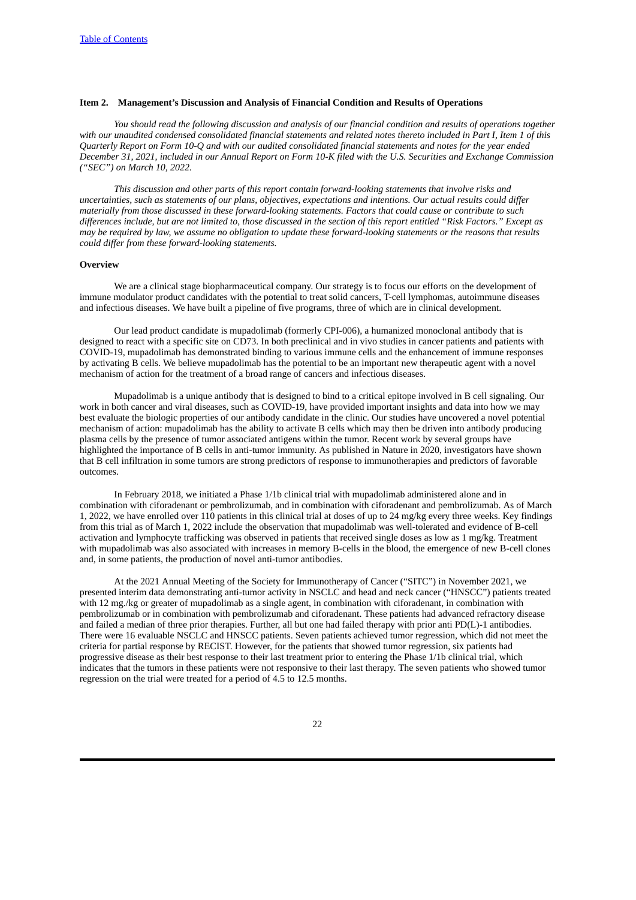### <span id="page-21-0"></span>**Item 2. Management's Discussion and Analysis of Financial Condition and Results of Operations**

You should read the following discussion and analysis of our financial condition and results of operations together with our unaudited condensed consolidated financial statements and related notes thereto included in Part I, Item 1 of this Quarterly Report on Form 10-Q and with our audited consolidated financial statements and notes for the year ended December 31, 2021, included in our Annual Report on Form 10-K filed with the U.S. Securities and Exchange Commission *("SEC") on March 10, 2022.*

*This discussion and other parts of this report contain forward-looking statements that involve risks and* uncertainties, such as statements of our plans, objectives, expectations and intentions. Our actual results could differ materially from those discussed in these forward-looking statements. Factors that could cause or contribute to such differences include, but are not limited to, those discussed in the section of this report entitled "Risk Factors." Except as may be required by law, we assume no obligation to update these forward-looking statements or the reasons that results *could differ from these forward-looking statements.*

#### **Overview**

We are a clinical stage biopharmaceutical company. Our strategy is to focus our efforts on the development of immune modulator product candidates with the potential to treat solid cancers, T-cell lymphomas, autoimmune diseases and infectious diseases. We have built a pipeline of five programs, three of which are in clinical development.

Our lead product candidate is mupadolimab (formerly CPI-006), a humanized monoclonal antibody that is designed to react with a specific site on CD73. In both preclinical and in vivo studies in cancer patients and patients with COVID-19, mupadolimab has demonstrated binding to various immune cells and the enhancement of immune responses by activating B cells. We believe mupadolimab has the potential to be an important new therapeutic agent with a novel mechanism of action for the treatment of a broad range of cancers and infectious diseases.

Mupadolimab is a unique antibody that is designed to bind to a critical epitope involved in B cell signaling. Our work in both cancer and viral diseases, such as COVID-19, have provided important insights and data into how we may best evaluate the biologic properties of our antibody candidate in the clinic. Our studies have uncovered a novel potential mechanism of action: mupadolimab has the ability to activate B cells which may then be driven into antibody producing plasma cells by the presence of tumor associated antigens within the tumor. Recent work by several groups have highlighted the importance of B cells in anti-tumor immunity. As published in Nature in 2020, investigators have shown that B cell infiltration in some tumors are strong predictors of response to immunotherapies and predictors of favorable outcomes.

In February 2018, we initiated a Phase 1/1b clinical trial with mupadolimab administered alone and in combination with ciforadenant or pembrolizumab, and in combination with ciforadenant and pembrolizumab. As of March 1, 2022, we have enrolled over 110 patients in this clinical trial at doses of up to 24 mg/kg every three weeks. Key findings from this trial as of March 1, 2022 include the observation that mupadolimab was well-tolerated and evidence of B-cell activation and lymphocyte trafficking was observed in patients that received single doses as low as 1 mg/kg. Treatment with mupadolimab was also associated with increases in memory B-cells in the blood, the emergence of new B-cell clones and, in some patients, the production of novel anti-tumor antibodies.

At the 2021 Annual Meeting of the Society for Immunotherapy of Cancer ("SITC") in November 2021, we presented interim data demonstrating anti-tumor activity in NSCLC and head and neck cancer ("HNSCC") patients treated with 12 mg./kg or greater of mupadolimab as a single agent, in combination with ciforadenant, in combination with pembrolizumab or in combination with pembrolizumab and ciforadenant. These patients had advanced refractory disease and failed a median of three prior therapies. Further, all but one had failed therapy with prior anti PD(L)-1 antibodies. There were 16 evaluable NSCLC and HNSCC patients. Seven patients achieved tumor regression, which did not meet the criteria for partial response by RECIST. However, for the patients that showed tumor regression, six patients had progressive disease as their best response to their last treatment prior to entering the Phase 1/1b clinical trial, which indicates that the tumors in these patients were not responsive to their last therapy. The seven patients who showed tumor regression on the trial were treated for a period of 4.5 to 12.5 months.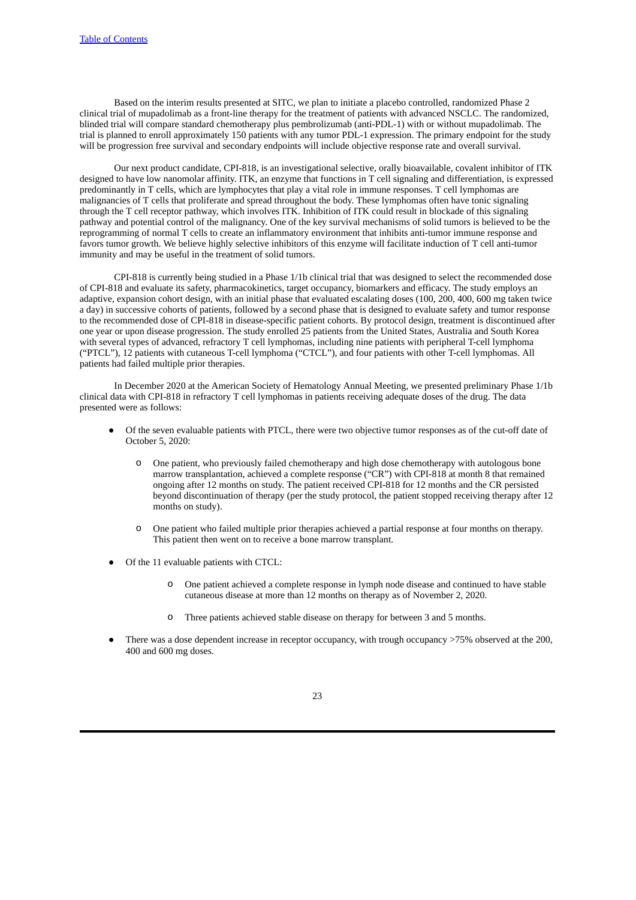Based on the interim results presented at SITC, we plan to initiate a placebo controlled, randomized Phase 2 clinical trial of mupadolimab as a front-line therapy for the treatment of patients with advanced NSCLC. The randomized, blinded trial will compare standard chemotherapy plus pembrolizumab (anti-PDL-1) with or without mupadolimab. The trial is planned to enroll approximately 150 patients with any tumor PDL-1 expression. The primary endpoint for the study will be progression free survival and secondary endpoints will include objective response rate and overall survival.

Our next product candidate, CPI-818, is an investigational selective, orally bioavailable, covalent inhibitor of ITK designed to have low nanomolar affinity. ITK, an enzyme that functions in T cell signaling and differentiation, is expressed predominantly in T cells, which are lymphocytes that play a vital role in immune responses. T cell lymphomas are malignancies of T cells that proliferate and spread throughout the body. These lymphomas often have tonic signaling through the T cell receptor pathway, which involves ITK. Inhibition of ITK could result in blockade of this signaling pathway and potential control of the malignancy. One of the key survival mechanisms of solid tumors is believed to be the reprogramming of normal T cells to create an inflammatory environment that inhibits anti-tumor immune response and favors tumor growth. We believe highly selective inhibitors of this enzyme will facilitate induction of T cell anti-tumor immunity and may be useful in the treatment of solid tumors.

CPI-818 is currently being studied in a Phase 1/1b clinical trial that was designed to select the recommended dose of CPI-818 and evaluate its safety, pharmacokinetics, target occupancy, biomarkers and efficacy. The study employs an adaptive, expansion cohort design, with an initial phase that evaluated escalating doses (100, 200, 400, 600 mg taken twice a day) in successive cohorts of patients, followed by a second phase that is designed to evaluate safety and tumor response to the recommended dose of CPI-818 in disease-specific patient cohorts. By protocol design, treatment is discontinued after one year or upon disease progression. The study enrolled 25 patients from the United States, Australia and South Korea with several types of advanced, refractory T cell lymphomas, including nine patients with peripheral T-cell lymphoma ("PTCL"), 12 patients with cutaneous T-cell lymphoma ("CTCL"), and four patients with other T-cell lymphomas. All patients had failed multiple prior therapies.

In December 2020 at the American Society of Hematology Annual Meeting, we presented preliminary Phase 1/1b clinical data with CPI-818 in refractory T cell lymphomas in patients receiving adequate doses of the drug. The data presented were as follows:

- Of the seven evaluable patients with PTCL, there were two objective tumor responses as of the cut-off date of October 5, 2020:
	- o One patient, who previously failed chemotherapy and high dose chemotherapy with autologous bone marrow transplantation, achieved a complete response ("CR") with CPI-818 at month 8 that remained ongoing after 12 months on study. The patient received CPI-818 for 12 months and the CR persisted beyond discontinuation of therapy (per the study protocol, the patient stopped receiving therapy after 12 months on study).
	- o One patient who failed multiple prior therapies achieved a partial response at four months on therapy. This patient then went on to receive a bone marrow transplant.
- Of the 11 evaluable patients with CTCL:
	- o One patient achieved a complete response in lymph node disease and continued to have stable cutaneous disease at more than 12 months on therapy as of November 2, 2020.
	- o Three patients achieved stable disease on therapy for between 3 and 5 months.
- There was a dose dependent increase in receptor occupancy, with trough occupancy >75% observed at the 200, 400 and 600 mg doses.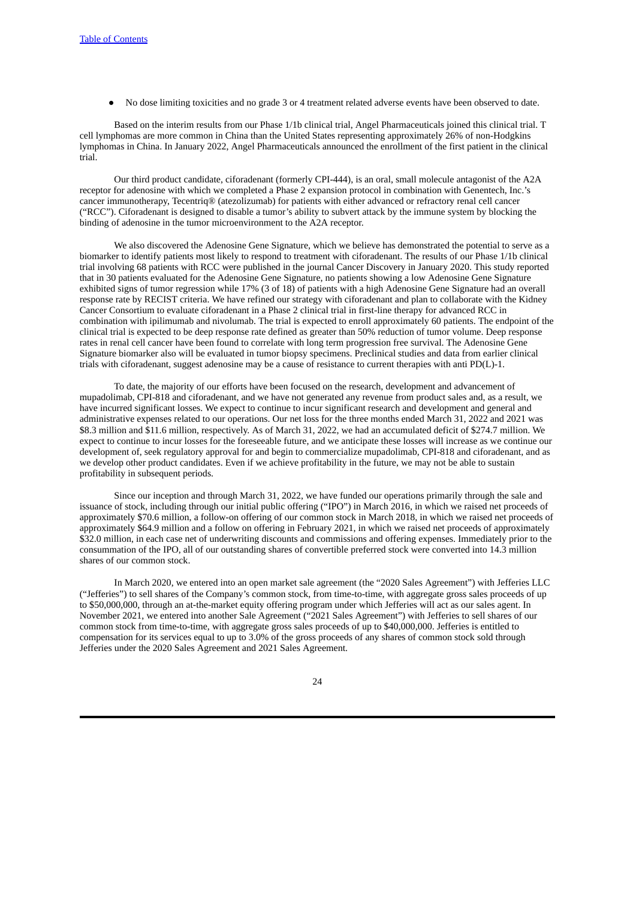No dose limiting toxicities and no grade 3 or 4 treatment related adverse events have been observed to date.

Based on the interim results from our Phase 1/1b clinical trial, Angel Pharmaceuticals joined this clinical trial. T cell lymphomas are more common in China than the United States representing approximately 26% of non-Hodgkins lymphomas in China. In January 2022, Angel Pharmaceuticals announced the enrollment of the first patient in the clinical trial.

Our third product candidate, ciforadenant (formerly CPI-444), is an oral, small molecule antagonist of the A2A receptor for adenosine with which we completed a Phase 2 expansion protocol in combination with Genentech, Inc.'s cancer immunotherapy, Tecentriq® (atezolizumab) for patients with either advanced or refractory renal cell cancer ("RCC"). Ciforadenant is designed to disable a tumor's ability to subvert attack by the immune system by blocking the binding of adenosine in the tumor microenvironment to the A2A receptor.

We also discovered the Adenosine Gene Signature, which we believe has demonstrated the potential to serve as a biomarker to identify patients most likely to respond to treatment with ciforadenant. The results of our Phase 1/1b clinical trial involving 68 patients with RCC were published in the journal Cancer Discovery in January 2020. This study reported that in 30 patients evaluated for the Adenosine Gene Signature, no patients showing a low Adenosine Gene Signature exhibited signs of tumor regression while 17% (3 of 18) of patients with a high Adenosine Gene Signature had an overall response rate by RECIST criteria. We have refined our strategy with ciforadenant and plan to collaborate with the Kidney Cancer Consortium to evaluate ciforadenant in a Phase 2 clinical trial in first-line therapy for advanced RCC in combination with ipilimumab and nivolumab. The trial is expected to enroll approximately 60 patients. The endpoint of the clinical trial is expected to be deep response rate defined as greater than 50% reduction of tumor volume. Deep response rates in renal cell cancer have been found to correlate with long term progression free survival. The Adenosine Gene Signature biomarker also will be evaluated in tumor biopsy specimens. Preclinical studies and data from earlier clinical trials with ciforadenant, suggest adenosine may be a cause of resistance to current therapies with anti PD(L)-1.

To date, the majority of our efforts have been focused on the research, development and advancement of mupadolimab, CPI-818 and ciforadenant, and we have not generated any revenue from product sales and, as a result, we have incurred significant losses. We expect to continue to incur significant research and development and general and administrative expenses related to our operations. Our net loss for the three months ended March 31, 2022 and 2021 was \$8.3 million and \$11.6 million, respectively. As of March 31, 2022, we had an accumulated deficit of \$274.7 million. We expect to continue to incur losses for the foreseeable future, and we anticipate these losses will increase as we continue our development of, seek regulatory approval for and begin to commercialize mupadolimab, CPI-818 and ciforadenant, and as we develop other product candidates. Even if we achieve profitability in the future, we may not be able to sustain profitability in subsequent periods.

Since our inception and through March 31, 2022, we have funded our operations primarily through the sale and issuance of stock, including through our initial public offering ("IPO") in March 2016, in which we raised net proceeds of approximately \$70.6 million, a follow-on offering of our common stock in March 2018, in which we raised net proceeds of approximately \$64.9 million and a follow on offering in February 2021, in which we raised net proceeds of approximately \$32.0 million, in each case net of underwriting discounts and commissions and offering expenses. Immediately prior to the consummation of the IPO, all of our outstanding shares of convertible preferred stock were converted into 14.3 million shares of our common stock.

In March 2020, we entered into an open market sale agreement (the "2020 Sales Agreement") with Jefferies LLC ("Jefferies") to sell shares of the Company's common stock, from time-to-time, with aggregate gross sales proceeds of up to \$50,000,000, through an at-the-market equity offering program under which Jefferies will act as our sales agent. In November 2021, we entered into another Sale Agreement ("2021 Sales Agreement") with Jefferies to sell shares of our common stock from time-to-time, with aggregate gross sales proceeds of up to \$40,000,000. Jefferies is entitled to compensation for its services equal to up to 3.0% of the gross proceeds of any shares of common stock sold through Jefferies under the 2020 Sales Agreement and 2021 Sales Agreement.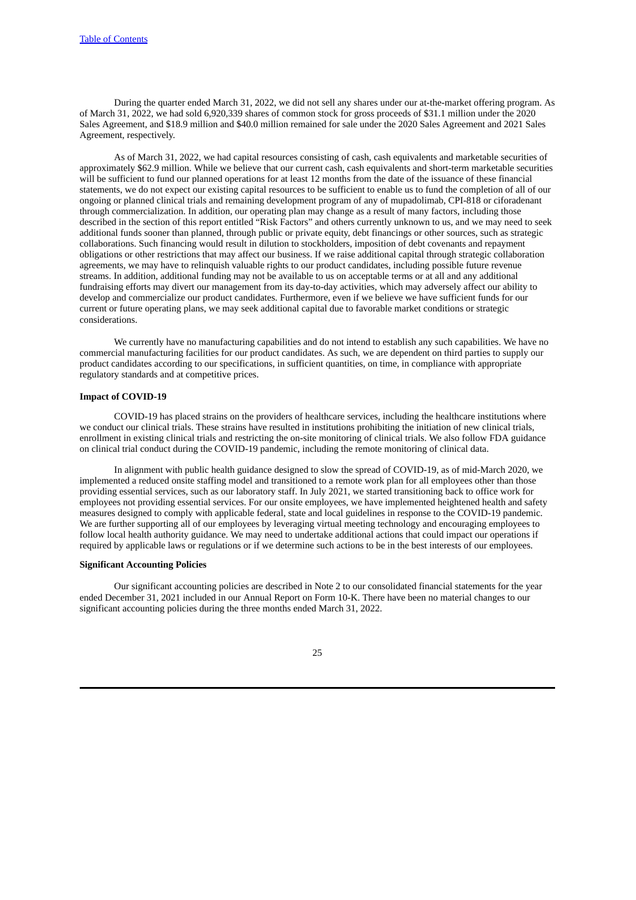During the quarter ended March 31, 2022, we did not sell any shares under our at-the-market offering program. As of March 31, 2022, we had sold 6,920,339 shares of common stock for gross proceeds of \$31.1 million under the 2020 Sales Agreement, and \$18.9 million and \$40.0 million remained for sale under the 2020 Sales Agreement and 2021 Sales Agreement, respectively.

As of March 31, 2022, we had capital resources consisting of cash, cash equivalents and marketable securities of approximately \$62.9 million. While we believe that our current cash, cash equivalents and short-term marketable securities will be sufficient to fund our planned operations for at least 12 months from the date of the issuance of these financial statements, we do not expect our existing capital resources to be sufficient to enable us to fund the completion of all of our ongoing or planned clinical trials and remaining development program of any of mupadolimab, CPI-818 or ciforadenant through commercialization. In addition, our operating plan may change as a result of many factors, including those described in the section of this report entitled "Risk Factors" and others currently unknown to us, and we may need to seek additional funds sooner than planned, through public or private equity, debt financings or other sources, such as strategic collaborations. Such financing would result in dilution to stockholders, imposition of debt covenants and repayment obligations or other restrictions that may affect our business. If we raise additional capital through strategic collaboration agreements, we may have to relinquish valuable rights to our product candidates, including possible future revenue streams. In addition, additional funding may not be available to us on acceptable terms or at all and any additional fundraising efforts may divert our management from its day-to-day activities, which may adversely affect our ability to develop and commercialize our product candidates. Furthermore, even if we believe we have sufficient funds for our current or future operating plans, we may seek additional capital due to favorable market conditions or strategic considerations.

We currently have no manufacturing capabilities and do not intend to establish any such capabilities. We have no commercial manufacturing facilities for our product candidates. As such, we are dependent on third parties to supply our product candidates according to our specifications, in sufficient quantities, on time, in compliance with appropriate regulatory standards and at competitive prices.

## **Impact of COVID-19**

COVID-19 has placed strains on the providers of healthcare services, including the healthcare institutions where we conduct our clinical trials. These strains have resulted in institutions prohibiting the initiation of new clinical trials, enrollment in existing clinical trials and restricting the on-site monitoring of clinical trials. We also follow FDA guidance on clinical trial conduct during the COVID-19 pandemic, including the remote monitoring of clinical data.

In alignment with public health guidance designed to slow the spread of COVID-19, as of mid-March 2020, we implemented a reduced onsite staffing model and transitioned to a remote work plan for all employees other than those providing essential services, such as our laboratory staff. In July 2021, we started transitioning back to office work for employees not providing essential services. For our onsite employees, we have implemented heightened health and safety measures designed to comply with applicable federal, state and local guidelines in response to the COVID-19 pandemic. We are further supporting all of our employees by leveraging virtual meeting technology and encouraging employees to follow local health authority guidance. We may need to undertake additional actions that could impact our operations if required by applicable laws or regulations or if we determine such actions to be in the best interests of our employees.

### **Significant Accounting Policies**

Our significant accounting policies are described in Note 2 to our consolidated financial statements for the year ended December 31, 2021 included in our Annual Report on Form 10-K. There have been no material changes to our significant accounting policies during the three months ended March 31, 2022.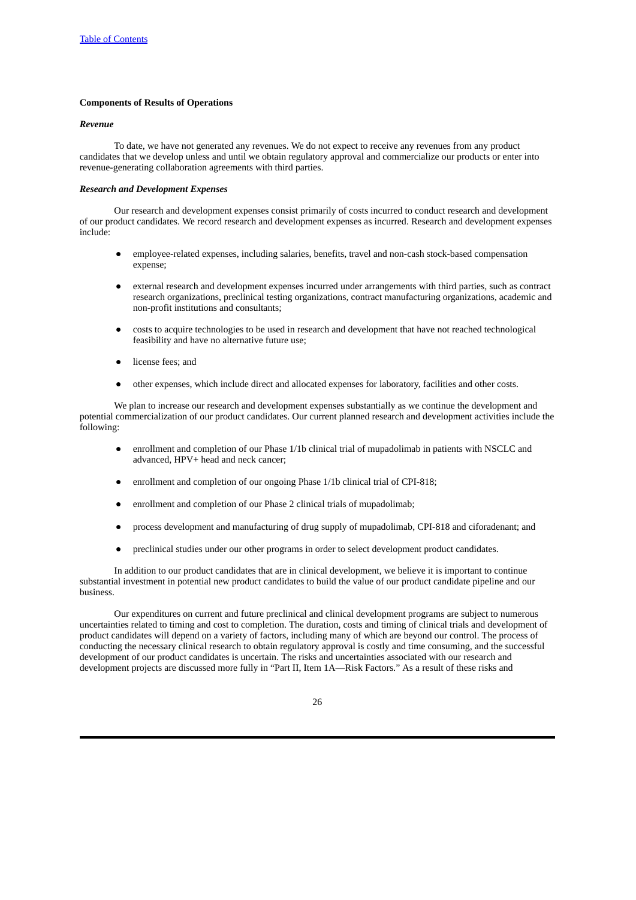### **Components of Results of Operations**

#### *Revenue*

To date, we have not generated any revenues. We do not expect to receive any revenues from any product candidates that we develop unless and until we obtain regulatory approval and commercialize our products or enter into revenue-generating collaboration agreements with third parties.

#### *Research and Development Expenses*

Our research and development expenses consist primarily of costs incurred to conduct research and development of our product candidates. We record research and development expenses as incurred. Research and development expenses include:

- employee-related expenses, including salaries, benefits, travel and non-cash stock-based compensation expense;
- external research and development expenses incurred under arrangements with third parties, such as contract research organizations, preclinical testing organizations, contract manufacturing organizations, academic and non-profit institutions and consultants;
- costs to acquire technologies to be used in research and development that have not reached technological feasibility and have no alternative future use;
- license fees; and
- other expenses, which include direct and allocated expenses for laboratory, facilities and other costs.

We plan to increase our research and development expenses substantially as we continue the development and potential commercialization of our product candidates. Our current planned research and development activities include the following:

- enrollment and completion of our Phase 1/1b clinical trial of mupadolimab in patients with NSCLC and advanced, HPV+ head and neck cancer;
- enrollment and completion of our ongoing Phase 1/1b clinical trial of CPI-818;
- enrollment and completion of our Phase 2 clinical trials of mupadolimab;
- process development and manufacturing of drug supply of mupadolimab, CPI-818 and ciforadenant; and
- preclinical studies under our other programs in order to select development product candidates.

In addition to our product candidates that are in clinical development, we believe it is important to continue substantial investment in potential new product candidates to build the value of our product candidate pipeline and our business.

Our expenditures on current and future preclinical and clinical development programs are subject to numerous uncertainties related to timing and cost to completion. The duration, costs and timing of clinical trials and development of product candidates will depend on a variety of factors, including many of which are beyond our control. The process of conducting the necessary clinical research to obtain regulatory approval is costly and time consuming, and the successful development of our product candidates is uncertain. The risks and uncertainties associated with our research and development projects are discussed more fully in "Part II, Item 1A—Risk Factors." As a result of these risks and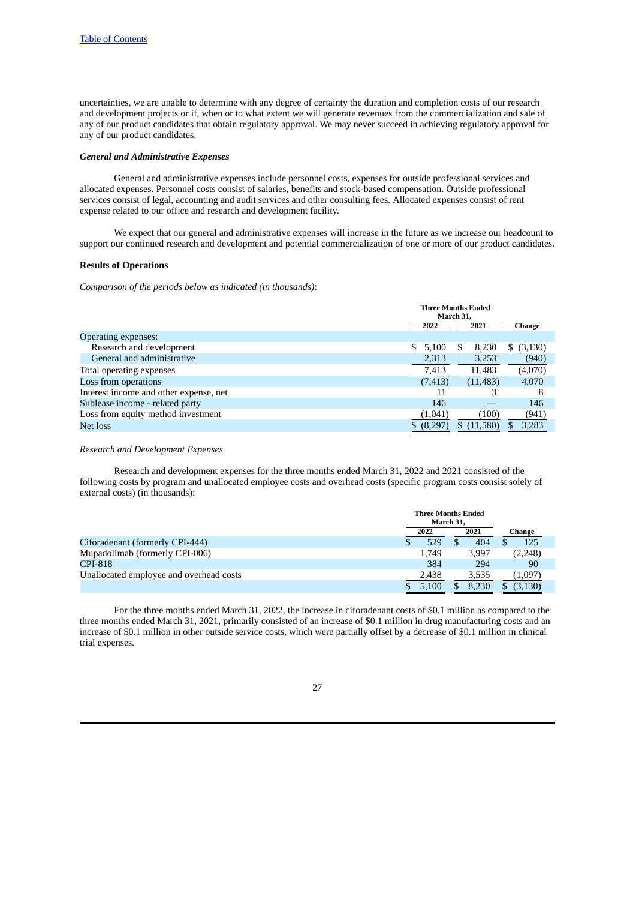uncertainties, we are unable to determine with any degree of certainty the duration and completion costs of our research and development projects or if, when or to what extent we will generate revenues from the commercialization and sale of any of our product candidates that obtain regulatory approval. We may never succeed in achieving regulatory approval for any of our product candidates.

### *General and Administrative Expenses*

General and administrative expenses include personnel costs, expenses for outside professional services and allocated expenses. Personnel costs consist of salaries, benefits and stock-based compensation. Outside professional services consist of legal, accounting and audit services and other consulting fees. Allocated expenses consist of rent expense related to our office and research and development facility.

We expect that our general and administrative expenses will increase in the future as we increase our headcount to support our continued research and development and potential commercialization of one or more of our product candidates.

### **Results of Operations**

*Comparison of the periods below as indicated (in thousands)*:

|                                        |             | <b>Three Months Ended</b><br>March 31. |         |  |
|----------------------------------------|-------------|----------------------------------------|---------|--|
|                                        | 2022        | 2021                                   | Change  |  |
| Operating expenses:                    |             |                                        |         |  |
| Research and development               | S.<br>5,100 | S<br>8,230                             | (3,130) |  |
| General and administrative             | 2,313       | 3,253                                  | (940)   |  |
| Total operating expenses               | 7,413       | 11,483                                 | (4,070) |  |
| Loss from operations                   | (7, 413)    | (11, 483)                              | 4,070   |  |
| Interest income and other expense, net |             |                                        |         |  |
| Sublease income - related party        | 146         |                                        | 146     |  |
| Loss from equity method investment     | (1,041)     | (100)                                  | (941)   |  |
| Net loss                               | \$ (8,297)  | (11,580)                               | 3,283   |  |

### *Research and Development Expenses*

Research and development expenses for the three months ended March 31, 2022 and 2021 consisted of the following costs by program and unallocated employee costs and overhead costs (specific program costs consist solely of external costs) (in thousands):

|                                         | <b>Three Months Ended</b><br>March 31. |  |       |          |     |  |  |
|-----------------------------------------|----------------------------------------|--|-------|----------|-----|--|--|
|                                         | 2022                                   |  | 2021  | Change   |     |  |  |
| Ciforadenant (formerly CPI-444)         | 529                                    |  | 404   |          | 125 |  |  |
| Mupadolimab (formerly CPI-006)          | 1.749                                  |  | 3.997 | (2,248)  |     |  |  |
| CPI-818                                 | 384                                    |  | 294   |          | 90  |  |  |
| Unallocated employee and overhead costs | 2,438                                  |  | 3.535 | (1,097)  |     |  |  |
|                                         | 5.100                                  |  | 8.230 | (3, 130) |     |  |  |

For the three months ended March 31, 2022, the increase in ciforadenant costs of \$0.1 million as compared to the three months ended March 31, 2021, primarily consisted of an increase of \$0.1 million in drug manufacturing costs and an increase of \$0.1 million in other outside service costs, which were partially offset by a decrease of \$0.1 million in clinical trial expenses.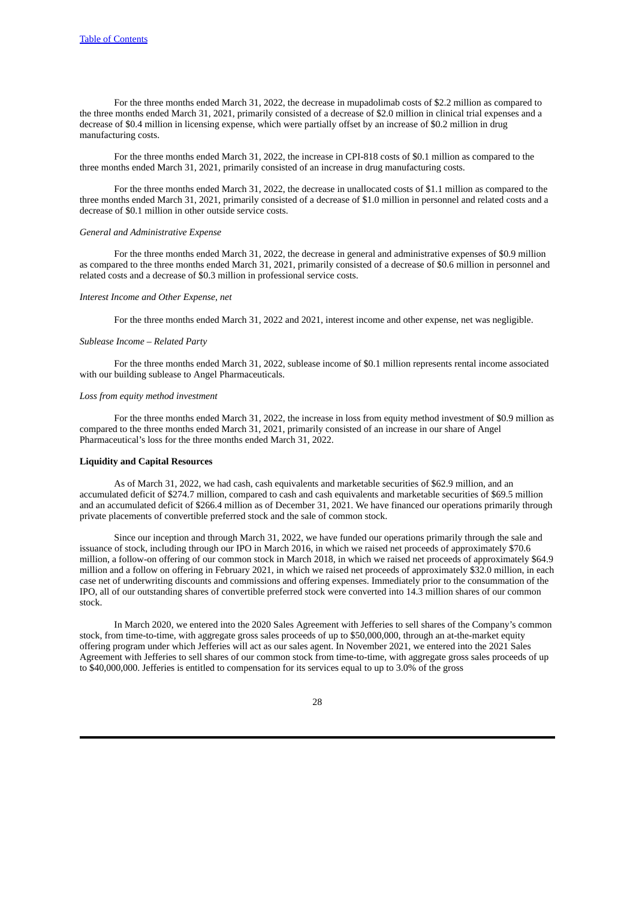For the three months ended March 31, 2022, the decrease in mupadolimab costs of \$2.2 million as compared to the three months ended March 31, 2021, primarily consisted of a decrease of \$2.0 million in clinical trial expenses and a decrease of \$0.4 million in licensing expense, which were partially offset by an increase of \$0.2 million in drug manufacturing costs.

For the three months ended March 31, 2022, the increase in CPI-818 costs of \$0.1 million as compared to the three months ended March 31, 2021, primarily consisted of an increase in drug manufacturing costs.

For the three months ended March 31, 2022, the decrease in unallocated costs of \$1.1 million as compared to the three months ended March 31, 2021, primarily consisted of a decrease of \$1.0 million in personnel and related costs and a decrease of \$0.1 million in other outside service costs.

### *General and Administrative Expense*

For the three months ended March 31, 2022, the decrease in general and administrative expenses of \$0.9 million as compared to the three months ended March 31, 2021, primarily consisted of a decrease of \$0.6 million in personnel and related costs and a decrease of \$0.3 million in professional service costs.

### *Interest Income and Other Expense, net*

For the three months ended March 31, 2022 and 2021, interest income and other expense, net was negligible.

#### *Sublease Income – Related Party*

For the three months ended March 31, 2022, sublease income of \$0.1 million represents rental income associated with our building sublease to Angel Pharmaceuticals.

## *Loss from equity method investment*

For the three months ended March 31, 2022, the increase in loss from equity method investment of \$0.9 million as compared to the three months ended March 31, 2021, primarily consisted of an increase in our share of Angel Pharmaceutical's loss for the three months ended March 31, 2022.

### **Liquidity and Capital Resources**

As of March 31, 2022, we had cash, cash equivalents and marketable securities of \$62.9 million, and an accumulated deficit of \$274.7 million, compared to cash and cash equivalents and marketable securities of \$69.5 million and an accumulated deficit of \$266.4 million as of December 31, 2021. We have financed our operations primarily through private placements of convertible preferred stock and the sale of common stock.

Since our inception and through March 31, 2022, we have funded our operations primarily through the sale and issuance of stock, including through our IPO in March 2016, in which we raised net proceeds of approximately \$70.6 million, a follow-on offering of our common stock in March 2018, in which we raised net proceeds of approximately \$64.9 million and a follow on offering in February 2021, in which we raised net proceeds of approximately \$32.0 million, in each case net of underwriting discounts and commissions and offering expenses. Immediately prior to the consummation of the IPO, all of our outstanding shares of convertible preferred stock were converted into 14.3 million shares of our common stock.

In March 2020, we entered into the 2020 Sales Agreement with Jefferies to sell shares of the Company's common stock, from time-to-time, with aggregate gross sales proceeds of up to \$50,000,000, through an at-the-market equity offering program under which Jefferies will act as our sales agent. In November 2021, we entered into the 2021 Sales Agreement with Jefferies to sell shares of our common stock from time-to-time, with aggregate gross sales proceeds of up to \$40,000,000. Jefferies is entitled to compensation for its services equal to up to 3.0% of the gross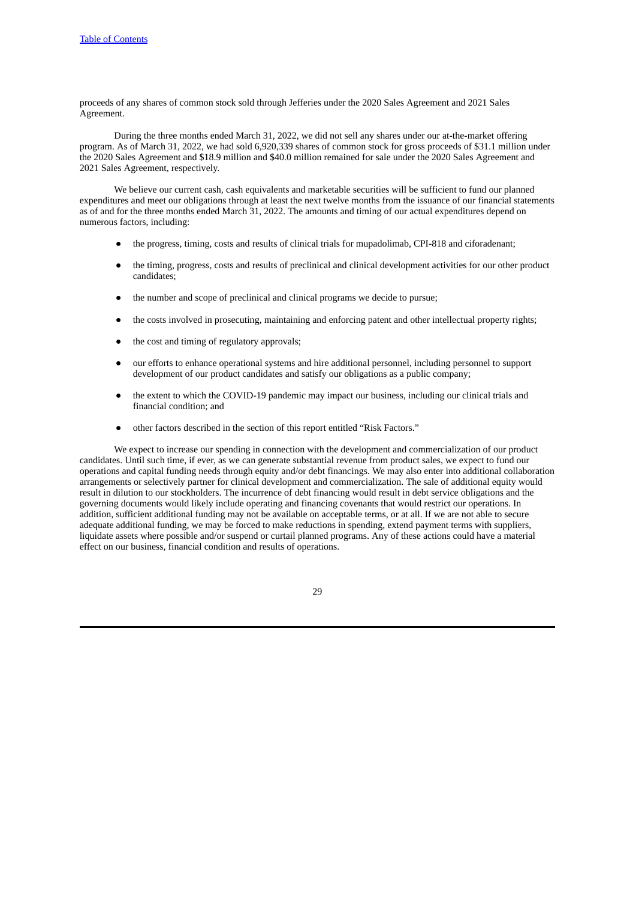proceeds of any shares of common stock sold through Jefferies under the 2020 Sales Agreement and 2021 Sales Agreement.

During the three months ended March 31, 2022, we did not sell any shares under our at-the-market offering program. As of March 31, 2022, we had sold 6,920,339 shares of common stock for gross proceeds of \$31.1 million under the 2020 Sales Agreement and \$18.9 million and \$40.0 million remained for sale under the 2020 Sales Agreement and 2021 Sales Agreement, respectively.

We believe our current cash, cash equivalents and marketable securities will be sufficient to fund our planned expenditures and meet our obligations through at least the next twelve months from the issuance of our financial statements as of and for the three months ended March 31, 2022. The amounts and timing of our actual expenditures depend on numerous factors, including:

- the progress, timing, costs and results of clinical trials for mupadolimab, CPI-818 and ciforadenant;
- the timing, progress, costs and results of preclinical and clinical development activities for our other product candidates;
- the number and scope of preclinical and clinical programs we decide to pursue;
- the costs involved in prosecuting, maintaining and enforcing patent and other intellectual property rights;
- the cost and timing of regulatory approvals;
- our efforts to enhance operational systems and hire additional personnel, including personnel to support development of our product candidates and satisfy our obligations as a public company;
- the extent to which the COVID-19 pandemic may impact our business, including our clinical trials and financial condition; and
- other factors described in the section of this report entitled "Risk Factors."

We expect to increase our spending in connection with the development and commercialization of our product candidates. Until such time, if ever, as we can generate substantial revenue from product sales, we expect to fund our operations and capital funding needs through equity and/or debt financings. We may also enter into additional collaboration arrangements or selectively partner for clinical development and commercialization. The sale of additional equity would result in dilution to our stockholders. The incurrence of debt financing would result in debt service obligations and the governing documents would likely include operating and financing covenants that would restrict our operations. In addition, sufficient additional funding may not be available on acceptable terms, or at all. If we are not able to secure adequate additional funding, we may be forced to make reductions in spending, extend payment terms with suppliers, liquidate assets where possible and/or suspend or curtail planned programs. Any of these actions could have a material effect on our business, financial condition and results of operations.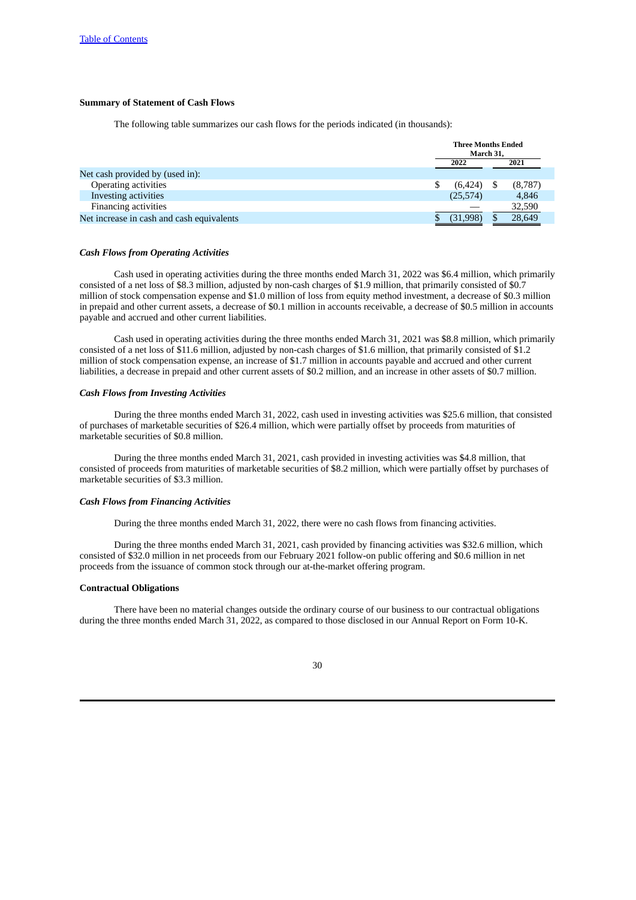### **Summary of Statement of Cash Flows**

The following table summarizes our cash flows for the periods indicated (in thousands):

|                                           | <b>Three Months Ended</b><br>March 31. |           |  |         |  |
|-------------------------------------------|----------------------------------------|-----------|--|---------|--|
|                                           |                                        | 2022      |  | 2021    |  |
| Net cash provided by (used in):           |                                        |           |  |         |  |
| Operating activities                      |                                        | (6, 424)  |  | (8,787) |  |
| Investing activities                      |                                        | (25, 574) |  | 4,846   |  |
| <b>Financing activities</b>               |                                        |           |  | 32,590  |  |
| Net increase in cash and cash equivalents |                                        | (31,998)  |  | 28,649  |  |

#### *Cash Flows from Operating Activities*

Cash used in operating activities during the three months ended March 31, 2022 was \$6.4 million, which primarily consisted of a net loss of \$8.3 million, adjusted by non-cash charges of \$1.9 million, that primarily consisted of \$0.7 million of stock compensation expense and \$1.0 million of loss from equity method investment, a decrease of \$0.3 million in prepaid and other current assets, a decrease of \$0.1 million in accounts receivable, a decrease of \$0.5 million in accounts payable and accrued and other current liabilities.

Cash used in operating activities during the three months ended March 31, 2021 was \$8.8 million, which primarily consisted of a net loss of \$11.6 million, adjusted by non-cash charges of \$1.6 million, that primarily consisted of \$1.2 million of stock compensation expense, an increase of \$1.7 million in accounts payable and accrued and other current liabilities, a decrease in prepaid and other current assets of \$0.2 million, and an increase in other assets of \$0.7 million.

### *Cash Flows from Investing Activities*

During the three months ended March 31, 2022, cash used in investing activities was \$25.6 million, that consisted of purchases of marketable securities of \$26.4 million, which were partially offset by proceeds from maturities of marketable securities of \$0.8 million.

During the three months ended March 31, 2021, cash provided in investing activities was \$4.8 million, that consisted of proceeds from maturities of marketable securities of \$8.2 million, which were partially offset by purchases of marketable securities of \$3.3 million.

### *Cash Flows from Financing Activities*

During the three months ended March 31, 2022, there were no cash flows from financing activities.

During the three months ended March 31, 2021, cash provided by financing activities was \$32.6 million, which consisted of \$32.0 million in net proceeds from our February 2021 follow-on public offering and \$0.6 million in net proceeds from the issuance of common stock through our at-the-market offering program.

### **Contractual Obligations**

There have been no material changes outside the ordinary course of our business to our contractual obligations during the three months ended March 31, 2022, as compared to those disclosed in our Annual Report on Form 10-K.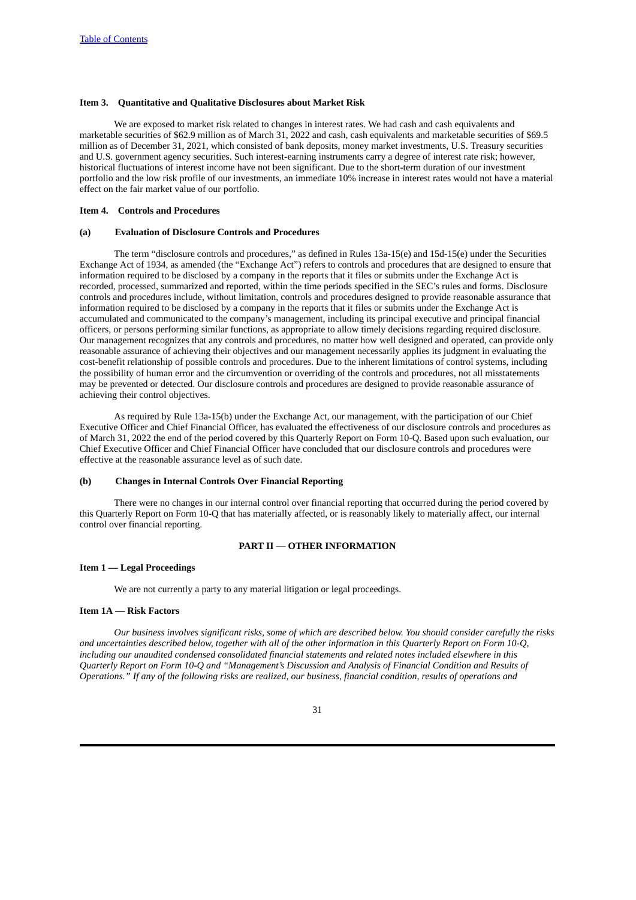### <span id="page-30-0"></span>**Item 3. Quantitative and Qualitative Disclosures about Market Risk**

We are exposed to market risk related to changes in interest rates. We had cash and cash equivalents and marketable securities of \$62.9 million as of March 31, 2022 and cash, cash equivalents and marketable securities of \$69.5 million as of December 31, 2021, which consisted of bank deposits, money market investments, U.S. Treasury securities and U.S. government agency securities. Such interest-earning instruments carry a degree of interest rate risk; however, historical fluctuations of interest income have not been significant. Due to the short-term duration of our investment portfolio and the low risk profile of our investments, an immediate 10% increase in interest rates would not have a material effect on the fair market value of our portfolio.

### <span id="page-30-1"></span>**Item 4. Controls and Procedures**

## **(a) Evaluation of Disclosure Controls and Procedures**

The term "disclosure controls and procedures," as defined in Rules 13a-15(e) and 15d-15(e) under the Securities Exchange Act of 1934, as amended (the "Exchange Act") refers to controls and procedures that are designed to ensure that information required to be disclosed by a company in the reports that it files or submits under the Exchange Act is recorded, processed, summarized and reported, within the time periods specified in the SEC's rules and forms. Disclosure controls and procedures include, without limitation, controls and procedures designed to provide reasonable assurance that information required to be disclosed by a company in the reports that it files or submits under the Exchange Act is accumulated and communicated to the company's management, including its principal executive and principal financial officers, or persons performing similar functions, as appropriate to allow timely decisions regarding required disclosure. Our management recognizes that any controls and procedures, no matter how well designed and operated, can provide only reasonable assurance of achieving their objectives and our management necessarily applies its judgment in evaluating the cost-benefit relationship of possible controls and procedures. Due to the inherent limitations of control systems, including the possibility of human error and the circumvention or overriding of the controls and procedures, not all misstatements may be prevented or detected. Our disclosure controls and procedures are designed to provide reasonable assurance of achieving their control objectives.

As required by Rule 13a-15(b) under the Exchange Act, our management, with the participation of our Chief Executive Officer and Chief Financial Officer, has evaluated the effectiveness of our disclosure controls and procedures as of March 31, 2022 the end of the period covered by this Quarterly Report on Form 10-Q. Based upon such evaluation, our Chief Executive Officer and Chief Financial Officer have concluded that our disclosure controls and procedures were effective at the reasonable assurance level as of such date.

### **(b) Changes in Internal Controls Over Financial Reporting**

There were no changes in our internal control over financial reporting that occurred during the period covered by this Quarterly Report on Form 10-Q that has materially affected, or is reasonably likely to materially affect, our internal control over financial reporting.

# **PART II — OTHER INFORMATION**

## <span id="page-30-3"></span><span id="page-30-2"></span>**Item 1 — Legal Proceedings**

We are not currently a party to any material litigation or legal proceedings.

#### <span id="page-30-4"></span>**Item 1A — Risk Factors**

Our business involves significant risks, some of which are described below. You should consider carefully the risks and uncertainties described below, together with all of the other information in this Quarterly Report on Form 10-Q, *including our unaudited condensed consolidated financial statements and related notes included elsewhere in this Quarterly Report on Form 10-Q and "Management's Discussion and Analysis of Financial Condition and Results of* Operations." If any of the following risks are realized, our business, financial condition, results of operations and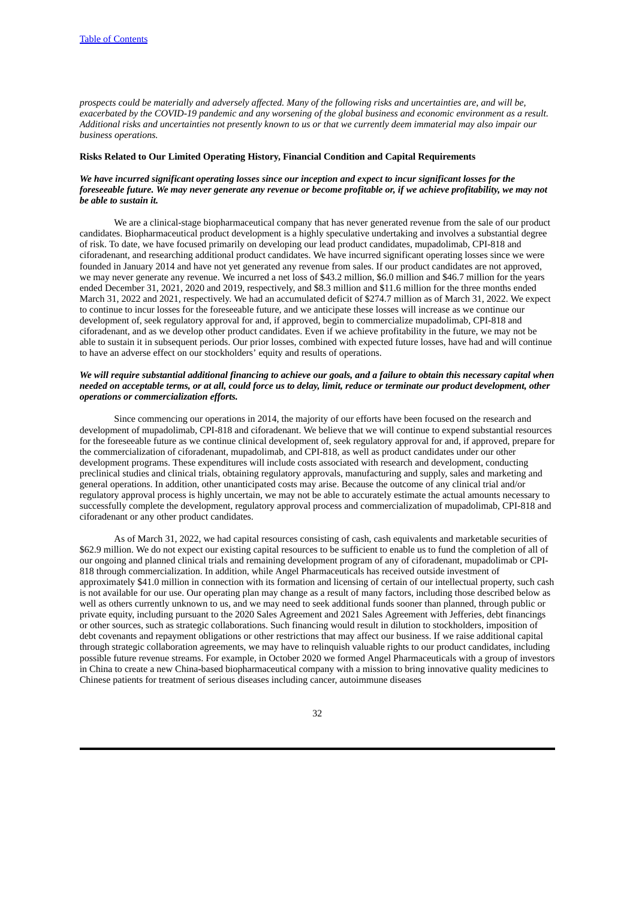prospects could be materially and adversely affected. Many of the following risks and uncertainties are, and will be, exacerbated by the COVID-19 pandemic and any worsening of the global business and economic environment as a result. Additional risks and uncertainties not presently known to us or that we currently deem immaterial may also impair our *business operations.*

### **Risks Related to Our Limited Operating History, Financial Condition and Capital Requirements**

### We have incurred significant operating losses since our inception and expect to incur significant losses for the foreseeable future. We may never generate any revenue or become profitable or, if we achieve profitability, we may not *be able to sustain it.*

We are a clinical-stage biopharmaceutical company that has never generated revenue from the sale of our product candidates. Biopharmaceutical product development is a highly speculative undertaking and involves a substantial degree of risk. To date, we have focused primarily on developing our lead product candidates, mupadolimab, CPI-818 and ciforadenant, and researching additional product candidates. We have incurred significant operating losses since we were founded in January 2014 and have not yet generated any revenue from sales. If our product candidates are not approved, we may never generate any revenue. We incurred a net loss of \$43.2 million, \$6.0 million and \$46.7 million for the years ended December 31, 2021, 2020 and 2019, respectively, and \$8.3 million and \$11.6 million for the three months ended March 31, 2022 and 2021, respectively. We had an accumulated deficit of \$274.7 million as of March 31, 2022. We expect to continue to incur losses for the foreseeable future, and we anticipate these losses will increase as we continue our development of, seek regulatory approval for and, if approved, begin to commercialize mupadolimab, CPI-818 and ciforadenant, and as we develop other product candidates. Even if we achieve profitability in the future, we may not be able to sustain it in subsequent periods. Our prior losses, combined with expected future losses, have had and will continue to have an adverse effect on our stockholders' equity and results of operations.

### We will require substantial additional financing to achieve our goals, and a failure to obtain this necessary capital when needed on acceptable terms, or at all, could force us to delay, limit, reduce or terminate our product development, other *operations or commercialization efforts.*

Since commencing our operations in 2014, the majority of our efforts have been focused on the research and development of mupadolimab, CPI-818 and ciforadenant. We believe that we will continue to expend substantial resources for the foreseeable future as we continue clinical development of, seek regulatory approval for and, if approved, prepare for the commercialization of ciforadenant, mupadolimab, and CPI-818, as well as product candidates under our other development programs. These expenditures will include costs associated with research and development, conducting preclinical studies and clinical trials, obtaining regulatory approvals, manufacturing and supply, sales and marketing and general operations. In addition, other unanticipated costs may arise. Because the outcome of any clinical trial and/or regulatory approval process is highly uncertain, we may not be able to accurately estimate the actual amounts necessary to successfully complete the development, regulatory approval process and commercialization of mupadolimab, CPI-818 and ciforadenant or any other product candidates.

As of March 31, 2022, we had capital resources consisting of cash, cash equivalents and marketable securities of \$62.9 million. We do not expect our existing capital resources to be sufficient to enable us to fund the completion of all of our ongoing and planned clinical trials and remaining development program of any of ciforadenant, mupadolimab or CPI-818 through commercialization. In addition, while Angel Pharmaceuticals has received outside investment of approximately \$41.0 million in connection with its formation and licensing of certain of our intellectual property, such cash is not available for our use. Our operating plan may change as a result of many factors, including those described below as well as others currently unknown to us, and we may need to seek additional funds sooner than planned, through public or private equity, including pursuant to the 2020 Sales Agreement and 2021 Sales Agreement with Jefferies, debt financings or other sources, such as strategic collaborations. Such financing would result in dilution to stockholders, imposition of debt covenants and repayment obligations or other restrictions that may affect our business. If we raise additional capital through strategic collaboration agreements, we may have to relinquish valuable rights to our product candidates, including possible future revenue streams. For example, in October 2020 we formed Angel Pharmaceuticals with a group of investors in China to create a new China-based biopharmaceutical company with a mission to bring innovative quality medicines to Chinese patients for treatment of serious diseases including cancer, autoimmune diseases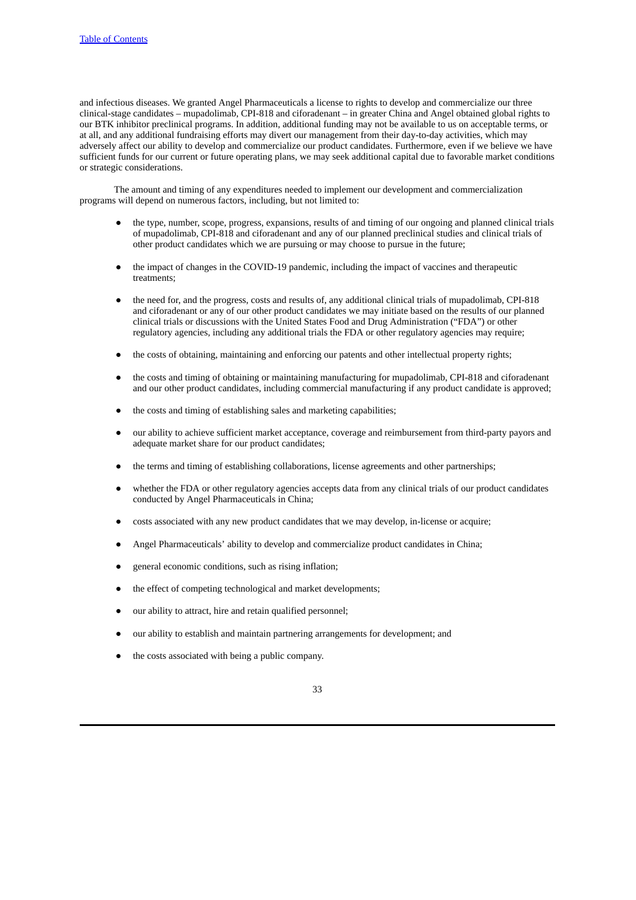and infectious diseases. We granted Angel Pharmaceuticals a license to rights to develop and commercialize our three clinical-stage candidates – mupadolimab, CPI-818 and ciforadenant – in greater China and Angel obtained global rights to our BTK inhibitor preclinical programs. In addition, additional funding may not be available to us on acceptable terms, or at all, and any additional fundraising efforts may divert our management from their day-to-day activities, which may adversely affect our ability to develop and commercialize our product candidates. Furthermore, even if we believe we have sufficient funds for our current or future operating plans, we may seek additional capital due to favorable market conditions or strategic considerations.

The amount and timing of any expenditures needed to implement our development and commercialization programs will depend on numerous factors, including, but not limited to:

- the type, number, scope, progress, expansions, results of and timing of our ongoing and planned clinical trials of mupadolimab, CPI-818 and ciforadenant and any of our planned preclinical studies and clinical trials of other product candidates which we are pursuing or may choose to pursue in the future;
- the impact of changes in the COVID-19 pandemic, including the impact of vaccines and therapeutic treatments;
- the need for, and the progress, costs and results of, any additional clinical trials of mupadolimab, CPI-818 and ciforadenant or any of our other product candidates we may initiate based on the results of our planned clinical trials or discussions with the United States Food and Drug Administration ("FDA") or other regulatory agencies, including any additional trials the FDA or other regulatory agencies may require;
- the costs of obtaining, maintaining and enforcing our patents and other intellectual property rights;
- the costs and timing of obtaining or maintaining manufacturing for mupadolimab, CPI-818 and ciforadenant and our other product candidates, including commercial manufacturing if any product candidate is approved;
- the costs and timing of establishing sales and marketing capabilities;
- our ability to achieve sufficient market acceptance, coverage and reimbursement from third-party payors and adequate market share for our product candidates;
- the terms and timing of establishing collaborations, license agreements and other partnerships;
- whether the FDA or other regulatory agencies accepts data from any clinical trials of our product candidates conducted by Angel Pharmaceuticals in China;
- costs associated with any new product candidates that we may develop, in-license or acquire;
- Angel Pharmaceuticals' ability to develop and commercialize product candidates in China;
- general economic conditions, such as rising inflation;
- the effect of competing technological and market developments;
- our ability to attract, hire and retain qualified personnel;
- our ability to establish and maintain partnering arrangements for development; and
- the costs associated with being a public company.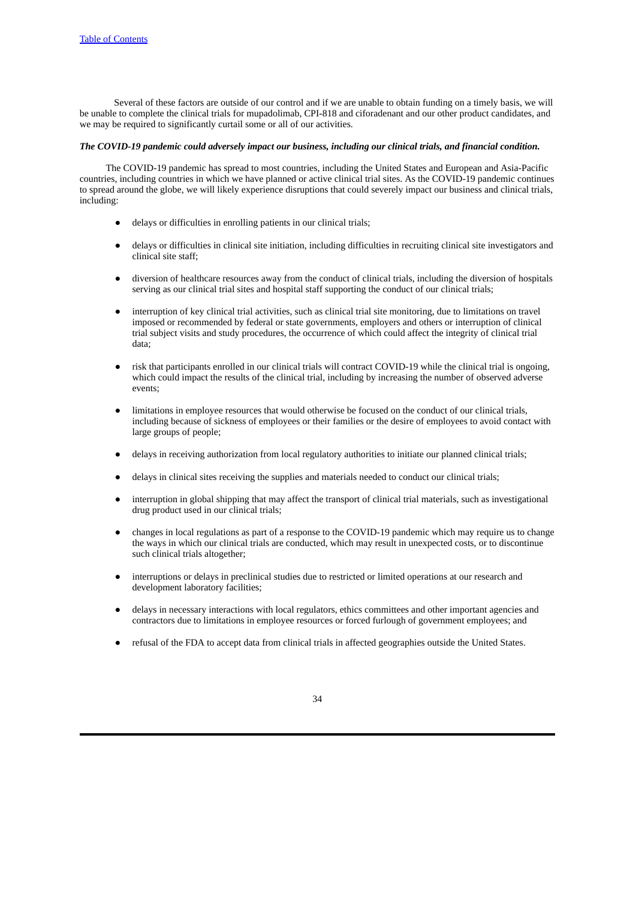Several of these factors are outside of our control and if we are unable to obtain funding on a timely basis, we will be unable to complete the clinical trials for mupadolimab, CPI-818 and ciforadenant and our other product candidates, and we may be required to significantly curtail some or all of our activities.

### *The COVID-19 pandemic could adversely impact our business, including our clinical trials, and financial condition.*

The COVID-19 pandemic has spread to most countries, including the United States and European and Asia-Pacific countries, including countries in which we have planned or active clinical trial sites. As the COVID-19 pandemic continues to spread around the globe, we will likely experience disruptions that could severely impact our business and clinical trials, including:

- delays or difficulties in enrolling patients in our clinical trials;
- delays or difficulties in clinical site initiation, including difficulties in recruiting clinical site investigators and clinical site staff;
- diversion of healthcare resources away from the conduct of clinical trials, including the diversion of hospitals serving as our clinical trial sites and hospital staff supporting the conduct of our clinical trials;
- interruption of key clinical trial activities, such as clinical trial site monitoring, due to limitations on travel imposed or recommended by federal or state governments, employers and others or interruption of clinical trial subject visits and study procedures, the occurrence of which could affect the integrity of clinical trial data;
- risk that participants enrolled in our clinical trials will contract COVID-19 while the clinical trial is ongoing, which could impact the results of the clinical trial, including by increasing the number of observed adverse events;
- limitations in employee resources that would otherwise be focused on the conduct of our clinical trials, including because of sickness of employees or their families or the desire of employees to avoid contact with large groups of people;
- delays in receiving authorization from local regulatory authorities to initiate our planned clinical trials;
- delays in clinical sites receiving the supplies and materials needed to conduct our clinical trials;
- interruption in global shipping that may affect the transport of clinical trial materials, such as investigational drug product used in our clinical trials;
- changes in local regulations as part of a response to the COVID-19 pandemic which may require us to change the ways in which our clinical trials are conducted, which may result in unexpected costs, or to discontinue such clinical trials altogether;
- interruptions or delays in preclinical studies due to restricted or limited operations at our research and development laboratory facilities;
- delays in necessary interactions with local regulators, ethics committees and other important agencies and contractors due to limitations in employee resources or forced furlough of government employees; and
- refusal of the FDA to accept data from clinical trials in affected geographies outside the United States.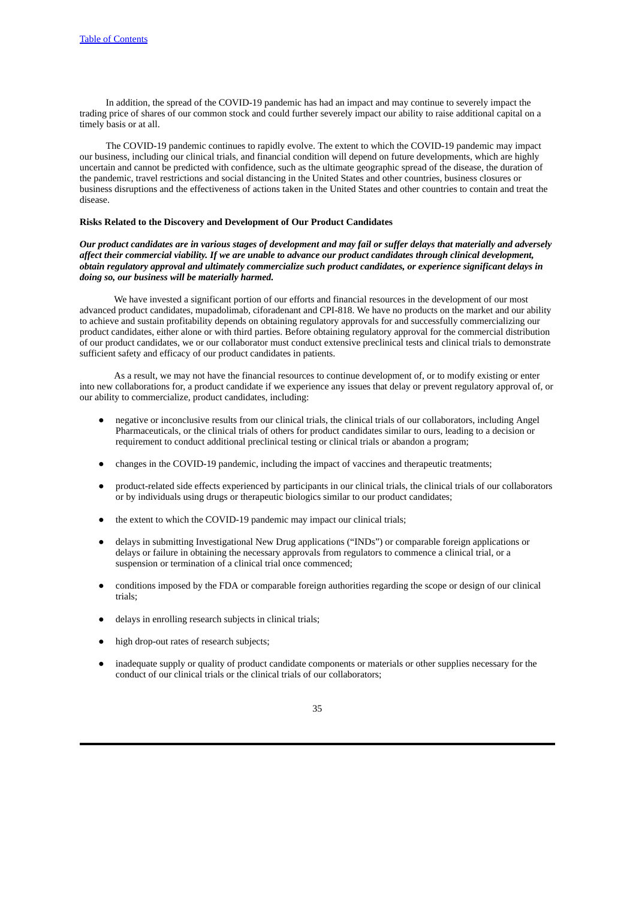In addition, the spread of the COVID-19 pandemic has had an impact and may continue to severely impact the trading price of shares of our common stock and could further severely impact our ability to raise additional capital on a timely basis or at all.

The COVID-19 pandemic continues to rapidly evolve. The extent to which the COVID-19 pandemic may impact our business, including our clinical trials, and financial condition will depend on future developments, which are highly uncertain and cannot be predicted with confidence, such as the ultimate geographic spread of the disease, the duration of the pandemic, travel restrictions and social distancing in the United States and other countries, business closures or business disruptions and the effectiveness of actions taken in the United States and other countries to contain and treat the disease.

### **Risks Related to the Discovery and Development of Our Product Candidates**

Our product candidates are in various stages of development and may fail or suffer delays that materially and adversely affect their commercial viability. If we are unable to advance our product candidates through clinical development, *obtain regulatory approval and ultimately commercialize such product candidates, or experience significant delays in doing so, our business will be materially harmed.*

We have invested a significant portion of our efforts and financial resources in the development of our most advanced product candidates, mupadolimab, ciforadenant and CPI-818. We have no products on the market and our ability to achieve and sustain profitability depends on obtaining regulatory approvals for and successfully commercializing our product candidates, either alone or with third parties. Before obtaining regulatory approval for the commercial distribution of our product candidates, we or our collaborator must conduct extensive preclinical tests and clinical trials to demonstrate sufficient safety and efficacy of our product candidates in patients.

As a result, we may not have the financial resources to continue development of, or to modify existing or enter into new collaborations for, a product candidate if we experience any issues that delay or prevent regulatory approval of, or our ability to commercialize, product candidates, including:

- negative or inconclusive results from our clinical trials, the clinical trials of our collaborators, including Angel Pharmaceuticals, or the clinical trials of others for product candidates similar to ours, leading to a decision or requirement to conduct additional preclinical testing or clinical trials or abandon a program;
- changes in the COVID-19 pandemic, including the impact of vaccines and therapeutic treatments;
- product-related side effects experienced by participants in our clinical trials, the clinical trials of our collaborators or by individuals using drugs or therapeutic biologics similar to our product candidates;
- the extent to which the COVID-19 pandemic may impact our clinical trials;
- delays in submitting Investigational New Drug applications ("INDs") or comparable foreign applications or delays or failure in obtaining the necessary approvals from regulators to commence a clinical trial, or a suspension or termination of a clinical trial once commenced;
- conditions imposed by the FDA or comparable foreign authorities regarding the scope or design of our clinical trials;
- delays in enrolling research subjects in clinical trials;
- high drop-out rates of research subjects;
- inadequate supply or quality of product candidate components or materials or other supplies necessary for the conduct of our clinical trials or the clinical trials of our collaborators;

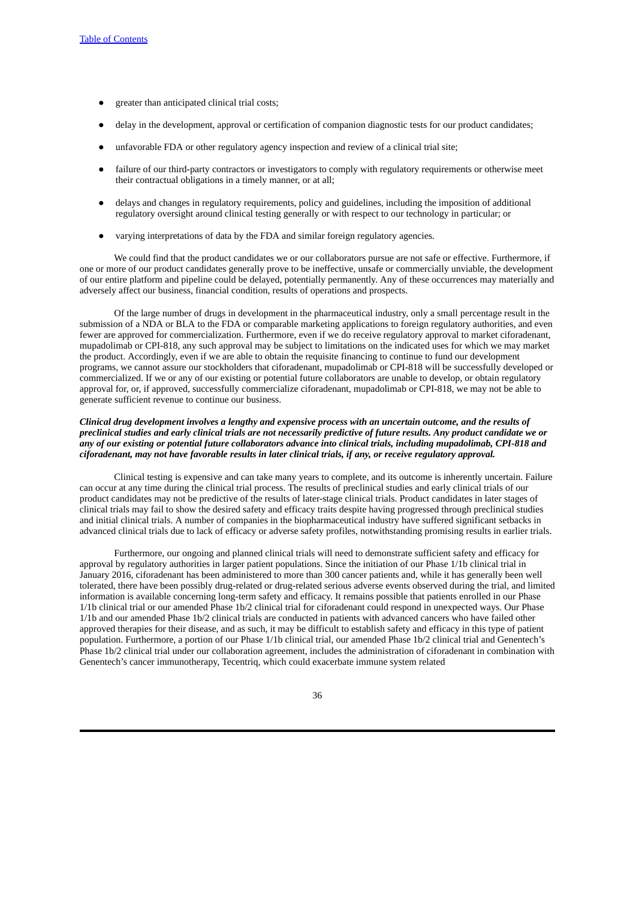- greater than anticipated clinical trial costs;
- delay in the development, approval or certification of companion diagnostic tests for our product candidates;
- unfavorable FDA or other regulatory agency inspection and review of a clinical trial site;
- failure of our third-party contractors or investigators to comply with regulatory requirements or otherwise meet their contractual obligations in a timely manner, or at all;
- delays and changes in regulatory requirements, policy and guidelines, including the imposition of additional regulatory oversight around clinical testing generally or with respect to our technology in particular; or
- varying interpretations of data by the FDA and similar foreign regulatory agencies.

We could find that the product candidates we or our collaborators pursue are not safe or effective. Furthermore, if one or more of our product candidates generally prove to be ineffective, unsafe or commercially unviable, the development of our entire platform and pipeline could be delayed, potentially permanently. Any of these occurrences may materially and adversely affect our business, financial condition, results of operations and prospects.

Of the large number of drugs in development in the pharmaceutical industry, only a small percentage result in the submission of a NDA or BLA to the FDA or comparable marketing applications to foreign regulatory authorities, and even fewer are approved for commercialization. Furthermore, even if we do receive regulatory approval to market ciforadenant, mupadolimab or CPI-818, any such approval may be subject to limitations on the indicated uses for which we may market the product. Accordingly, even if we are able to obtain the requisite financing to continue to fund our development programs, we cannot assure our stockholders that ciforadenant, mupadolimab or CPI-818 will be successfully developed or commercialized. If we or any of our existing or potential future collaborators are unable to develop, or obtain regulatory approval for, or, if approved, successfully commercialize ciforadenant, mupadolimab or CPI-818, we may not be able to generate sufficient revenue to continue our business.

### Clinical drug development involves a lengthy and expensive process with an uncertain outcome, and the results of preclinical studies and early clinical trials are not necessarily predictive of future results. Any product candidate we or any of our existing or potential future collaborators advance into clinical trials, including mupadolimab, CPI-818 and *ciforadenant, may not have favorable results in later clinical trials, if any, or receive regulatory approval.*

Clinical testing is expensive and can take many years to complete, and its outcome is inherently uncertain. Failure can occur at any time during the clinical trial process. The results of preclinical studies and early clinical trials of our product candidates may not be predictive of the results of later-stage clinical trials. Product candidates in later stages of clinical trials may fail to show the desired safety and efficacy traits despite having progressed through preclinical studies and initial clinical trials. A number of companies in the biopharmaceutical industry have suffered significant setbacks in advanced clinical trials due to lack of efficacy or adverse safety profiles, notwithstanding promising results in earlier trials.

Furthermore, our ongoing and planned clinical trials will need to demonstrate sufficient safety and efficacy for approval by regulatory authorities in larger patient populations. Since the initiation of our Phase 1/1b clinical trial in January 2016, ciforadenant has been administered to more than 300 cancer patients and, while it has generally been well tolerated, there have been possibly drug-related or drug-related serious adverse events observed during the trial, and limited information is available concerning long-term safety and efficacy. It remains possible that patients enrolled in our Phase 1/1b clinical trial or our amended Phase 1b/2 clinical trial for ciforadenant could respond in unexpected ways. Our Phase 1/1b and our amended Phase 1b/2 clinical trials are conducted in patients with advanced cancers who have failed other approved therapies for their disease, and as such, it may be difficult to establish safety and efficacy in this type of patient population. Furthermore, a portion of our Phase 1/1b clinical trial, our amended Phase 1b/2 clinical trial and Genentech's Phase 1b/2 clinical trial under our collaboration agreement, includes the administration of ciforadenant in combination with Genentech's cancer immunotherapy, Tecentriq, which could exacerbate immune system related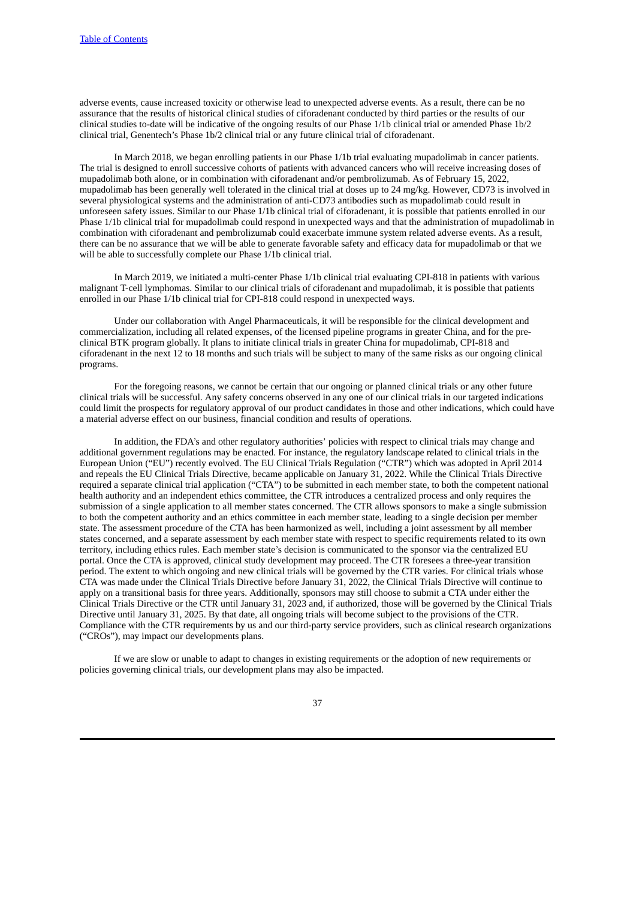adverse events, cause increased toxicity or otherwise lead to unexpected adverse events. As a result, there can be no assurance that the results of historical clinical studies of ciforadenant conducted by third parties or the results of our clinical studies to-date will be indicative of the ongoing results of our Phase 1/1b clinical trial or amended Phase 1b/2 clinical trial, Genentech's Phase 1b/2 clinical trial or any future clinical trial of ciforadenant.

In March 2018, we began enrolling patients in our Phase 1/1b trial evaluating mupadolimab in cancer patients. The trial is designed to enroll successive cohorts of patients with advanced cancers who will receive increasing doses of mupadolimab both alone, or in combination with ciforadenant and/or pembrolizumab. As of February 15, 2022, mupadolimab has been generally well tolerated in the clinical trial at doses up to 24 mg/kg. However, CD73 is involved in several physiological systems and the administration of anti-CD73 antibodies such as mupadolimab could result in unforeseen safety issues. Similar to our Phase 1/1b clinical trial of ciforadenant, it is possible that patients enrolled in our Phase 1/1b clinical trial for mupadolimab could respond in unexpected ways and that the administration of mupadolimab in combination with ciforadenant and pembrolizumab could exacerbate immune system related adverse events. As a result, there can be no assurance that we will be able to generate favorable safety and efficacy data for mupadolimab or that we will be able to successfully complete our Phase 1/1b clinical trial.

In March 2019, we initiated a multi-center Phase 1/1b clinical trial evaluating CPI-818 in patients with various malignant T-cell lymphomas. Similar to our clinical trials of ciforadenant and mupadolimab, it is possible that patients enrolled in our Phase 1/1b clinical trial for CPI-818 could respond in unexpected ways.

Under our collaboration with Angel Pharmaceuticals, it will be responsible for the clinical development and commercialization, including all related expenses, of the licensed pipeline programs in greater China, and for the preclinical BTK program globally. It plans to initiate clinical trials in greater China for mupadolimab, CPI-818 and ciforadenant in the next 12 to 18 months and such trials will be subject to many of the same risks as our ongoing clinical programs.

For the foregoing reasons, we cannot be certain that our ongoing or planned clinical trials or any other future clinical trials will be successful. Any safety concerns observed in any one of our clinical trials in our targeted indications could limit the prospects for regulatory approval of our product candidates in those and other indications, which could have a material adverse effect on our business, financial condition and results of operations.

In addition, the FDA's and other regulatory authorities' policies with respect to clinical trials may change and additional government regulations may be enacted. For instance, the regulatory landscape related to clinical trials in the European Union ("EU") recently evolved. The EU Clinical Trials Regulation ("CTR") which was adopted in April 2014 and repeals the EU Clinical Trials Directive, became applicable on January 31, 2022. While the Clinical Trials Directive required a separate clinical trial application ("CTA") to be submitted in each member state, to both the competent national health authority and an independent ethics committee, the CTR introduces a centralized process and only requires the submission of a single application to all member states concerned. The CTR allows sponsors to make a single submission to both the competent authority and an ethics committee in each member state, leading to a single decision per member state. The assessment procedure of the CTA has been harmonized as well, including a joint assessment by all member states concerned, and a separate assessment by each member state with respect to specific requirements related to its own territory, including ethics rules. Each member state's decision is communicated to the sponsor via the centralized EU portal. Once the CTA is approved, clinical study development may proceed. The CTR foresees a three-year transition period. The extent to which ongoing and new clinical trials will be governed by the CTR varies. For clinical trials whose CTA was made under the Clinical Trials Directive before January 31, 2022, the Clinical Trials Directive will continue to apply on a transitional basis for three years. Additionally, sponsors may still choose to submit a CTA under either the Clinical Trials Directive or the CTR until January 31, 2023 and, if authorized, those will be governed by the Clinical Trials Directive until January 31, 2025. By that date, all ongoing trials will become subject to the provisions of the CTR. Compliance with the CTR requirements by us and our third-party service providers, such as clinical research organizations ("CROs"), may impact our developments plans.

If we are slow or unable to adapt to changes in existing requirements or the adoption of new requirements or policies governing clinical trials, our development plans may also be impacted.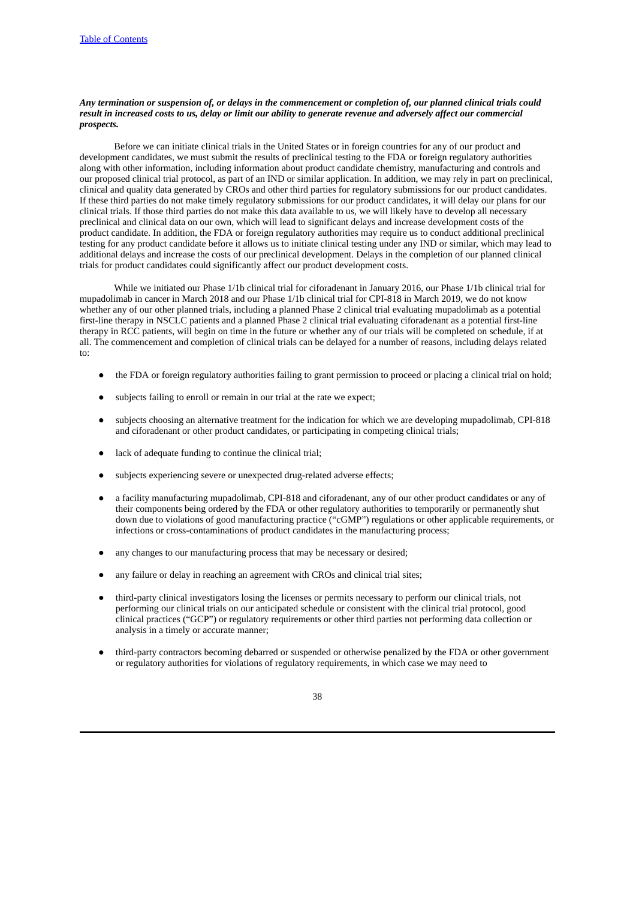## Any termination or suspension of, or delays in the commencement or completion of, our planned clinical trials could result in increased costs to us, delay or limit our ability to generate revenue and adversely affect our commercial *prospects.*

Before we can initiate clinical trials in the United States or in foreign countries for any of our product and development candidates, we must submit the results of preclinical testing to the FDA or foreign regulatory authorities along with other information, including information about product candidate chemistry, manufacturing and controls and our proposed clinical trial protocol, as part of an IND or similar application. In addition, we may rely in part on preclinical, clinical and quality data generated by CROs and other third parties for regulatory submissions for our product candidates. If these third parties do not make timely regulatory submissions for our product candidates, it will delay our plans for our clinical trials. If those third parties do not make this data available to us, we will likely have to develop all necessary preclinical and clinical data on our own, which will lead to significant delays and increase development costs of the product candidate. In addition, the FDA or foreign regulatory authorities may require us to conduct additional preclinical testing for any product candidate before it allows us to initiate clinical testing under any IND or similar, which may lead to additional delays and increase the costs of our preclinical development. Delays in the completion of our planned clinical trials for product candidates could significantly affect our product development costs.

While we initiated our Phase 1/1b clinical trial for ciforadenant in January 2016, our Phase 1/1b clinical trial for mupadolimab in cancer in March 2018 and our Phase 1/1b clinical trial for CPI-818 in March 2019, we do not know whether any of our other planned trials, including a planned Phase 2 clinical trial evaluating mupadolimab as a potential first-line therapy in NSCLC patients and a planned Phase 2 clinical trial evaluating ciforadenant as a potential first-line therapy in RCC patients, will begin on time in the future or whether any of our trials will be completed on schedule, if at all. The commencement and completion of clinical trials can be delayed for a number of reasons, including delays related to:

- the FDA or foreign regulatory authorities failing to grant permission to proceed or placing a clinical trial on hold;
- subjects failing to enroll or remain in our trial at the rate we expect;
- subjects choosing an alternative treatment for the indication for which we are developing mupadolimab, CPI-818 and ciforadenant or other product candidates, or participating in competing clinical trials;
- lack of adequate funding to continue the clinical trial;
- subjects experiencing severe or unexpected drug-related adverse effects;
- a facility manufacturing mupadolimab, CPI-818 and ciforadenant, any of our other product candidates or any of their components being ordered by the FDA or other regulatory authorities to temporarily or permanently shut down due to violations of good manufacturing practice ("cGMP") regulations or other applicable requirements, or infections or cross-contaminations of product candidates in the manufacturing process;
- any changes to our manufacturing process that may be necessary or desired;
- any failure or delay in reaching an agreement with CROs and clinical trial sites;
- third-party clinical investigators losing the licenses or permits necessary to perform our clinical trials, not performing our clinical trials on our anticipated schedule or consistent with the clinical trial protocol, good clinical practices ("GCP") or regulatory requirements or other third parties not performing data collection or analysis in a timely or accurate manner;
- third-party contractors becoming debarred or suspended or otherwise penalized by the FDA or other government or regulatory authorities for violations of regulatory requirements, in which case we may need to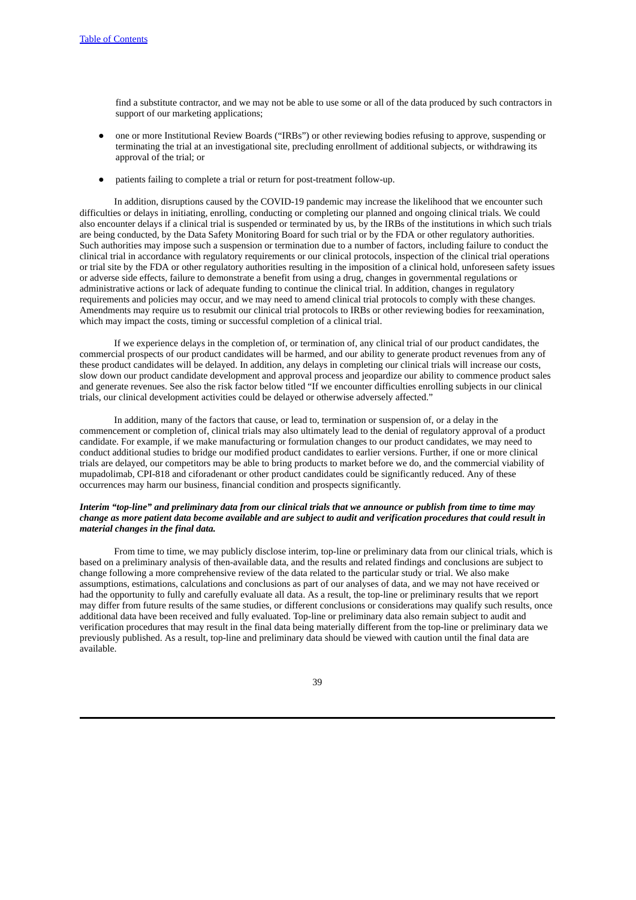find a substitute contractor, and we may not be able to use some or all of the data produced by such contractors in support of our marketing applications:

- one or more Institutional Review Boards ("IRBs") or other reviewing bodies refusing to approve, suspending or terminating the trial at an investigational site, precluding enrollment of additional subjects, or withdrawing its approval of the trial; or
- patients failing to complete a trial or return for post-treatment follow-up.

In addition, disruptions caused by the COVID-19 pandemic may increase the likelihood that we encounter such difficulties or delays in initiating, enrolling, conducting or completing our planned and ongoing clinical trials. We could also encounter delays if a clinical trial is suspended or terminated by us, by the IRBs of the institutions in which such trials are being conducted, by the Data Safety Monitoring Board for such trial or by the FDA or other regulatory authorities. Such authorities may impose such a suspension or termination due to a number of factors, including failure to conduct the clinical trial in accordance with regulatory requirements or our clinical protocols, inspection of the clinical trial operations or trial site by the FDA or other regulatory authorities resulting in the imposition of a clinical hold, unforeseen safety issues or adverse side effects, failure to demonstrate a benefit from using a drug, changes in governmental regulations or administrative actions or lack of adequate funding to continue the clinical trial. In addition, changes in regulatory requirements and policies may occur, and we may need to amend clinical trial protocols to comply with these changes. Amendments may require us to resubmit our clinical trial protocols to IRBs or other reviewing bodies for reexamination, which may impact the costs, timing or successful completion of a clinical trial.

If we experience delays in the completion of, or termination of, any clinical trial of our product candidates, the commercial prospects of our product candidates will be harmed, and our ability to generate product revenues from any of these product candidates will be delayed. In addition, any delays in completing our clinical trials will increase our costs, slow down our product candidate development and approval process and jeopardize our ability to commence product sales and generate revenues. See also the risk factor below titled "If we encounter difficulties enrolling subjects in our clinical trials, our clinical development activities could be delayed or otherwise adversely affected."

In addition, many of the factors that cause, or lead to, termination or suspension of, or a delay in the commencement or completion of, clinical trials may also ultimately lead to the denial of regulatory approval of a product candidate. For example, if we make manufacturing or formulation changes to our product candidates, we may need to conduct additional studies to bridge our modified product candidates to earlier versions. Further, if one or more clinical trials are delayed, our competitors may be able to bring products to market before we do, and the commercial viability of mupadolimab, CPI-818 and ciforadenant or other product candidates could be significantly reduced. Any of these occurrences may harm our business, financial condition and prospects significantly.

## Interim "top-line" and preliminary data from our clinical trials that we announce or publish from time to time may change as more patient data become available and are subject to audit and verification procedures that could result in *material changes in the final data.*

From time to time, we may publicly disclose interim, top-line or preliminary data from our clinical trials, which is based on a preliminary analysis of then-available data, and the results and related findings and conclusions are subject to change following a more comprehensive review of the data related to the particular study or trial. We also make assumptions, estimations, calculations and conclusions as part of our analyses of data, and we may not have received or had the opportunity to fully and carefully evaluate all data. As a result, the top-line or preliminary results that we report may differ from future results of the same studies, or different conclusions or considerations may qualify such results, once additional data have been received and fully evaluated. Top-line or preliminary data also remain subject to audit and verification procedures that may result in the final data being materially different from the top-line or preliminary data we previously published. As a result, top-line and preliminary data should be viewed with caution until the final data are available.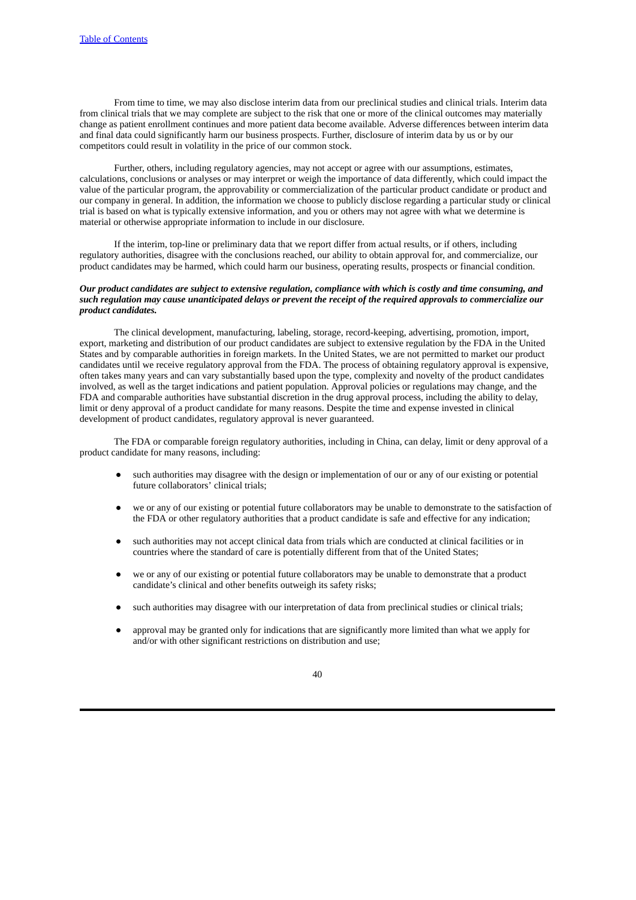From time to time, we may also disclose interim data from our preclinical studies and clinical trials. Interim data from clinical trials that we may complete are subject to the risk that one or more of the clinical outcomes may materially change as patient enrollment continues and more patient data become available. Adverse differences between interim data and final data could significantly harm our business prospects. Further, disclosure of interim data by us or by our competitors could result in volatility in the price of our common stock.

Further, others, including regulatory agencies, may not accept or agree with our assumptions, estimates, calculations, conclusions or analyses or may interpret or weigh the importance of data differently, which could impact the value of the particular program, the approvability or commercialization of the particular product candidate or product and our company in general. In addition, the information we choose to publicly disclose regarding a particular study or clinical trial is based on what is typically extensive information, and you or others may not agree with what we determine is material or otherwise appropriate information to include in our disclosure.

If the interim, top-line or preliminary data that we report differ from actual results, or if others, including regulatory authorities, disagree with the conclusions reached, our ability to obtain approval for, and commercialize, our product candidates may be harmed, which could harm our business, operating results, prospects or financial condition.

## Our product candidates are subject to extensive regulation, compliance with which is costly and time consuming, and such regulation may cause unanticipated delays or prevent the receipt of the required approvals to commercialize our *product candidates.*

The clinical development, manufacturing, labeling, storage, record-keeping, advertising, promotion, import, export, marketing and distribution of our product candidates are subject to extensive regulation by the FDA in the United States and by comparable authorities in foreign markets. In the United States, we are not permitted to market our product candidates until we receive regulatory approval from the FDA. The process of obtaining regulatory approval is expensive, often takes many years and can vary substantially based upon the type, complexity and novelty of the product candidates involved, as well as the target indications and patient population. Approval policies or regulations may change, and the FDA and comparable authorities have substantial discretion in the drug approval process, including the ability to delay, limit or deny approval of a product candidate for many reasons. Despite the time and expense invested in clinical development of product candidates, regulatory approval is never guaranteed.

The FDA or comparable foreign regulatory authorities, including in China, can delay, limit or deny approval of a product candidate for many reasons, including:

- such authorities may disagree with the design or implementation of our or any of our existing or potential future collaborators' clinical trials;
- we or any of our existing or potential future collaborators may be unable to demonstrate to the satisfaction of the FDA or other regulatory authorities that a product candidate is safe and effective for any indication;
- such authorities may not accept clinical data from trials which are conducted at clinical facilities or in countries where the standard of care is potentially different from that of the United States;
- we or any of our existing or potential future collaborators may be unable to demonstrate that a product candidate's clinical and other benefits outweigh its safety risks;
- such authorities may disagree with our interpretation of data from preclinical studies or clinical trials;
- approval may be granted only for indications that are significantly more limited than what we apply for and/or with other significant restrictions on distribution and use;

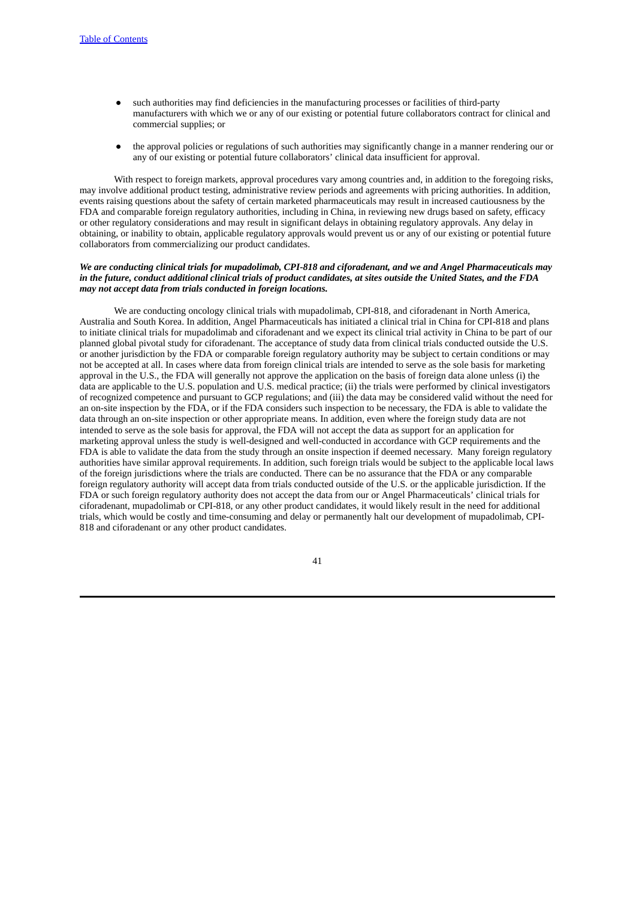- such authorities may find deficiencies in the manufacturing processes or facilities of third-party manufacturers with which we or any of our existing or potential future collaborators contract for clinical and commercial supplies; or
- the approval policies or regulations of such authorities may significantly change in a manner rendering our or any of our existing or potential future collaborators' clinical data insufficient for approval.

With respect to foreign markets, approval procedures vary among countries and, in addition to the foregoing risks, may involve additional product testing, administrative review periods and agreements with pricing authorities. In addition, events raising questions about the safety of certain marketed pharmaceuticals may result in increased cautiousness by the FDA and comparable foreign regulatory authorities, including in China, in reviewing new drugs based on safety, efficacy or other regulatory considerations and may result in significant delays in obtaining regulatory approvals. Any delay in obtaining, or inability to obtain, applicable regulatory approvals would prevent us or any of our existing or potential future collaborators from commercializing our product candidates.

## We are conducting clinical trials for mupadolimab, CPI-818 and ciforadenant, and we and Angel Pharmaceuticals may in the future, conduct additional clinical trials of product candidates, at sites outside the United States, and the FDA *may not accept data from trials conducted in foreign locations.*

We are conducting oncology clinical trials with mupadolimab, CPI-818, and ciforadenant in North America, Australia and South Korea. In addition, Angel Pharmaceuticals has initiated a clinical trial in China for CPI-818 and plans to initiate clinical trials for mupadolimab and ciforadenant and we expect its clinical trial activity in China to be part of our planned global pivotal study for ciforadenant. The acceptance of study data from clinical trials conducted outside the U.S. or another jurisdiction by the FDA or comparable foreign regulatory authority may be subject to certain conditions or may not be accepted at all. In cases where data from foreign clinical trials are intended to serve as the sole basis for marketing approval in the U.S., the FDA will generally not approve the application on the basis of foreign data alone unless (i) the data are applicable to the U.S. population and U.S. medical practice; (ii) the trials were performed by clinical investigators of recognized competence and pursuant to GCP regulations; and (iii) the data may be considered valid without the need for an on-site inspection by the FDA, or if the FDA considers such inspection to be necessary, the FDA is able to validate the data through an on-site inspection or other appropriate means. In addition, even where the foreign study data are not intended to serve as the sole basis for approval, the FDA will not accept the data as support for an application for marketing approval unless the study is well-designed and well-conducted in accordance with GCP requirements and the FDA is able to validate the data from the study through an onsite inspection if deemed necessary. Many foreign regulatory authorities have similar approval requirements. In addition, such foreign trials would be subject to the applicable local laws of the foreign jurisdictions where the trials are conducted. There can be no assurance that the FDA or any comparable foreign regulatory authority will accept data from trials conducted outside of the U.S. or the applicable jurisdiction. If the FDA or such foreign regulatory authority does not accept the data from our or Angel Pharmaceuticals' clinical trials for ciforadenant, mupadolimab or CPI-818, or any other product candidates, it would likely result in the need for additional trials, which would be costly and time-consuming and delay or permanently halt our development of mupadolimab, CPI-818 and ciforadenant or any other product candidates.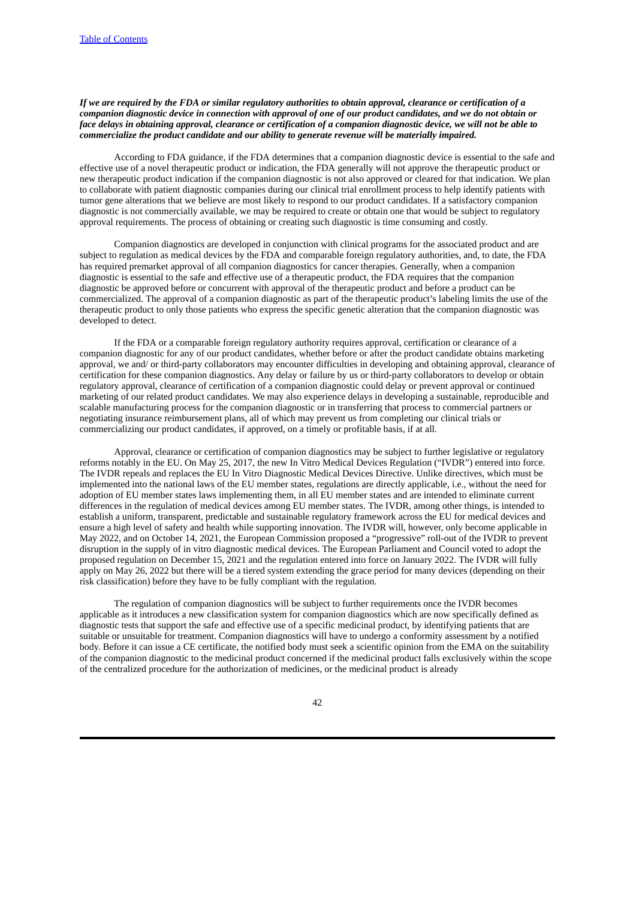## If we are required by the FDA or similar requlatory authorities to obtain approval, clearance or certification of a companion diagnostic device in connection with approval of one of our product candidates, and we do not obtain or face delays in obtaining approval, clearance or certification of a companion diagnostic device, we will not be able to *commercialize the product candidate and our ability to generate revenue will be materially impaired.*

According to FDA guidance, if the FDA determines that a companion diagnostic device is essential to the safe and effective use of a novel therapeutic product or indication, the FDA generally will not approve the therapeutic product or new therapeutic product indication if the companion diagnostic is not also approved or cleared for that indication. We plan to collaborate with patient diagnostic companies during our clinical trial enrollment process to help identify patients with tumor gene alterations that we believe are most likely to respond to our product candidates. If a satisfactory companion diagnostic is not commercially available, we may be required to create or obtain one that would be subject to regulatory approval requirements. The process of obtaining or creating such diagnostic is time consuming and costly.

Companion diagnostics are developed in conjunction with clinical programs for the associated product and are subject to regulation as medical devices by the FDA and comparable foreign regulatory authorities, and, to date, the FDA has required premarket approval of all companion diagnostics for cancer therapies. Generally, when a companion diagnostic is essential to the safe and effective use of a therapeutic product, the FDA requires that the companion diagnostic be approved before or concurrent with approval of the therapeutic product and before a product can be commercialized. The approval of a companion diagnostic as part of the therapeutic product's labeling limits the use of the therapeutic product to only those patients who express the specific genetic alteration that the companion diagnostic was developed to detect.

If the FDA or a comparable foreign regulatory authority requires approval, certification or clearance of a companion diagnostic for any of our product candidates, whether before or after the product candidate obtains marketing approval, we and/ or third-party collaborators may encounter difficulties in developing and obtaining approval, clearance of certification for these companion diagnostics. Any delay or failure by us or third-party collaborators to develop or obtain regulatory approval, clearance of certification of a companion diagnostic could delay or prevent approval or continued marketing of our related product candidates. We may also experience delays in developing a sustainable, reproducible and scalable manufacturing process for the companion diagnostic or in transferring that process to commercial partners or negotiating insurance reimbursement plans, all of which may prevent us from completing our clinical trials or commercializing our product candidates, if approved, on a timely or profitable basis, if at all.

Approval, clearance or certification of companion diagnostics may be subject to further legislative or regulatory reforms notably in the EU. On May 25, 2017, the new In Vitro Medical Devices Regulation ("IVDR") entered into force. The IVDR repeals and replaces the EU In Vitro Diagnostic Medical Devices Directive. Unlike directives, which must be implemented into the national laws of the EU member states, regulations are directly applicable, i.e., without the need for adoption of EU member states laws implementing them, in all EU member states and are intended to eliminate current differences in the regulation of medical devices among EU member states. The IVDR, among other things, is intended to establish a uniform, transparent, predictable and sustainable regulatory framework across the EU for medical devices and ensure a high level of safety and health while supporting innovation. The IVDR will, however, only become applicable in May 2022, and on October 14, 2021, the European Commission proposed a "progressive" roll-out of the IVDR to prevent disruption in the supply of in vitro diagnostic medical devices. The European Parliament and Council voted to adopt the proposed regulation on December 15, 2021 and the regulation entered into force on January 2022. The IVDR will fully apply on May 26, 2022 but there will be a tiered system extending the grace period for many devices (depending on their risk classification) before they have to be fully compliant with the regulation.

The regulation of companion diagnostics will be subject to further requirements once the IVDR becomes applicable as it introduces a new classification system for companion diagnostics which are now specifically defined as diagnostic tests that support the safe and effective use of a specific medicinal product, by identifying patients that are suitable or unsuitable for treatment. Companion diagnostics will have to undergo a conformity assessment by a notified body. Before it can issue a CE certificate, the notified body must seek a scientific opinion from the EMA on the suitability of the companion diagnostic to the medicinal product concerned if the medicinal product falls exclusively within the scope of the centralized procedure for the authorization of medicines, or the medicinal product is already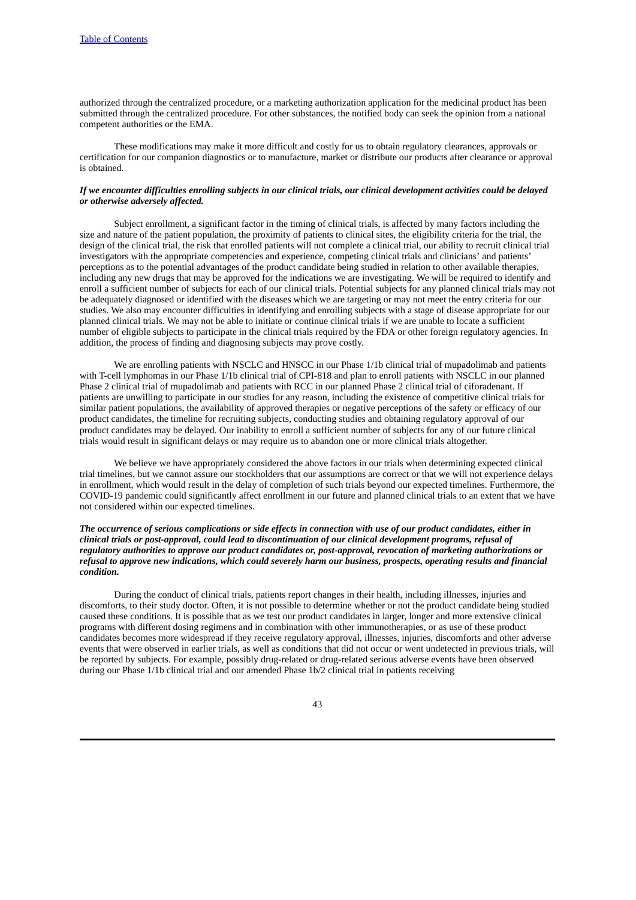authorized through the centralized procedure, or a marketing authorization application for the medicinal product has been submitted through the centralized procedure. For other substances, the notified body can seek the opinion from a national competent authorities or the EMA.

These modifications may make it more difficult and costly for us to obtain regulatory clearances, approvals or certification for our companion diagnostics or to manufacture, market or distribute our products after clearance or approval is obtained.

#### If we encounter difficulties enrolling subjects in our clinical trials, our clinical development activities could be delayed *or otherwise adversely affected.*

Subject enrollment, a significant factor in the timing of clinical trials, is affected by many factors including the size and nature of the patient population, the proximity of patients to clinical sites, the eligibility criteria for the trial, the design of the clinical trial, the risk that enrolled patients will not complete a clinical trial, our ability to recruit clinical trial investigators with the appropriate competencies and experience, competing clinical trials and clinicians' and patients' perceptions as to the potential advantages of the product candidate being studied in relation to other available therapies, including any new drugs that may be approved for the indications we are investigating. We will be required to identify and enroll a sufficient number of subjects for each of our clinical trials. Potential subjects for any planned clinical trials may not be adequately diagnosed or identified with the diseases which we are targeting or may not meet the entry criteria for our studies. We also may encounter difficulties in identifying and enrolling subjects with a stage of disease appropriate for our planned clinical trials. We may not be able to initiate or continue clinical trials if we are unable to locate a sufficient number of eligible subjects to participate in the clinical trials required by the FDA or other foreign regulatory agencies. In addition, the process of finding and diagnosing subjects may prove costly.

We are enrolling patients with NSCLC and HNSCC in our Phase 1/1b clinical trial of mupadolimab and patients with T-cell lymphomas in our Phase 1/1b clinical trial of CPI-818 and plan to enroll patients with NSCLC in our planned Phase 2 clinical trial of mupadolimab and patients with RCC in our planned Phase 2 clinical trial of ciforadenant. If patients are unwilling to participate in our studies for any reason, including the existence of competitive clinical trials for similar patient populations, the availability of approved therapies or negative perceptions of the safety or efficacy of our product candidates, the timeline for recruiting subjects, conducting studies and obtaining regulatory approval of our product candidates may be delayed. Our inability to enroll a sufficient number of subjects for any of our future clinical trials would result in significant delays or may require us to abandon one or more clinical trials altogether.

We believe we have appropriately considered the above factors in our trials when determining expected clinical trial timelines, but we cannot assure our stockholders that our assumptions are correct or that we will not experience delays in enrollment, which would result in the delay of completion of such trials beyond our expected timelines. Furthermore, the COVID-19 pandemic could significantly affect enrollment in our future and planned clinical trials to an extent that we have not considered within our expected timelines.

## The occurrence of serious complications or side effects in connection with use of our product candidates, either in *clinical trials or post-approval, could lead to discontinuation of our clinical development programs, refusal of regulatory authorities to approve our product candidates or, post-approval, revocation of marketing authorizations or* refusal to approve new indications, which could severely harm our business, prospects, operating results and financial *condition.*

During the conduct of clinical trials, patients report changes in their health, including illnesses, injuries and discomforts, to their study doctor. Often, it is not possible to determine whether or not the product candidate being studied caused these conditions. It is possible that as we test our product candidates in larger, longer and more extensive clinical programs with different dosing regimens and in combination with other immunotherapies, or as use of these product candidates becomes more widespread if they receive regulatory approval, illnesses, injuries, discomforts and other adverse events that were observed in earlier trials, as well as conditions that did not occur or went undetected in previous trials, will be reported by subjects. For example, possibly drug-related or drug-related serious adverse events have been observed during our Phase 1/1b clinical trial and our amended Phase 1b/2 clinical trial in patients receiving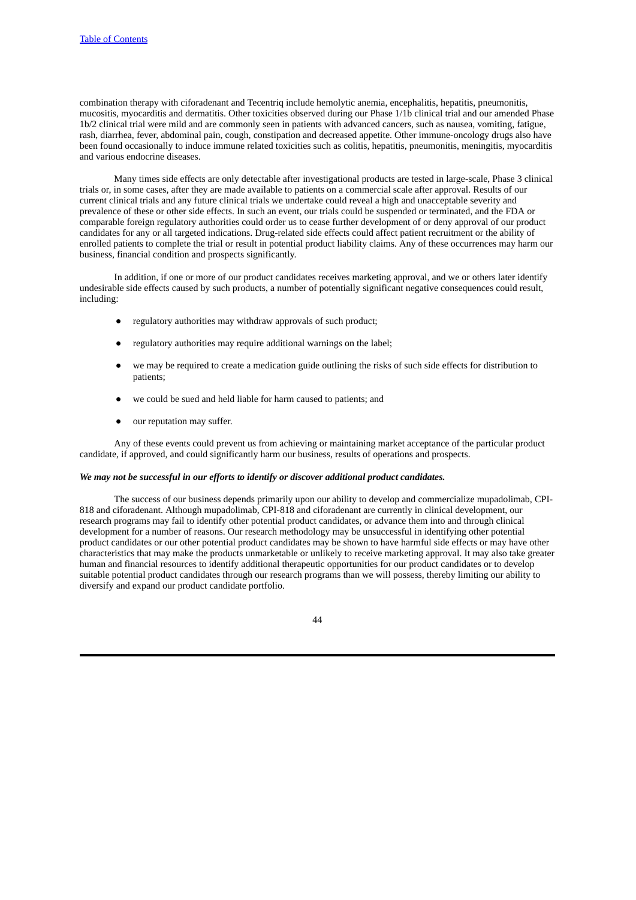combination therapy with ciforadenant and Tecentriq include hemolytic anemia, encephalitis, hepatitis, pneumonitis, mucositis, myocarditis and dermatitis. Other toxicities observed during our Phase 1/1b clinical trial and our amended Phase 1b/2 clinical trial were mild and are commonly seen in patients with advanced cancers, such as nausea, vomiting, fatigue, rash, diarrhea, fever, abdominal pain, cough, constipation and decreased appetite. Other immune-oncology drugs also have been found occasionally to induce immune related toxicities such as colitis, hepatitis, pneumonitis, meningitis, myocarditis and various endocrine diseases.

Many times side effects are only detectable after investigational products are tested in large-scale, Phase 3 clinical trials or, in some cases, after they are made available to patients on a commercial scale after approval. Results of our current clinical trials and any future clinical trials we undertake could reveal a high and unacceptable severity and prevalence of these or other side effects. In such an event, our trials could be suspended or terminated, and the FDA or comparable foreign regulatory authorities could order us to cease further development of or deny approval of our product candidates for any or all targeted indications. Drug-related side effects could affect patient recruitment or the ability of enrolled patients to complete the trial or result in potential product liability claims. Any of these occurrences may harm our business, financial condition and prospects significantly.

In addition, if one or more of our product candidates receives marketing approval, and we or others later identify undesirable side effects caused by such products, a number of potentially significant negative consequences could result, including:

- regulatory authorities may withdraw approvals of such product;
- regulatory authorities may require additional warnings on the label;
- we may be required to create a medication guide outlining the risks of such side effects for distribution to patients;
- we could be sued and held liable for harm caused to patients; and
- our reputation may suffer.

Any of these events could prevent us from achieving or maintaining market acceptance of the particular product candidate, if approved, and could significantly harm our business, results of operations and prospects.

# *We may not be successful in our efforts to identify or discover additional product candidates.*

The success of our business depends primarily upon our ability to develop and commercialize mupadolimab, CPI-818 and ciforadenant. Although mupadolimab, CPI-818 and ciforadenant are currently in clinical development, our research programs may fail to identify other potential product candidates, or advance them into and through clinical development for a number of reasons. Our research methodology may be unsuccessful in identifying other potential product candidates or our other potential product candidates may be shown to have harmful side effects or may have other characteristics that may make the products unmarketable or unlikely to receive marketing approval. It may also take greater human and financial resources to identify additional therapeutic opportunities for our product candidates or to develop suitable potential product candidates through our research programs than we will possess, thereby limiting our ability to diversify and expand our product candidate portfolio.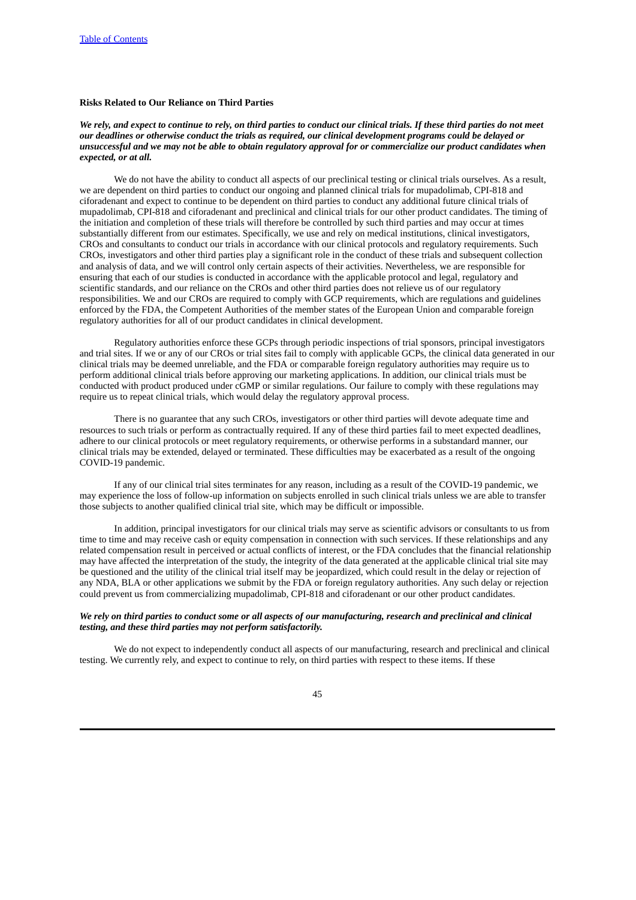## **Risks Related to Our Reliance on Third Parties**

## We rely, and expect to continue to rely, on third parties to conduct our clinical trials. If these third parties do not meet our deadlines or otherwise conduct the trials as required, our clinical development programs could be delayed or unsuccessful and we may not be able to obtain regulatory approval for or commercialize our product candidates when *expected, or at all.*

We do not have the ability to conduct all aspects of our preclinical testing or clinical trials ourselves. As a result, we are dependent on third parties to conduct our ongoing and planned clinical trials for mupadolimab, CPI-818 and ciforadenant and expect to continue to be dependent on third parties to conduct any additional future clinical trials of mupadolimab, CPI-818 and ciforadenant and preclinical and clinical trials for our other product candidates. The timing of the initiation and completion of these trials will therefore be controlled by such third parties and may occur at times substantially different from our estimates. Specifically, we use and rely on medical institutions, clinical investigators, CROs and consultants to conduct our trials in accordance with our clinical protocols and regulatory requirements. Such CROs, investigators and other third parties play a significant role in the conduct of these trials and subsequent collection and analysis of data, and we will control only certain aspects of their activities. Nevertheless, we are responsible for ensuring that each of our studies is conducted in accordance with the applicable protocol and legal, regulatory and scientific standards, and our reliance on the CROs and other third parties does not relieve us of our regulatory responsibilities. We and our CROs are required to comply with GCP requirements, which are regulations and guidelines enforced by the FDA, the Competent Authorities of the member states of the European Union and comparable foreign regulatory authorities for all of our product candidates in clinical development.

Regulatory authorities enforce these GCPs through periodic inspections of trial sponsors, principal investigators and trial sites. If we or any of our CROs or trial sites fail to comply with applicable GCPs, the clinical data generated in our clinical trials may be deemed unreliable, and the FDA or comparable foreign regulatory authorities may require us to perform additional clinical trials before approving our marketing applications. In addition, our clinical trials must be conducted with product produced under cGMP or similar regulations. Our failure to comply with these regulations may require us to repeat clinical trials, which would delay the regulatory approval process.

There is no guarantee that any such CROs, investigators or other third parties will devote adequate time and resources to such trials or perform as contractually required. If any of these third parties fail to meet expected deadlines, adhere to our clinical protocols or meet regulatory requirements, or otherwise performs in a substandard manner, our clinical trials may be extended, delayed or terminated. These difficulties may be exacerbated as a result of the ongoing COVID-19 pandemic.

If any of our clinical trial sites terminates for any reason, including as a result of the COVID-19 pandemic, we may experience the loss of follow-up information on subjects enrolled in such clinical trials unless we are able to transfer those subjects to another qualified clinical trial site, which may be difficult or impossible.

In addition, principal investigators for our clinical trials may serve as scientific advisors or consultants to us from time to time and may receive cash or equity compensation in connection with such services. If these relationships and any related compensation result in perceived or actual conflicts of interest, or the FDA concludes that the financial relationship may have affected the interpretation of the study, the integrity of the data generated at the applicable clinical trial site may be questioned and the utility of the clinical trial itself may be jeopardized, which could result in the delay or rejection of any NDA, BLA or other applications we submit by the FDA or foreign regulatory authorities. Any such delay or rejection could prevent us from commercializing mupadolimab, CPI-818 and ciforadenant or our other product candidates.

## We rely on third parties to conduct some or all aspects of our manufacturing, research and preclinical and clinical *testing, and these third parties may not perform satisfactorily.*

We do not expect to independently conduct all aspects of our manufacturing, research and preclinical and clinical testing. We currently rely, and expect to continue to rely, on third parties with respect to these items. If these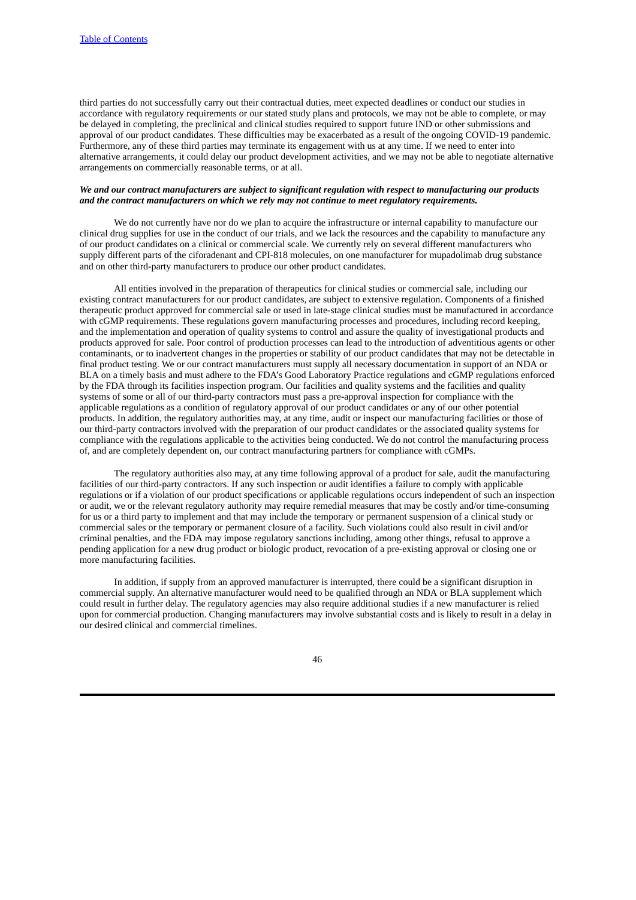third parties do not successfully carry out their contractual duties, meet expected deadlines or conduct our studies in accordance with regulatory requirements or our stated study plans and protocols, we may not be able to complete, or may be delayed in completing, the preclinical and clinical studies required to support future IND or other submissions and approval of our product candidates. These difficulties may be exacerbated as a result of the ongoing COVID-19 pandemic. Furthermore, any of these third parties may terminate its engagement with us at any time. If we need to enter into alternative arrangements, it could delay our product development activities, and we may not be able to negotiate alternative arrangements on commercially reasonable terms, or at all.

#### We and our contract manufacturers are subject to significant regulation with respect to manufacturing our products *and the contract manufacturers on which we rely may not continue to meet regulatory requirements.*

We do not currently have nor do we plan to acquire the infrastructure or internal capability to manufacture our clinical drug supplies for use in the conduct of our trials, and we lack the resources and the capability to manufacture any of our product candidates on a clinical or commercial scale. We currently rely on several different manufacturers who supply different parts of the ciforadenant and CPI-818 molecules, on one manufacturer for mupadolimab drug substance and on other third-party manufacturers to produce our other product candidates.

All entities involved in the preparation of therapeutics for clinical studies or commercial sale, including our existing contract manufacturers for our product candidates, are subject to extensive regulation. Components of a finished therapeutic product approved for commercial sale or used in late-stage clinical studies must be manufactured in accordance with cGMP requirements. These regulations govern manufacturing processes and procedures, including record keeping, and the implementation and operation of quality systems to control and assure the quality of investigational products and products approved for sale. Poor control of production processes can lead to the introduction of adventitious agents or other contaminants, or to inadvertent changes in the properties or stability of our product candidates that may not be detectable in final product testing. We or our contract manufacturers must supply all necessary documentation in support of an NDA or BLA on a timely basis and must adhere to the FDA's Good Laboratory Practice regulations and cGMP regulations enforced by the FDA through its facilities inspection program. Our facilities and quality systems and the facilities and quality systems of some or all of our third-party contractors must pass a pre-approval inspection for compliance with the applicable regulations as a condition of regulatory approval of our product candidates or any of our other potential products. In addition, the regulatory authorities may, at any time, audit or inspect our manufacturing facilities or those of our third-party contractors involved with the preparation of our product candidates or the associated quality systems for compliance with the regulations applicable to the activities being conducted. We do not control the manufacturing process of, and are completely dependent on, our contract manufacturing partners for compliance with cGMPs.

The regulatory authorities also may, at any time following approval of a product for sale, audit the manufacturing facilities of our third-party contractors. If any such inspection or audit identifies a failure to comply with applicable regulations or if a violation of our product specifications or applicable regulations occurs independent of such an inspection or audit, we or the relevant regulatory authority may require remedial measures that may be costly and/or time-consuming for us or a third party to implement and that may include the temporary or permanent suspension of a clinical study or commercial sales or the temporary or permanent closure of a facility. Such violations could also result in civil and/or criminal penalties, and the FDA may impose regulatory sanctions including, among other things, refusal to approve a pending application for a new drug product or biologic product, revocation of a pre-existing approval or closing one or more manufacturing facilities.

In addition, if supply from an approved manufacturer is interrupted, there could be a significant disruption in commercial supply. An alternative manufacturer would need to be qualified through an NDA or BLA supplement which could result in further delay. The regulatory agencies may also require additional studies if a new manufacturer is relied upon for commercial production. Changing manufacturers may involve substantial costs and is likely to result in a delay in our desired clinical and commercial timelines.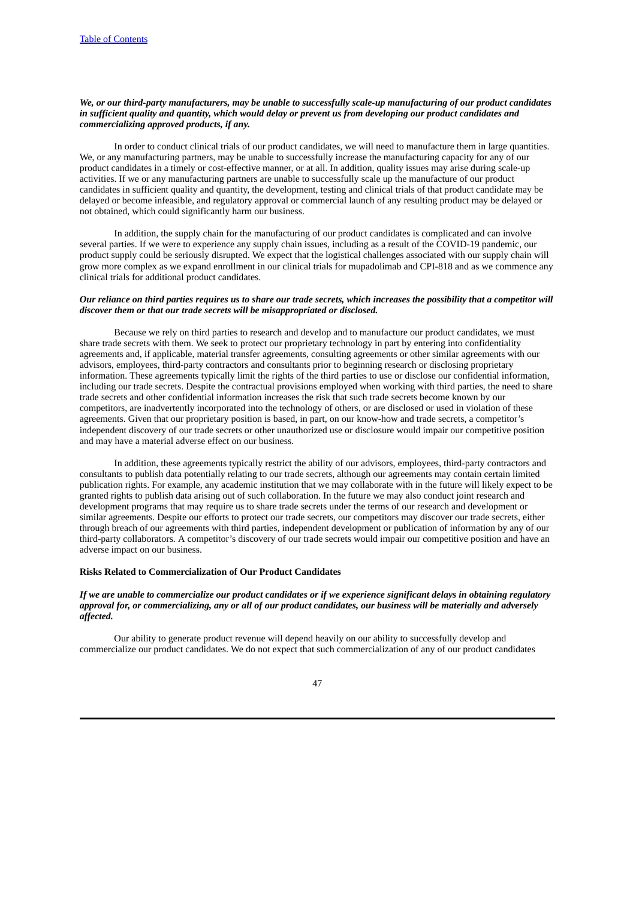## We, or our third-party manufacturers, may be unable to successfully scale-up manufacturing of our product candidates in sufficient quality and quantity, which would delay or prevent us from developing our product candidates and *commercializing approved products, if any.*

In order to conduct clinical trials of our product candidates, we will need to manufacture them in large quantities. We, or any manufacturing partners, may be unable to successfully increase the manufacturing capacity for any of our product candidates in a timely or cost-effective manner, or at all. In addition, quality issues may arise during scale-up activities. If we or any manufacturing partners are unable to successfully scale up the manufacture of our product candidates in sufficient quality and quantity, the development, testing and clinical trials of that product candidate may be delayed or become infeasible, and regulatory approval or commercial launch of any resulting product may be delayed or not obtained, which could significantly harm our business.

In addition, the supply chain for the manufacturing of our product candidates is complicated and can involve several parties. If we were to experience any supply chain issues, including as a result of the COVID-19 pandemic, our product supply could be seriously disrupted. We expect that the logistical challenges associated with our supply chain will grow more complex as we expand enrollment in our clinical trials for mupadolimab and CPI-818 and as we commence any clinical trials for additional product candidates.

#### Our reliance on third parties requires us to share our trade secrets, which increases the possibility that a competitor will *discover them or that our trade secrets will be misappropriated or disclosed.*

Because we rely on third parties to research and develop and to manufacture our product candidates, we must share trade secrets with them. We seek to protect our proprietary technology in part by entering into confidentiality agreements and, if applicable, material transfer agreements, consulting agreements or other similar agreements with our advisors, employees, third-party contractors and consultants prior to beginning research or disclosing proprietary information. These agreements typically limit the rights of the third parties to use or disclose our confidential information, including our trade secrets. Despite the contractual provisions employed when working with third parties, the need to share trade secrets and other confidential information increases the risk that such trade secrets become known by our competitors, are inadvertently incorporated into the technology of others, or are disclosed or used in violation of these agreements. Given that our proprietary position is based, in part, on our know-how and trade secrets, a competitor's independent discovery of our trade secrets or other unauthorized use or disclosure would impair our competitive position and may have a material adverse effect on our business.

In addition, these agreements typically restrict the ability of our advisors, employees, third-party contractors and consultants to publish data potentially relating to our trade secrets, although our agreements may contain certain limited publication rights. For example, any academic institution that we may collaborate with in the future will likely expect to be granted rights to publish data arising out of such collaboration. In the future we may also conduct joint research and development programs that may require us to share trade secrets under the terms of our research and development or similar agreements. Despite our efforts to protect our trade secrets, our competitors may discover our trade secrets, either through breach of our agreements with third parties, independent development or publication of information by any of our third-party collaborators. A competitor's discovery of our trade secrets would impair our competitive position and have an adverse impact on our business.

## **Risks Related to Commercialization of Our Product Candidates**

### If we are unable to commercialize our product candidates or if we experience significant delays in obtaining regulatory approval for, or commercializing, any or all of our product candidates, our business will be materially and adversely *affected.*

Our ability to generate product revenue will depend heavily on our ability to successfully develop and commercialize our product candidates. We do not expect that such commercialization of any of our product candidates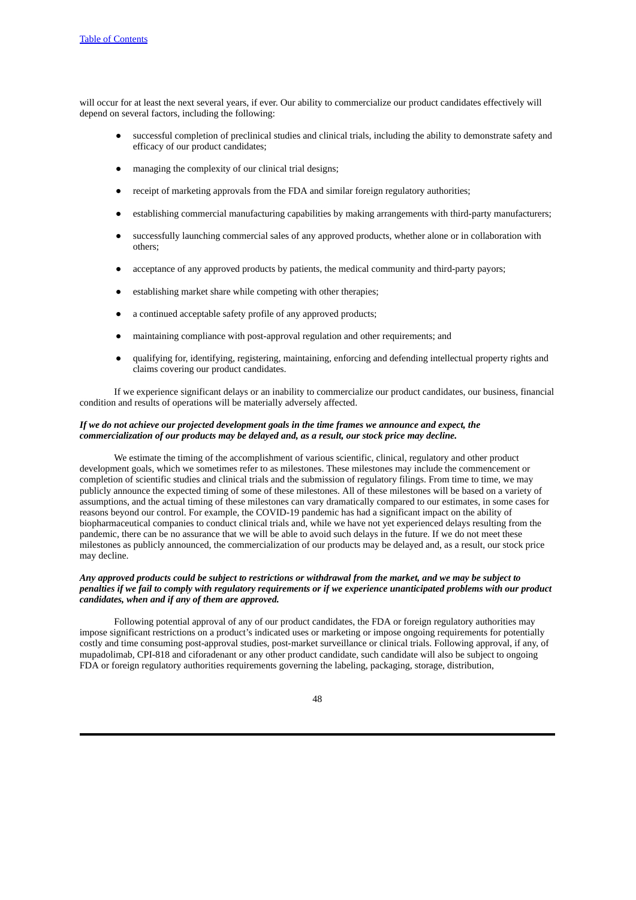will occur for at least the next several years, if ever. Our ability to commercialize our product candidates effectively will depend on several factors, including the following:

- successful completion of preclinical studies and clinical trials, including the ability to demonstrate safety and efficacy of our product candidates;
- managing the complexity of our clinical trial designs;
- receipt of marketing approvals from the FDA and similar foreign regulatory authorities;
- establishing commercial manufacturing capabilities by making arrangements with third-party manufacturers;
- successfully launching commercial sales of any approved products, whether alone or in collaboration with others;
- acceptance of any approved products by patients, the medical community and third-party payors;
- establishing market share while competing with other therapies;
- a continued acceptable safety profile of any approved products;
- maintaining compliance with post-approval regulation and other requirements; and
- qualifying for, identifying, registering, maintaining, enforcing and defending intellectual property rights and claims covering our product candidates.

If we experience significant delays or an inability to commercialize our product candidates, our business, financial condition and results of operations will be materially adversely affected.

## If we do not achieve our projected development goals in the time frames we announce and expect, the *commercialization of our products may be delayed and, as a result, our stock price may decline.*

We estimate the timing of the accomplishment of various scientific, clinical, regulatory and other product development goals, which we sometimes refer to as milestones. These milestones may include the commencement or completion of scientific studies and clinical trials and the submission of regulatory filings. From time to time, we may publicly announce the expected timing of some of these milestones. All of these milestones will be based on a variety of assumptions, and the actual timing of these milestones can vary dramatically compared to our estimates, in some cases for reasons beyond our control. For example, the COVID-19 pandemic has had a significant impact on the ability of biopharmaceutical companies to conduct clinical trials and, while we have not yet experienced delays resulting from the pandemic, there can be no assurance that we will be able to avoid such delays in the future. If we do not meet these milestones as publicly announced, the commercialization of our products may be delayed and, as a result, our stock price may decline.

## Any approved products could be subject to restrictions or withdrawal from the market, and we may be subject to penalties if we fail to comply with regulatory requirements or if we experience unanticipated problems with our product *candidates, when and if any of them are approved.*

Following potential approval of any of our product candidates, the FDA or foreign regulatory authorities may impose significant restrictions on a product's indicated uses or marketing or impose ongoing requirements for potentially costly and time consuming post-approval studies, post-market surveillance or clinical trials. Following approval, if any, of mupadolimab, CPI-818 and ciforadenant or any other product candidate, such candidate will also be subject to ongoing FDA or foreign regulatory authorities requirements governing the labeling, packaging, storage, distribution,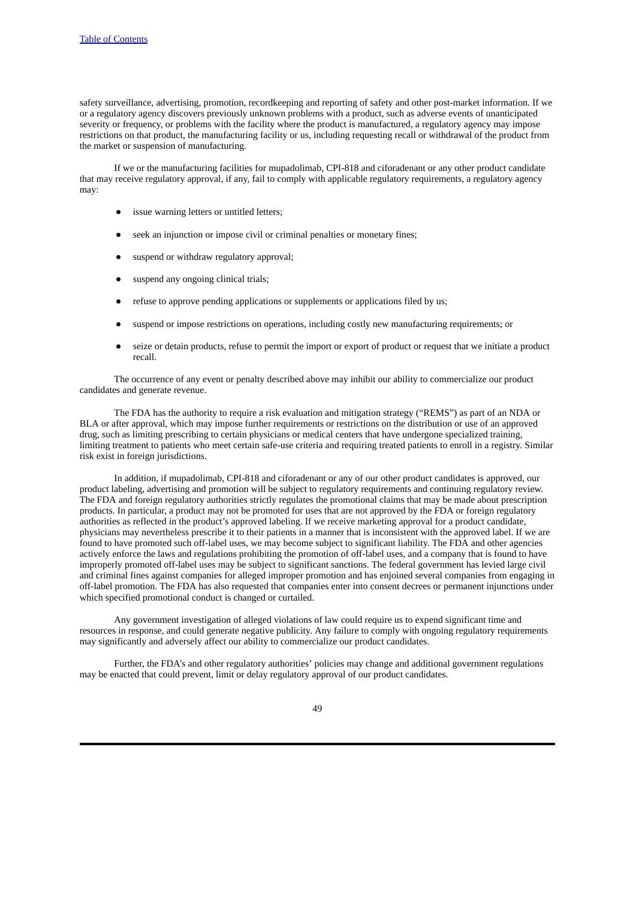safety surveillance, advertising, promotion, recordkeeping and reporting of safety and other post-market information. If we or a regulatory agency discovers previously unknown problems with a product, such as adverse events of unanticipated severity or frequency, or problems with the facility where the product is manufactured, a regulatory agency may impose restrictions on that product, the manufacturing facility or us, including requesting recall or withdrawal of the product from the market or suspension of manufacturing.

If we or the manufacturing facilities for mupadolimab, CPI-818 and ciforadenant or any other product candidate that may receive regulatory approval, if any, fail to comply with applicable regulatory requirements, a regulatory agency may:

- issue warning letters or untitled letters;
- seek an injunction or impose civil or criminal penalties or monetary fines;
- suspend or withdraw regulatory approval;
- suspend any ongoing clinical trials;
- refuse to approve pending applications or supplements or applications filed by us;
- suspend or impose restrictions on operations, including costly new manufacturing requirements; or
- seize or detain products, refuse to permit the import or export of product or request that we initiate a product recall.

The occurrence of any event or penalty described above may inhibit our ability to commercialize our product candidates and generate revenue.

The FDA has the authority to require a risk evaluation and mitigation strategy ("REMS") as part of an NDA or BLA or after approval, which may impose further requirements or restrictions on the distribution or use of an approved drug, such as limiting prescribing to certain physicians or medical centers that have undergone specialized training, limiting treatment to patients who meet certain safe-use criteria and requiring treated patients to enroll in a registry. Similar risk exist in foreign jurisdictions.

In addition, if mupadolimab, CPI-818 and ciforadenant or any of our other product candidates is approved, our product labeling, advertising and promotion will be subject to regulatory requirements and continuing regulatory review. The FDA and foreign regulatory authorities strictly regulates the promotional claims that may be made about prescription products. In particular, a product may not be promoted for uses that are not approved by the FDA or foreign regulatory authorities as reflected in the product's approved labeling. If we receive marketing approval for a product candidate, physicians may nevertheless prescribe it to their patients in a manner that is inconsistent with the approved label. If we are found to have promoted such off-label uses, we may become subject to significant liability. The FDA and other agencies actively enforce the laws and regulations prohibiting the promotion of off-label uses, and a company that is found to have improperly promoted off-label uses may be subject to significant sanctions. The federal government has levied large civil and criminal fines against companies for alleged improper promotion and has enjoined several companies from engaging in off-label promotion. The FDA has also requested that companies enter into consent decrees or permanent injunctions under which specified promotional conduct is changed or curtailed.

Any government investigation of alleged violations of law could require us to expend significant time and resources in response, and could generate negative publicity. Any failure to comply with ongoing regulatory requirements may significantly and adversely affect our ability to commercialize our product candidates.

Further, the FDA's and other regulatory authorities' policies may change and additional government regulations may be enacted that could prevent, limit or delay regulatory approval of our product candidates.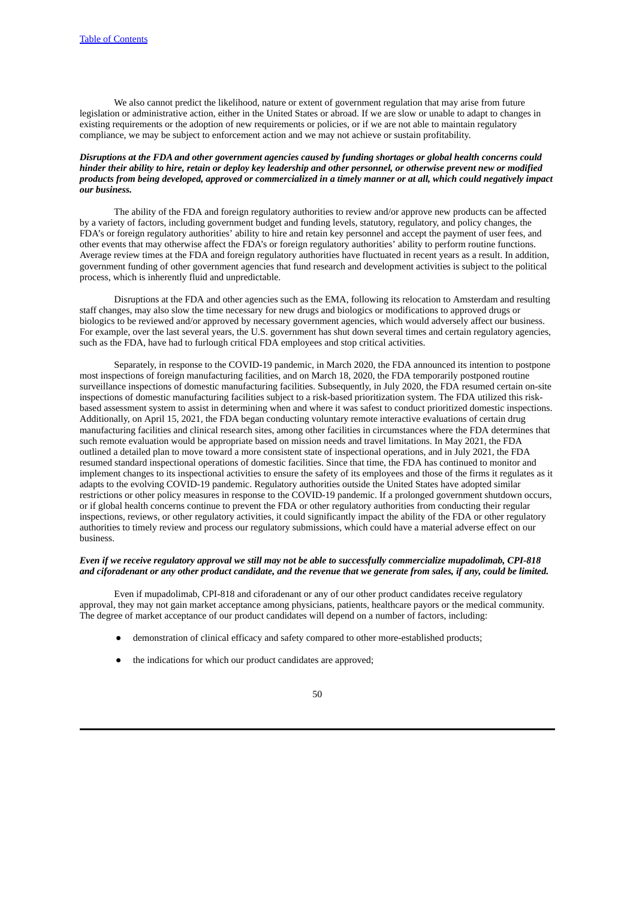We also cannot predict the likelihood, nature or extent of government regulation that may arise from future legislation or administrative action, either in the United States or abroad. If we are slow or unable to adapt to changes in existing requirements or the adoption of new requirements or policies, or if we are not able to maintain regulatory compliance, we may be subject to enforcement action and we may not achieve or sustain profitability.

## Disruptions at the FDA and other government agencies caused by funding shortages or global health concerns could hinder their ability to hire, retain or deploy key leadership and other personnel, or otherwise prevent new or modified products from being developed, approved or commercialized in a timely manner or at all, which could negatively impact *our business.*

The ability of the FDA and foreign regulatory authorities to review and/or approve new products can be affected by a variety of factors, including government budget and funding levels, statutory, regulatory, and policy changes, the FDA's or foreign regulatory authorities' ability to hire and retain key personnel and accept the payment of user fees, and other events that may otherwise affect the FDA's or foreign regulatory authorities' ability to perform routine functions. Average review times at the FDA and foreign regulatory authorities have fluctuated in recent years as a result. In addition, government funding of other government agencies that fund research and development activities is subject to the political process, which is inherently fluid and unpredictable.

Disruptions at the FDA and other agencies such as the EMA, following its relocation to Amsterdam and resulting staff changes, may also slow the time necessary for new drugs and biologics or modifications to approved drugs or biologics to be reviewed and/or approved by necessary government agencies, which would adversely affect our business. For example, over the last several years, the U.S. government has shut down several times and certain regulatory agencies, such as the FDA, have had to furlough critical FDA employees and stop critical activities.

Separately, in response to the COVID-19 pandemic, in March 2020, the FDA announced its intention to postpone most inspections of foreign manufacturing facilities, and on March 18, 2020, the FDA temporarily postponed routine surveillance inspections of domestic manufacturing facilities. Subsequently, in July 2020, the FDA resumed certain on-site inspections of domestic manufacturing facilities subject to a risk-based prioritization system. The FDA utilized this riskbased assessment system to assist in determining when and where it was safest to conduct prioritized domestic inspections. Additionally, on April 15, 2021, the FDA began conducting voluntary remote interactive evaluations of certain drug manufacturing facilities and clinical research sites, among other facilities in circumstances where the FDA determines that such remote evaluation would be appropriate based on mission needs and travel limitations. In May 2021, the FDA outlined a detailed plan to move toward a more consistent state of inspectional operations, and in July 2021, the FDA resumed standard inspectional operations of domestic facilities. Since that time, the FDA has continued to monitor and implement changes to its inspectional activities to ensure the safety of its employees and those of the firms it regulates as it adapts to the evolving COVID-19 pandemic. Regulatory authorities outside the United States have adopted similar restrictions or other policy measures in response to the COVID-19 pandemic. If a prolonged government shutdown occurs, or if global health concerns continue to prevent the FDA or other regulatory authorities from conducting their regular inspections, reviews, or other regulatory activities, it could significantly impact the ability of the FDA or other regulatory authorities to timely review and process our regulatory submissions, which could have a material adverse effect on our business.

### Even if we receive regulatory approval we still may not be able to successfully commercialize mupadolimab, CPI-818 and ciforadenant or any other product candidate, and the revenue that we generate from sales, if any, could be limited.

Even if mupadolimab, CPI-818 and ciforadenant or any of our other product candidates receive regulatory approval, they may not gain market acceptance among physicians, patients, healthcare payors or the medical community. The degree of market acceptance of our product candidates will depend on a number of factors, including:

- demonstration of clinical efficacy and safety compared to other more-established products;
- the indications for which our product candidates are approved;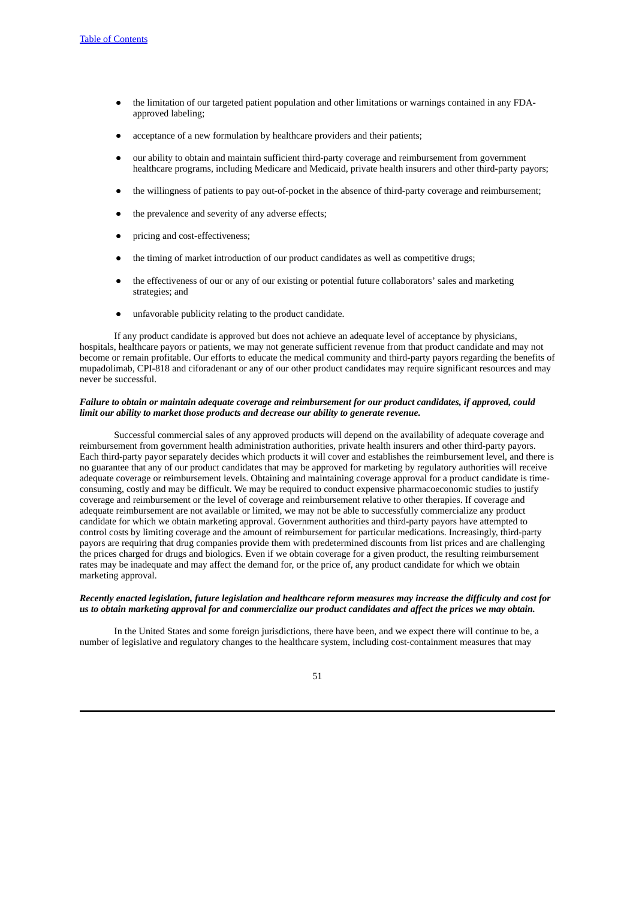- the limitation of our targeted patient population and other limitations or warnings contained in any FDAapproved labeling;
- acceptance of a new formulation by healthcare providers and their patients;
- our ability to obtain and maintain sufficient third-party coverage and reimbursement from government healthcare programs, including Medicare and Medicaid, private health insurers and other third-party payors;
- the willingness of patients to pay out-of-pocket in the absence of third-party coverage and reimbursement;
- the prevalence and severity of any adverse effects;
- pricing and cost-effectiveness;
- the timing of market introduction of our product candidates as well as competitive drugs;
- the effectiveness of our or any of our existing or potential future collaborators' sales and marketing strategies; and
- unfavorable publicity relating to the product candidate.

If any product candidate is approved but does not achieve an adequate level of acceptance by physicians, hospitals, healthcare payors or patients, we may not generate sufficient revenue from that product candidate and may not become or remain profitable. Our efforts to educate the medical community and third-party payors regarding the benefits of mupadolimab, CPI-818 and ciforadenant or any of our other product candidates may require significant resources and may never be successful.

## *Failure to obtain or maintain adequate coverage and reimbursement for our product candidates, if approved, could limit our ability to market those products and decrease our ability to generate revenue.*

Successful commercial sales of any approved products will depend on the availability of adequate coverage and reimbursement from government health administration authorities, private health insurers and other third-party payors. Each third-party payor separately decides which products it will cover and establishes the reimbursement level, and there is no guarantee that any of our product candidates that may be approved for marketing by regulatory authorities will receive adequate coverage or reimbursement levels. Obtaining and maintaining coverage approval for a product candidate is timeconsuming, costly and may be difficult. We may be required to conduct expensive pharmacoeconomic studies to justify coverage and reimbursement or the level of coverage and reimbursement relative to other therapies. If coverage and adequate reimbursement are not available or limited, we may not be able to successfully commercialize any product candidate for which we obtain marketing approval. Government authorities and third-party payors have attempted to control costs by limiting coverage and the amount of reimbursement for particular medications. Increasingly, third-party payors are requiring that drug companies provide them with predetermined discounts from list prices and are challenging the prices charged for drugs and biologics. Even if we obtain coverage for a given product, the resulting reimbursement rates may be inadequate and may affect the demand for, or the price of, any product candidate for which we obtain marketing approval.

## Recently enacted legislation, future legislation and healthcare reform measures may increase the difficulty and cost for us to obtain marketing approval for and commercialize our product candidates and affect the prices we may obtain.

In the United States and some foreign jurisdictions, there have been, and we expect there will continue to be, a number of legislative and regulatory changes to the healthcare system, including cost-containment measures that may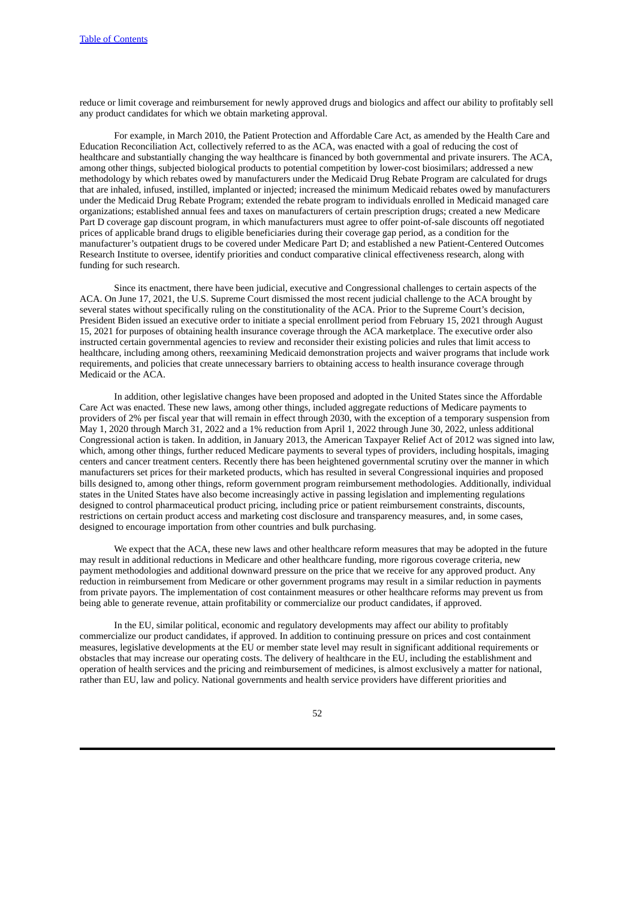reduce or limit coverage and reimbursement for newly approved drugs and biologics and affect our ability to profitably sell any product candidates for which we obtain marketing approval.

For example, in March 2010, the Patient Protection and Affordable Care Act, as amended by the Health Care and Education Reconciliation Act, collectively referred to as the ACA, was enacted with a goal of reducing the cost of healthcare and substantially changing the way healthcare is financed by both governmental and private insurers. The ACA, among other things, subjected biological products to potential competition by lower-cost biosimilars; addressed a new methodology by which rebates owed by manufacturers under the Medicaid Drug Rebate Program are calculated for drugs that are inhaled, infused, instilled, implanted or injected; increased the minimum Medicaid rebates owed by manufacturers under the Medicaid Drug Rebate Program; extended the rebate program to individuals enrolled in Medicaid managed care organizations; established annual fees and taxes on manufacturers of certain prescription drugs; created a new Medicare Part D coverage gap discount program, in which manufacturers must agree to offer point-of-sale discounts off negotiated prices of applicable brand drugs to eligible beneficiaries during their coverage gap period, as a condition for the manufacturer's outpatient drugs to be covered under Medicare Part D; and established a new Patient-Centered Outcomes Research Institute to oversee, identify priorities and conduct comparative clinical effectiveness research, along with funding for such research.

Since its enactment, there have been judicial, executive and Congressional challenges to certain aspects of the ACA. On June 17, 2021, the U.S. Supreme Court dismissed the most recent judicial challenge to the ACA brought by several states without specifically ruling on the constitutionality of the ACA. Prior to the Supreme Court's decision, President Biden issued an executive order to initiate a special enrollment period from February 15, 2021 through August 15, 2021 for purposes of obtaining health insurance coverage through the ACA marketplace. The executive order also instructed certain governmental agencies to review and reconsider their existing policies and rules that limit access to healthcare, including among others, reexamining Medicaid demonstration projects and waiver programs that include work requirements, and policies that create unnecessary barriers to obtaining access to health insurance coverage through Medicaid or the ACA.

In addition, other legislative changes have been proposed and adopted in the United States since the Affordable Care Act was enacted. These new laws, among other things, included aggregate reductions of Medicare payments to providers of 2% per fiscal year that will remain in effect through 2030, with the exception of a temporary suspension from May 1, 2020 through March 31, 2022 and a 1% reduction from April 1, 2022 through June 30, 2022, unless additional Congressional action is taken. In addition, in January 2013, the American Taxpayer Relief Act of 2012 was signed into law, which, among other things, further reduced Medicare payments to several types of providers, including hospitals, imaging centers and cancer treatment centers. Recently there has been heightened governmental scrutiny over the manner in which manufacturers set prices for their marketed products, which has resulted in several Congressional inquiries and proposed bills designed to, among other things, reform government program reimbursement methodologies. Additionally, individual states in the United States have also become increasingly active in passing legislation and implementing regulations designed to control pharmaceutical product pricing, including price or patient reimbursement constraints, discounts, restrictions on certain product access and marketing cost disclosure and transparency measures, and, in some cases, designed to encourage importation from other countries and bulk purchasing.

We expect that the ACA, these new laws and other healthcare reform measures that may be adopted in the future may result in additional reductions in Medicare and other healthcare funding, more rigorous coverage criteria, new payment methodologies and additional downward pressure on the price that we receive for any approved product. Any reduction in reimbursement from Medicare or other government programs may result in a similar reduction in payments from private payors. The implementation of cost containment measures or other healthcare reforms may prevent us from being able to generate revenue, attain profitability or commercialize our product candidates, if approved.

In the EU, similar political, economic and regulatory developments may affect our ability to profitably commercialize our product candidates, if approved. In addition to continuing pressure on prices and cost containment measures, legislative developments at the EU or member state level may result in significant additional requirements or obstacles that may increase our operating costs. The delivery of healthcare in the EU, including the establishment and operation of health services and the pricing and reimbursement of medicines, is almost exclusively a matter for national, rather than EU, law and policy. National governments and health service providers have different priorities and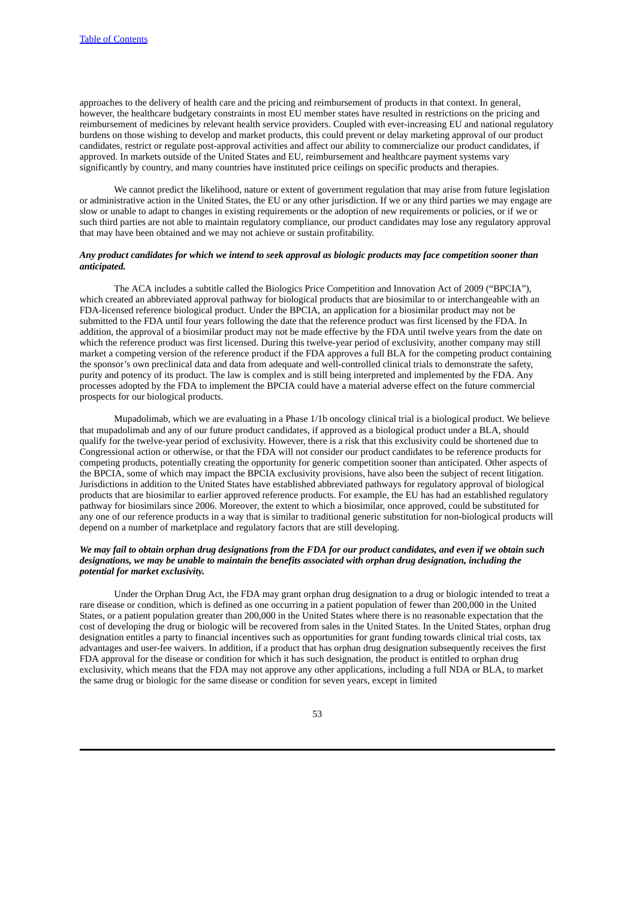approaches to the delivery of health care and the pricing and reimbursement of products in that context. In general, however, the healthcare budgetary constraints in most EU member states have resulted in restrictions on the pricing and reimbursement of medicines by relevant health service providers. Coupled with ever-increasing EU and national regulatory burdens on those wishing to develop and market products, this could prevent or delay marketing approval of our product candidates, restrict or regulate post-approval activities and affect our ability to commercialize our product candidates, if approved. In markets outside of the United States and EU, reimbursement and healthcare payment systems vary significantly by country, and many countries have instituted price ceilings on specific products and therapies.

We cannot predict the likelihood, nature or extent of government regulation that may arise from future legislation or administrative action in the United States, the EU or any other jurisdiction. If we or any third parties we may engage are slow or unable to adapt to changes in existing requirements or the adoption of new requirements or policies, or if we or such third parties are not able to maintain regulatory compliance, our product candidates may lose any regulatory approval that may have been obtained and we may not achieve or sustain profitability.

## Any product candidates for which we intend to seek approval as biologic products may face competition sooner than *anticipated.*

The ACA includes a subtitle called the Biologics Price Competition and Innovation Act of 2009 ("BPCIA"), which created an abbreviated approval pathway for biological products that are biosimilar to or interchangeable with an FDA-licensed reference biological product. Under the BPCIA, an application for a biosimilar product may not be submitted to the FDA until four years following the date that the reference product was first licensed by the FDA. In addition, the approval of a biosimilar product may not be made effective by the FDA until twelve years from the date on which the reference product was first licensed. During this twelve-year period of exclusivity, another company may still market a competing version of the reference product if the FDA approves a full BLA for the competing product containing the sponsor's own preclinical data and data from adequate and well-controlled clinical trials to demonstrate the safety, purity and potency of its product. The law is complex and is still being interpreted and implemented by the FDA. Any processes adopted by the FDA to implement the BPCIA could have a material adverse effect on the future commercial prospects for our biological products.

Mupadolimab, which we are evaluating in a Phase 1/1b oncology clinical trial is a biological product. We believe that mupadolimab and any of our future product candidates, if approved as a biological product under a BLA, should qualify for the twelve-year period of exclusivity. However, there is a risk that this exclusivity could be shortened due to Congressional action or otherwise, or that the FDA will not consider our product candidates to be reference products for competing products, potentially creating the opportunity for generic competition sooner than anticipated. Other aspects of the BPCIA, some of which may impact the BPCIA exclusivity provisions, have also been the subject of recent litigation. Jurisdictions in addition to the United States have established abbreviated pathways for regulatory approval of biological products that are biosimilar to earlier approved reference products. For example, the EU has had an established regulatory pathway for biosimilars since 2006. Moreover, the extent to which a biosimilar, once approved, could be substituted for any one of our reference products in a way that is similar to traditional generic substitution for non-biological products will depend on a number of marketplace and regulatory factors that are still developing.

# We may fail to obtain orphan drug designations from the FDA for our product candidates, and even if we obtain such *designations, we may be unable to maintain the benefits associated with orphan drug designation, including the potential for market exclusivity.*

Under the Orphan Drug Act, the FDA may grant orphan drug designation to a drug or biologic intended to treat a rare disease or condition, which is defined as one occurring in a patient population of fewer than 200,000 in the United States, or a patient population greater than 200,000 in the United States where there is no reasonable expectation that the cost of developing the drug or biologic will be recovered from sales in the United States. In the United States, orphan drug designation entitles a party to financial incentives such as opportunities for grant funding towards clinical trial costs, tax advantages and user-fee waivers. In addition, if a product that has orphan drug designation subsequently receives the first FDA approval for the disease or condition for which it has such designation, the product is entitled to orphan drug exclusivity, which means that the FDA may not approve any other applications, including a full NDA or BLA, to market the same drug or biologic for the same disease or condition for seven years, except in limited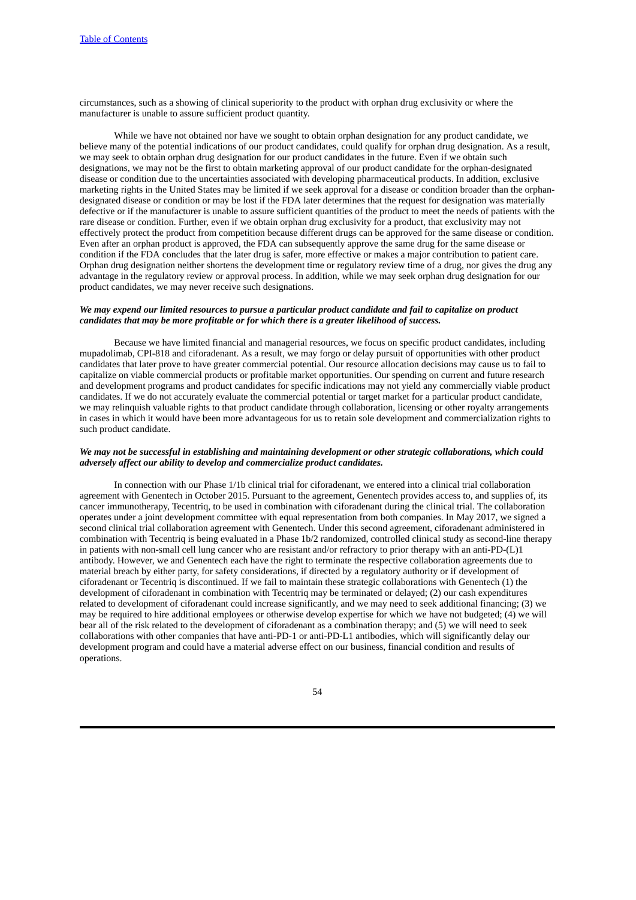circumstances, such as a showing of clinical superiority to the product with orphan drug exclusivity or where the manufacturer is unable to assure sufficient product quantity.

While we have not obtained nor have we sought to obtain orphan designation for any product candidate, we believe many of the potential indications of our product candidates, could qualify for orphan drug designation. As a result, we may seek to obtain orphan drug designation for our product candidates in the future. Even if we obtain such designations, we may not be the first to obtain marketing approval of our product candidate for the orphan-designated disease or condition due to the uncertainties associated with developing pharmaceutical products. In addition, exclusive marketing rights in the United States may be limited if we seek approval for a disease or condition broader than the orphandesignated disease or condition or may be lost if the FDA later determines that the request for designation was materially defective or if the manufacturer is unable to assure sufficient quantities of the product to meet the needs of patients with the rare disease or condition. Further, even if we obtain orphan drug exclusivity for a product, that exclusivity may not effectively protect the product from competition because different drugs can be approved for the same disease or condition. Even after an orphan product is approved, the FDA can subsequently approve the same drug for the same disease or condition if the FDA concludes that the later drug is safer, more effective or makes a major contribution to patient care. Orphan drug designation neither shortens the development time or regulatory review time of a drug, nor gives the drug any advantage in the regulatory review or approval process. In addition, while we may seek orphan drug designation for our product candidates, we may never receive such designations.

## We may expend our limited resources to pursue a particular product candidate and fail to capitalize on product *candidates that may be more profitable or for which there is a greater likelihood of success.*

Because we have limited financial and managerial resources, we focus on specific product candidates, including mupadolimab, CPI-818 and ciforadenant. As a result, we may forgo or delay pursuit of opportunities with other product candidates that later prove to have greater commercial potential. Our resource allocation decisions may cause us to fail to capitalize on viable commercial products or profitable market opportunities. Our spending on current and future research and development programs and product candidates for specific indications may not yield any commercially viable product candidates. If we do not accurately evaluate the commercial potential or target market for a particular product candidate, we may relinquish valuable rights to that product candidate through collaboration, licensing or other royalty arrangements in cases in which it would have been more advantageous for us to retain sole development and commercialization rights to such product candidate.

#### We may not be successful in establishing and maintaining development or other strategic collaborations, which could *adversely affect our ability to develop and commercialize product candidates.*

In connection with our Phase 1/1b clinical trial for ciforadenant, we entered into a clinical trial collaboration agreement with Genentech in October 2015. Pursuant to the agreement, Genentech provides access to, and supplies of, its cancer immunotherapy, Tecentriq, to be used in combination with ciforadenant during the clinical trial. The collaboration operates under a joint development committee with equal representation from both companies. In May 2017, we signed a second clinical trial collaboration agreement with Genentech. Under this second agreement, ciforadenant administered in combination with Tecentriq is being evaluated in a Phase 1b/2 randomized, controlled clinical study as second-line therapy in patients with non-small cell lung cancer who are resistant and/or refractory to prior therapy with an anti-PD-(L)1 antibody. However, we and Genentech each have the right to terminate the respective collaboration agreements due to material breach by either party, for safety considerations, if directed by a regulatory authority or if development of ciforadenant or Tecentriq is discontinued. If we fail to maintain these strategic collaborations with Genentech (1) the development of ciforadenant in combination with Tecentriq may be terminated or delayed; (2) our cash expenditures related to development of ciforadenant could increase significantly, and we may need to seek additional financing; (3) we may be required to hire additional employees or otherwise develop expertise for which we have not budgeted; (4) we will bear all of the risk related to the development of ciforadenant as a combination therapy; and (5) we will need to seek collaborations with other companies that have anti-PD-1 or anti-PD-L1 antibodies, which will significantly delay our development program and could have a material adverse effect on our business, financial condition and results of operations.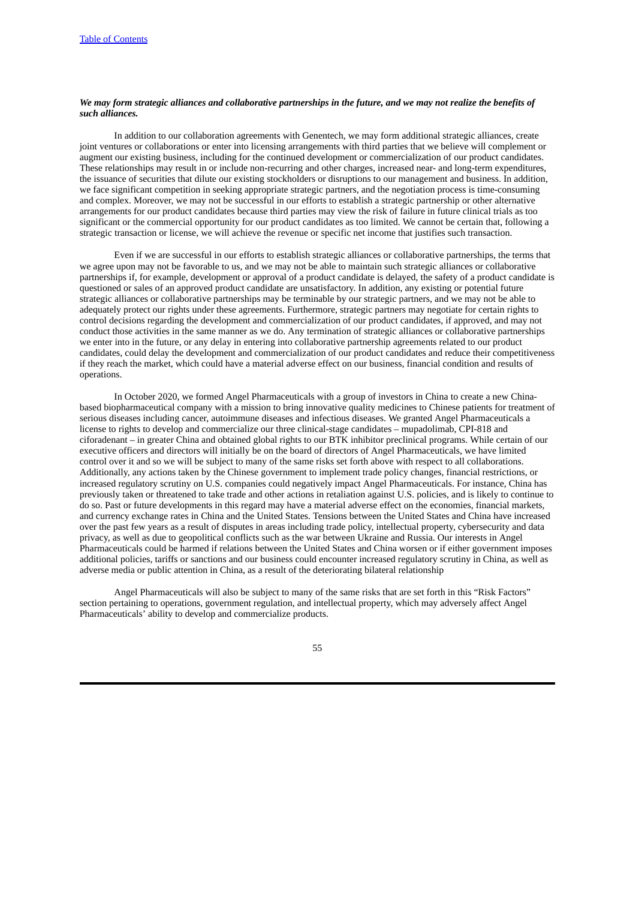## We may form strategic alliances and collaborative partnerships in the future, and we may not realize the benefits of *such alliances.*

In addition to our collaboration agreements with Genentech, we may form additional strategic alliances, create joint ventures or collaborations or enter into licensing arrangements with third parties that we believe will complement or augment our existing business, including for the continued development or commercialization of our product candidates. These relationships may result in or include non-recurring and other charges, increased near- and long-term expenditures, the issuance of securities that dilute our existing stockholders or disruptions to our management and business. In addition, we face significant competition in seeking appropriate strategic partners, and the negotiation process is time-consuming and complex. Moreover, we may not be successful in our efforts to establish a strategic partnership or other alternative arrangements for our product candidates because third parties may view the risk of failure in future clinical trials as too significant or the commercial opportunity for our product candidates as too limited. We cannot be certain that, following a strategic transaction or license, we will achieve the revenue or specific net income that justifies such transaction.

Even if we are successful in our efforts to establish strategic alliances or collaborative partnerships, the terms that we agree upon may not be favorable to us, and we may not be able to maintain such strategic alliances or collaborative partnerships if, for example, development or approval of a product candidate is delayed, the safety of a product candidate is questioned or sales of an approved product candidate are unsatisfactory. In addition, any existing or potential future strategic alliances or collaborative partnerships may be terminable by our strategic partners, and we may not be able to adequately protect our rights under these agreements. Furthermore, strategic partners may negotiate for certain rights to control decisions regarding the development and commercialization of our product candidates, if approved, and may not conduct those activities in the same manner as we do. Any termination of strategic alliances or collaborative partnerships we enter into in the future, or any delay in entering into collaborative partnership agreements related to our product candidates, could delay the development and commercialization of our product candidates and reduce their competitiveness if they reach the market, which could have a material adverse effect on our business, financial condition and results of operations.

In October 2020, we formed Angel Pharmaceuticals with a group of investors in China to create a new Chinabased biopharmaceutical company with a mission to bring innovative quality medicines to Chinese patients for treatment of serious diseases including cancer, autoimmune diseases and infectious diseases. We granted Angel Pharmaceuticals a license to rights to develop and commercialize our three clinical-stage candidates – mupadolimab, CPI-818 and ciforadenant – in greater China and obtained global rights to our BTK inhibitor preclinical programs. While certain of our executive officers and directors will initially be on the board of directors of Angel Pharmaceuticals, we have limited control over it and so we will be subject to many of the same risks set forth above with respect to all collaborations. Additionally, any actions taken by the Chinese government to implement trade policy changes, financial restrictions, or increased regulatory scrutiny on U.S. companies could negatively impact Angel Pharmaceuticals. For instance, China has previously taken or threatened to take trade and other actions in retaliation against U.S. policies, and is likely to continue to do so. Past or future developments in this regard may have a material adverse effect on the economies, financial markets, and currency exchange rates in China and the United States. Tensions between the United States and China have increased over the past few years as a result of disputes in areas including trade policy, intellectual property, cybersecurity and data privacy, as well as due to geopolitical conflicts such as the war between Ukraine and Russia. Our interests in Angel Pharmaceuticals could be harmed if relations between the United States and China worsen or if either government imposes additional policies, tariffs or sanctions and our business could encounter increased regulatory scrutiny in China, as well as adverse media or public attention in China, as a result of the deteriorating bilateral relationship

Angel Pharmaceuticals will also be subject to many of the same risks that are set forth in this "Risk Factors" section pertaining to operations, government regulation, and intellectual property, which may adversely affect Angel Pharmaceuticals' ability to develop and commercialize products.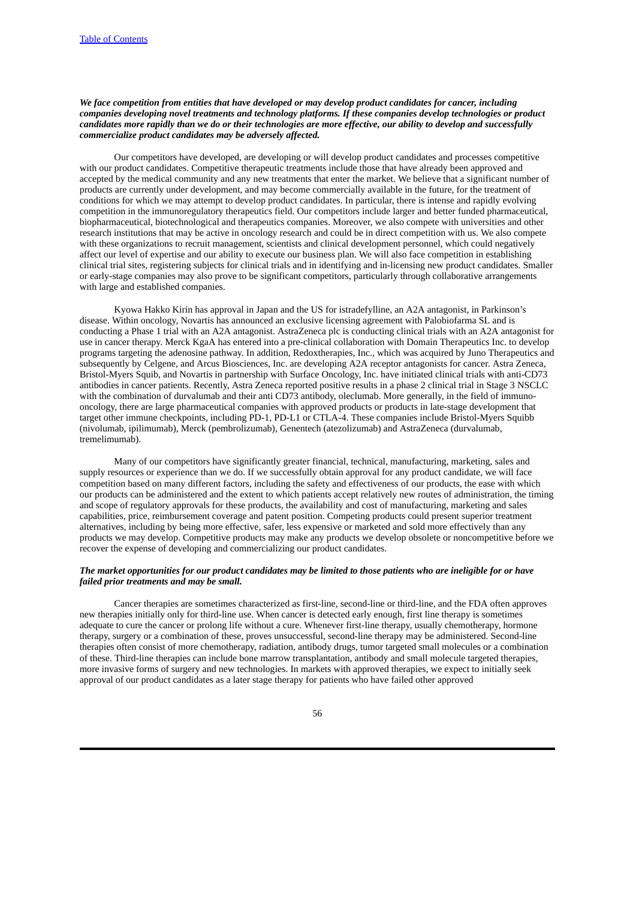## *We face competition from entities that have developed or may develop product candidates for cancer, including companies developing novel treatments and technology platforms. If these companies develop technologies or product* candidates more rapidly than we do or their technologies are more effective, our ability to develop and successfully *commercialize product candidates may be adversely affected.*

Our competitors have developed, are developing or will develop product candidates and processes competitive with our product candidates. Competitive therapeutic treatments include those that have already been approved and accepted by the medical community and any new treatments that enter the market. We believe that a significant number of products are currently under development, and may become commercially available in the future, for the treatment of conditions for which we may attempt to develop product candidates. In particular, there is intense and rapidly evolving competition in the immunoregulatory therapeutics field. Our competitors include larger and better funded pharmaceutical, biopharmaceutical, biotechnological and therapeutics companies. Moreover, we also compete with universities and other research institutions that may be active in oncology research and could be in direct competition with us. We also compete with these organizations to recruit management, scientists and clinical development personnel, which could negatively affect our level of expertise and our ability to execute our business plan. We will also face competition in establishing clinical trial sites, registering subjects for clinical trials and in identifying and in-licensing new product candidates. Smaller or early-stage companies may also prove to be significant competitors, particularly through collaborative arrangements with large and established companies.

Kyowa Hakko Kirin has approval in Japan and the US for istradefylline, an A2A antagonist, in Parkinson's disease. Within oncology, Novartis has announced an exclusive licensing agreement with Palobiofarma SL and is conducting a Phase 1 trial with an A2A antagonist. AstraZeneca plc is conducting clinical trials with an A2A antagonist for use in cancer therapy. Merck KgaA has entered into a pre-clinical collaboration with Domain Therapeutics Inc. to develop programs targeting the adenosine pathway. In addition, Redoxtherapies, Inc., which was acquired by Juno Therapeutics and subsequently by Celgene, and Arcus Biosciences, Inc. are developing A2A receptor antagonists for cancer. Astra Zeneca, Bristol-Myers Squib, and Novartis in partnership with Surface Oncology, Inc. have initiated clinical trials with anti-CD73 antibodies in cancer patients. Recently, Astra Zeneca reported positive results in a phase 2 clinical trial in Stage 3 NSCLC with the combination of durvalumab and their anti CD73 antibody, oleclumab. More generally, in the field of immunooncology, there are large pharmaceutical companies with approved products or products in late-stage development that target other immune checkpoints, including PD-1, PD-L1 or CTLA-4. These companies include Bristol-Myers Squibb (nivolumab, ipilimumab), Merck (pembrolizumab), Genentech (atezolizumab) and AstraZeneca (durvalumab, tremelimumab).

Many of our competitors have significantly greater financial, technical, manufacturing, marketing, sales and supply resources or experience than we do. If we successfully obtain approval for any product candidate, we will face competition based on many different factors, including the safety and effectiveness of our products, the ease with which our products can be administered and the extent to which patients accept relatively new routes of administration, the timing and scope of regulatory approvals for these products, the availability and cost of manufacturing, marketing and sales capabilities, price, reimbursement coverage and patent position. Competing products could present superior treatment alternatives, including by being more effective, safer, less expensive or marketed and sold more effectively than any products we may develop. Competitive products may make any products we develop obsolete or noncompetitive before we recover the expense of developing and commercializing our product candidates.

## The market opportunities for our product candidates may be limited to those patients who are ineligible for or have *failed prior treatments and may be small.*

Cancer therapies are sometimes characterized as first-line, second-line or third-line, and the FDA often approves new therapies initially only for third-line use. When cancer is detected early enough, first line therapy is sometimes adequate to cure the cancer or prolong life without a cure. Whenever first-line therapy, usually chemotherapy, hormone therapy, surgery or a combination of these, proves unsuccessful, second-line therapy may be administered. Second-line therapies often consist of more chemotherapy, radiation, antibody drugs, tumor targeted small molecules or a combination of these. Third-line therapies can include bone marrow transplantation, antibody and small molecule targeted therapies, more invasive forms of surgery and new technologies. In markets with approved therapies, we expect to initially seek approval of our product candidates as a later stage therapy for patients who have failed other approved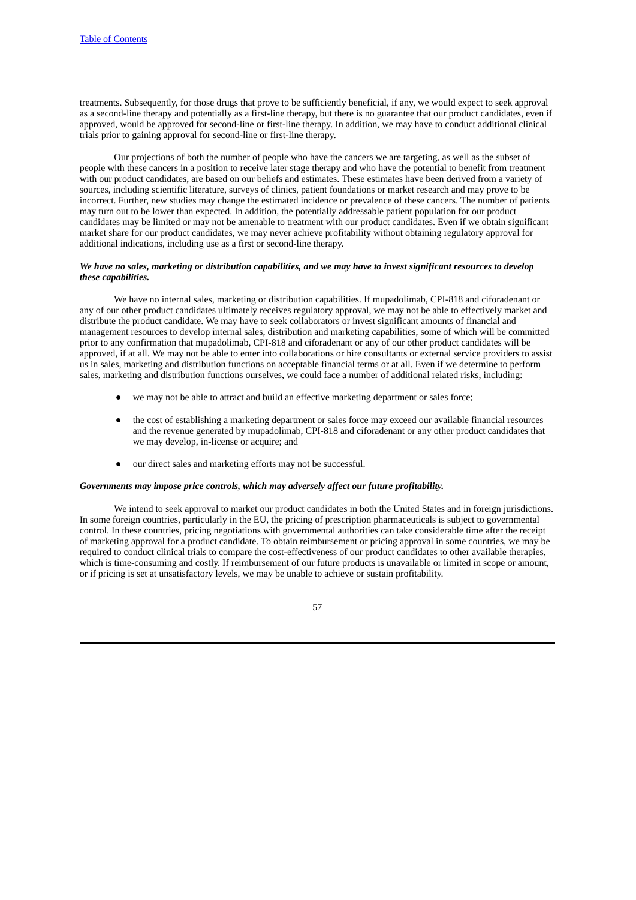treatments. Subsequently, for those drugs that prove to be sufficiently beneficial, if any, we would expect to seek approval as a second-line therapy and potentially as a first-line therapy, but there is no guarantee that our product candidates, even if approved, would be approved for second-line or first-line therapy. In addition, we may have to conduct additional clinical trials prior to gaining approval for second-line or first-line therapy.

Our projections of both the number of people who have the cancers we are targeting, as well as the subset of people with these cancers in a position to receive later stage therapy and who have the potential to benefit from treatment with our product candidates, are based on our beliefs and estimates. These estimates have been derived from a variety of sources, including scientific literature, surveys of clinics, patient foundations or market research and may prove to be incorrect. Further, new studies may change the estimated incidence or prevalence of these cancers. The number of patients may turn out to be lower than expected. In addition, the potentially addressable patient population for our product candidates may be limited or may not be amenable to treatment with our product candidates. Even if we obtain significant market share for our product candidates, we may never achieve profitability without obtaining regulatory approval for additional indications, including use as a first or second-line therapy.

#### We have no sales, marketing or distribution capabilities, and we may have to invest significant resources to develop *these capabilities.*

We have no internal sales, marketing or distribution capabilities. If mupadolimab, CPI-818 and ciforadenant or any of our other product candidates ultimately receives regulatory approval, we may not be able to effectively market and distribute the product candidate. We may have to seek collaborators or invest significant amounts of financial and management resources to develop internal sales, distribution and marketing capabilities, some of which will be committed prior to any confirmation that mupadolimab, CPI-818 and ciforadenant or any of our other product candidates will be approved, if at all. We may not be able to enter into collaborations or hire consultants or external service providers to assist us in sales, marketing and distribution functions on acceptable financial terms or at all. Even if we determine to perform sales, marketing and distribution functions ourselves, we could face a number of additional related risks, including:

- we may not be able to attract and build an effective marketing department or sales force;
- the cost of establishing a marketing department or sales force may exceed our available financial resources and the revenue generated by mupadolimab, CPI-818 and ciforadenant or any other product candidates that we may develop, in-license or acquire; and
- our direct sales and marketing efforts may not be successful.

# *Governments may impose price controls, which may adversely affect our future profitability.*

We intend to seek approval to market our product candidates in both the United States and in foreign jurisdictions. In some foreign countries, particularly in the EU, the pricing of prescription pharmaceuticals is subject to governmental control. In these countries, pricing negotiations with governmental authorities can take considerable time after the receipt of marketing approval for a product candidate. To obtain reimbursement or pricing approval in some countries, we may be required to conduct clinical trials to compare the cost-effectiveness of our product candidates to other available therapies, which is time-consuming and costly. If reimbursement of our future products is unavailable or limited in scope or amount, or if pricing is set at unsatisfactory levels, we may be unable to achieve or sustain profitability.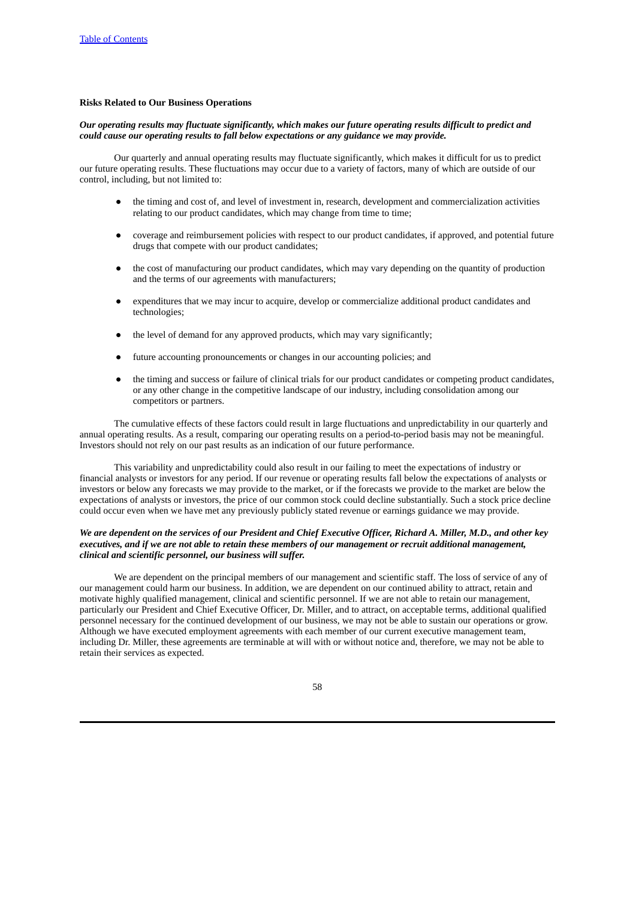## **Risks Related to Our Business Operations**

#### Our operating results may fluctuate significantly, which makes our future operating results difficult to predict and *could cause our operating results to fall below expectations or any guidance we may provide.*

Our quarterly and annual operating results may fluctuate significantly, which makes it difficult for us to predict our future operating results. These fluctuations may occur due to a variety of factors, many of which are outside of our control, including, but not limited to:

- the timing and cost of, and level of investment in, research, development and commercialization activities relating to our product candidates, which may change from time to time;
- coverage and reimbursement policies with respect to our product candidates, if approved, and potential future drugs that compete with our product candidates;
- the cost of manufacturing our product candidates, which may vary depending on the quantity of production and the terms of our agreements with manufacturers;
- expenditures that we may incur to acquire, develop or commercialize additional product candidates and technologies;
- the level of demand for any approved products, which may vary significantly;
- future accounting pronouncements or changes in our accounting policies; and
- the timing and success or failure of clinical trials for our product candidates or competing product candidates, or any other change in the competitive landscape of our industry, including consolidation among our competitors or partners.

The cumulative effects of these factors could result in large fluctuations and unpredictability in our quarterly and annual operating results. As a result, comparing our operating results on a period-to-period basis may not be meaningful. Investors should not rely on our past results as an indication of our future performance.

This variability and unpredictability could also result in our failing to meet the expectations of industry or financial analysts or investors for any period. If our revenue or operating results fall below the expectations of analysts or investors or below any forecasts we may provide to the market, or if the forecasts we provide to the market are below the expectations of analysts or investors, the price of our common stock could decline substantially. Such a stock price decline could occur even when we have met any previously publicly stated revenue or earnings guidance we may provide.

## We are dependent on the services of our President and Chief Executive Officer, Richard A. Miller, M.D., and other key executives, and if we are not able to retain these members of our management or recruit additional management, *clinical and scientific personnel, our business will suffer.*

We are dependent on the principal members of our management and scientific staff. The loss of service of any of our management could harm our business. In addition, we are dependent on our continued ability to attract, retain and motivate highly qualified management, clinical and scientific personnel. If we are not able to retain our management, particularly our President and Chief Executive Officer, Dr. Miller, and to attract, on acceptable terms, additional qualified personnel necessary for the continued development of our business, we may not be able to sustain our operations or grow. Although we have executed employment agreements with each member of our current executive management team, including Dr. Miller, these agreements are terminable at will with or without notice and, therefore, we may not be able to retain their services as expected.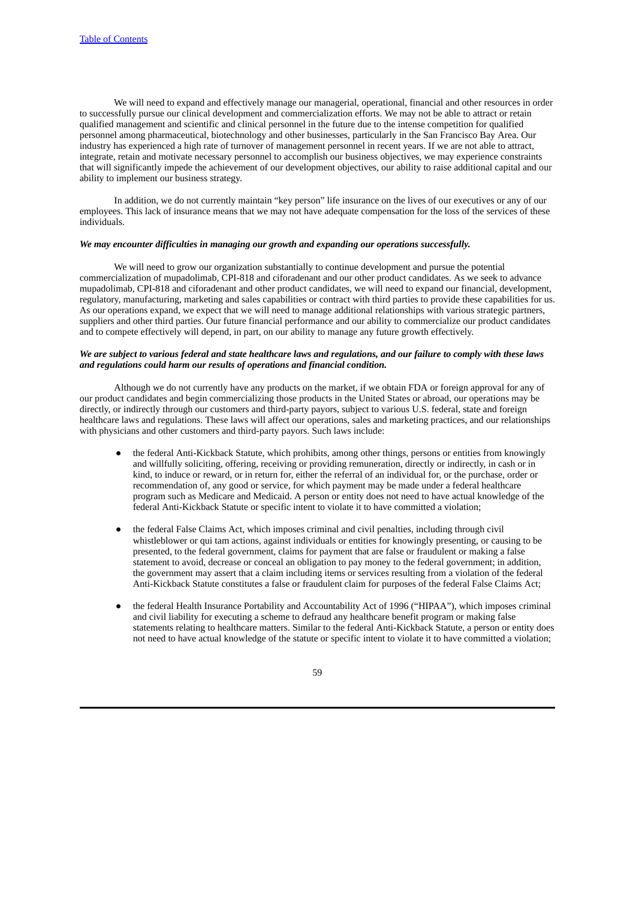We will need to expand and effectively manage our managerial, operational, financial and other resources in order to successfully pursue our clinical development and commercialization efforts. We may not be able to attract or retain qualified management and scientific and clinical personnel in the future due to the intense competition for qualified personnel among pharmaceutical, biotechnology and other businesses, particularly in the San Francisco Bay Area. Our industry has experienced a high rate of turnover of management personnel in recent years. If we are not able to attract, integrate, retain and motivate necessary personnel to accomplish our business objectives, we may experience constraints that will significantly impede the achievement of our development objectives, our ability to raise additional capital and our ability to implement our business strategy.

In addition, we do not currently maintain "key person" life insurance on the lives of our executives or any of our employees. This lack of insurance means that we may not have adequate compensation for the loss of the services of these individuals.

## *We may encounter difficulties in managing our growth and expanding our operations successfully.*

We will need to grow our organization substantially to continue development and pursue the potential commercialization of mupadolimab, CPI-818 and ciforadenant and our other product candidates. As we seek to advance mupadolimab, CPI-818 and ciforadenant and other product candidates, we will need to expand our financial, development, regulatory, manufacturing, marketing and sales capabilities or contract with third parties to provide these capabilities for us. As our operations expand, we expect that we will need to manage additional relationships with various strategic partners, suppliers and other third parties. Our future financial performance and our ability to commercialize our product candidates and to compete effectively will depend, in part, on our ability to manage any future growth effectively.

## We are subject to various federal and state healthcare laws and requlations, and our failure to comply with these laws *and regulations could harm our results of operations and financial condition.*

Although we do not currently have any products on the market, if we obtain FDA or foreign approval for any of our product candidates and begin commercializing those products in the United States or abroad, our operations may be directly, or indirectly through our customers and third-party payors, subject to various U.S. federal, state and foreign healthcare laws and regulations. These laws will affect our operations, sales and marketing practices, and our relationships with physicians and other customers and third-party payors. Such laws include:

- the federal Anti-Kickback Statute, which prohibits, among other things, persons or entities from knowingly and willfully soliciting, offering, receiving or providing remuneration, directly or indirectly, in cash or in kind, to induce or reward, or in return for, either the referral of an individual for, or the purchase, order or recommendation of, any good or service, for which payment may be made under a federal healthcare program such as Medicare and Medicaid. A person or entity does not need to have actual knowledge of the federal Anti-Kickback Statute or specific intent to violate it to have committed a violation;
- the federal False Claims Act, which imposes criminal and civil penalties, including through civil whistleblower or qui tam actions, against individuals or entities for knowingly presenting, or causing to be presented, to the federal government, claims for payment that are false or fraudulent or making a false statement to avoid, decrease or conceal an obligation to pay money to the federal government; in addition, the government may assert that a claim including items or services resulting from a violation of the federal Anti-Kickback Statute constitutes a false or fraudulent claim for purposes of the federal False Claims Act;
- the federal Health Insurance Portability and Accountability Act of 1996 ("HIPAA"), which imposes criminal and civil liability for executing a scheme to defraud any healthcare benefit program or making false statements relating to healthcare matters. Similar to the federal Anti-Kickback Statute, a person or entity does not need to have actual knowledge of the statute or specific intent to violate it to have committed a violation;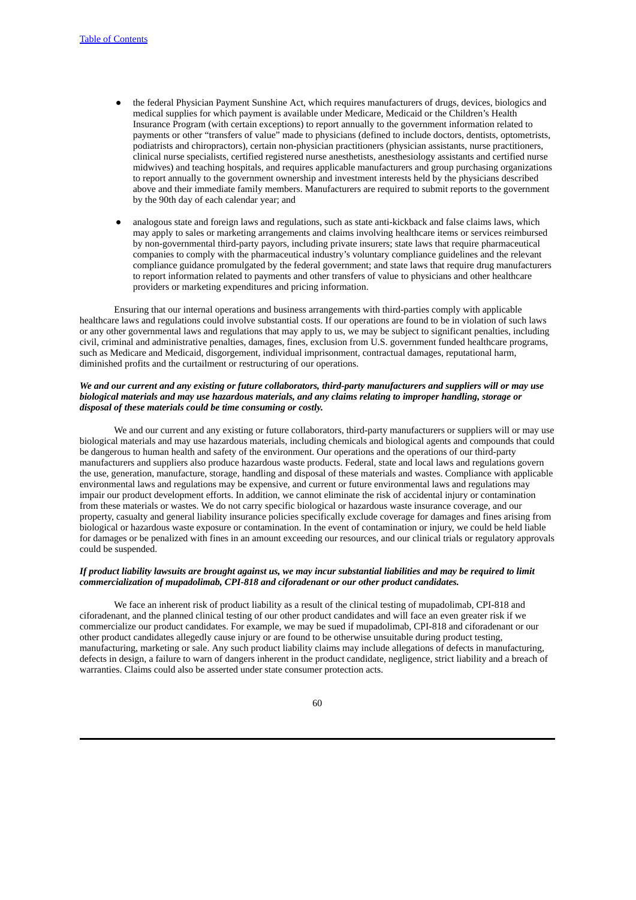- the federal Physician Payment Sunshine Act, which requires manufacturers of drugs, devices, biologics and medical supplies for which payment is available under Medicare, Medicaid or the Children's Health Insurance Program (with certain exceptions) to report annually to the government information related to payments or other "transfers of value" made to physicians (defined to include doctors, dentists, optometrists, podiatrists and chiropractors), certain non-physician practitioners (physician assistants, nurse practitioners, clinical nurse specialists, certified registered nurse anesthetists, anesthesiology assistants and certified nurse midwives) and teaching hospitals, and requires applicable manufacturers and group purchasing organizations to report annually to the government ownership and investment interests held by the physicians described above and their immediate family members. Manufacturers are required to submit reports to the government by the 90th day of each calendar year; and
- analogous state and foreign laws and regulations, such as state anti-kickback and false claims laws, which may apply to sales or marketing arrangements and claims involving healthcare items or services reimbursed by non-governmental third-party payors, including private insurers; state laws that require pharmaceutical companies to comply with the pharmaceutical industry's voluntary compliance guidelines and the relevant compliance guidance promulgated by the federal government; and state laws that require drug manufacturers to report information related to payments and other transfers of value to physicians and other healthcare providers or marketing expenditures and pricing information.

Ensuring that our internal operations and business arrangements with third-parties comply with applicable healthcare laws and regulations could involve substantial costs. If our operations are found to be in violation of such laws or any other governmental laws and regulations that may apply to us, we may be subject to significant penalties, including civil, criminal and administrative penalties, damages, fines, exclusion from U.S. government funded healthcare programs, such as Medicare and Medicaid, disgorgement, individual imprisonment, contractual damages, reputational harm, diminished profits and the curtailment or restructuring of our operations.

### We and our current and any existing or future collaborators, third-party manufacturers and suppliers will or may use *biological materials and may use hazardous materials, and any claims relating to improper handling, storage or disposal of these materials could be time consuming or costly.*

We and our current and any existing or future collaborators, third-party manufacturers or suppliers will or may use biological materials and may use hazardous materials, including chemicals and biological agents and compounds that could be dangerous to human health and safety of the environment. Our operations and the operations of our third-party manufacturers and suppliers also produce hazardous waste products. Federal, state and local laws and regulations govern the use, generation, manufacture, storage, handling and disposal of these materials and wastes. Compliance with applicable environmental laws and regulations may be expensive, and current or future environmental laws and regulations may impair our product development efforts. In addition, we cannot eliminate the risk of accidental injury or contamination from these materials or wastes. We do not carry specific biological or hazardous waste insurance coverage, and our property, casualty and general liability insurance policies specifically exclude coverage for damages and fines arising from biological or hazardous waste exposure or contamination. In the event of contamination or injury, we could be held liable for damages or be penalized with fines in an amount exceeding our resources, and our clinical trials or regulatory approvals could be suspended.

## If product liability lawsuits are brought against us, we may incur substantial liabilities and may be required to limit *commercialization of mupadolimab, CPI-818 and ciforadenant or our other product candidates.*

We face an inherent risk of product liability as a result of the clinical testing of mupadolimab, CPI-818 and ciforadenant, and the planned clinical testing of our other product candidates and will face an even greater risk if we commercialize our product candidates. For example, we may be sued if mupadolimab, CPI-818 and ciforadenant or our other product candidates allegedly cause injury or are found to be otherwise unsuitable during product testing, manufacturing, marketing or sale. Any such product liability claims may include allegations of defects in manufacturing, defects in design, a failure to warn of dangers inherent in the product candidate, negligence, strict liability and a breach of warranties. Claims could also be asserted under state consumer protection acts.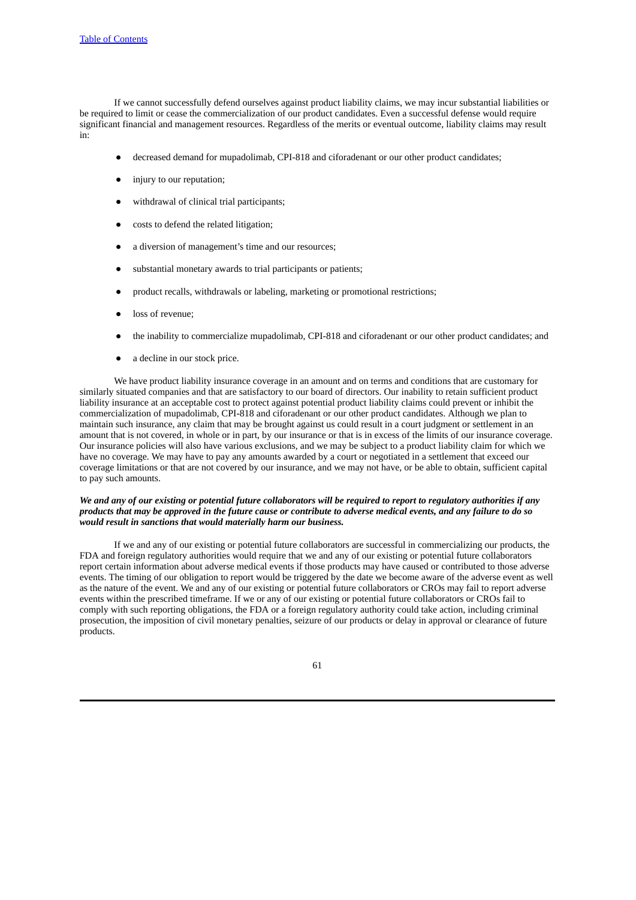If we cannot successfully defend ourselves against product liability claims, we may incur substantial liabilities or be required to limit or cease the commercialization of our product candidates. Even a successful defense would require significant financial and management resources. Regardless of the merits or eventual outcome, liability claims may result in:

- decreased demand for mupadolimab, CPI-818 and ciforadenant or our other product candidates;
- injury to our reputation;
- withdrawal of clinical trial participants;
- costs to defend the related litigation;
- a diversion of management's time and our resources;
- substantial monetary awards to trial participants or patients;
- product recalls, withdrawals or labeling, marketing or promotional restrictions;
- loss of revenue;
- the inability to commercialize mupadolimab, CPI-818 and ciforadenant or our other product candidates; and
- a decline in our stock price.

We have product liability insurance coverage in an amount and on terms and conditions that are customary for similarly situated companies and that are satisfactory to our board of directors. Our inability to retain sufficient product liability insurance at an acceptable cost to protect against potential product liability claims could prevent or inhibit the commercialization of mupadolimab, CPI-818 and ciforadenant or our other product candidates. Although we plan to maintain such insurance, any claim that may be brought against us could result in a court judgment or settlement in an amount that is not covered, in whole or in part, by our insurance or that is in excess of the limits of our insurance coverage. Our insurance policies will also have various exclusions, and we may be subject to a product liability claim for which we have no coverage. We may have to pay any amounts awarded by a court or negotiated in a settlement that exceed our coverage limitations or that are not covered by our insurance, and we may not have, or be able to obtain, sufficient capital to pay such amounts.

#### We and any of our existing or potential future collaborators will be required to report to requlatory authorities if any products that may be approved in the future cause or contribute to adverse medical events, and any failure to do so *would result in sanctions that would materially harm our business.*

If we and any of our existing or potential future collaborators are successful in commercializing our products, the FDA and foreign regulatory authorities would require that we and any of our existing or potential future collaborators report certain information about adverse medical events if those products may have caused or contributed to those adverse events. The timing of our obligation to report would be triggered by the date we become aware of the adverse event as well as the nature of the event. We and any of our existing or potential future collaborators or CROs may fail to report adverse events within the prescribed timeframe. If we or any of our existing or potential future collaborators or CROs fail to comply with such reporting obligations, the FDA or a foreign regulatory authority could take action, including criminal prosecution, the imposition of civil monetary penalties, seizure of our products or delay in approval or clearance of future products.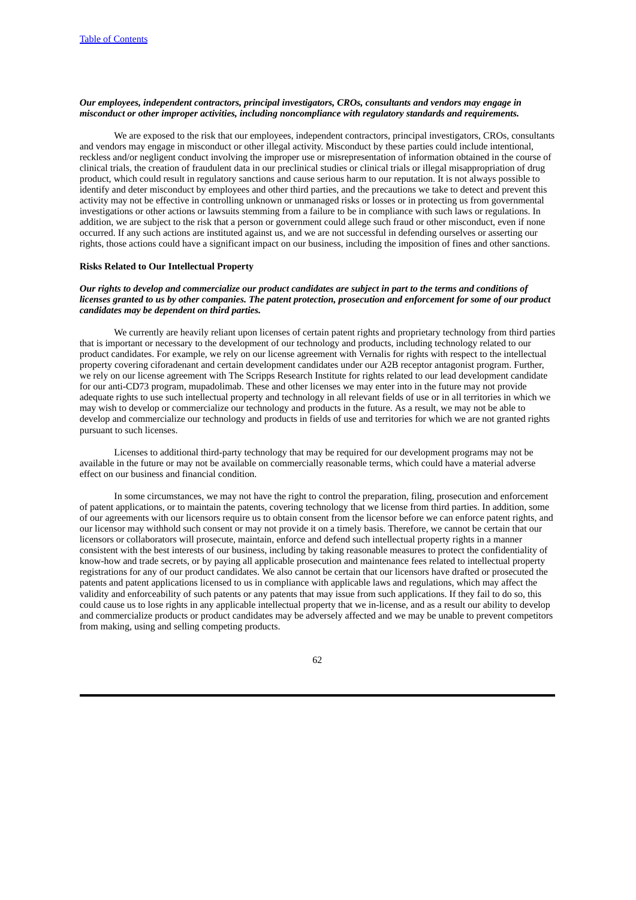#### *Our employees, independent contractors, principal investigators, CROs, consultants and vendors may engage in misconduct or other improper activities, including noncompliance with regulatory standards and requirements.*

We are exposed to the risk that our employees, independent contractors, principal investigators, CROs, consultants and vendors may engage in misconduct or other illegal activity. Misconduct by these parties could include intentional, reckless and/or negligent conduct involving the improper use or misrepresentation of information obtained in the course of clinical trials, the creation of fraudulent data in our preclinical studies or clinical trials or illegal misappropriation of drug product, which could result in regulatory sanctions and cause serious harm to our reputation. It is not always possible to identify and deter misconduct by employees and other third parties, and the precautions we take to detect and prevent this activity may not be effective in controlling unknown or unmanaged risks or losses or in protecting us from governmental investigations or other actions or lawsuits stemming from a failure to be in compliance with such laws or regulations. In addition, we are subject to the risk that a person or government could allege such fraud or other misconduct, even if none occurred. If any such actions are instituted against us, and we are not successful in defending ourselves or asserting our rights, those actions could have a significant impact on our business, including the imposition of fines and other sanctions.

#### **Risks Related to Our Intellectual Property**

## Our rights to develop and commercialize our product candidates are subject in part to the terms and conditions of licenses granted to us by other companies. The patent protection, prosecution and enforcement for some of our product *candidates may be dependent on third parties.*

We currently are heavily reliant upon licenses of certain patent rights and proprietary technology from third parties that is important or necessary to the development of our technology and products, including technology related to our product candidates. For example, we rely on our license agreement with Vernalis for rights with respect to the intellectual property covering ciforadenant and certain development candidates under our A2B receptor antagonist program. Further, we rely on our license agreement with The Scripps Research Institute for rights related to our lead development candidate for our anti-CD73 program, mupadolimab. These and other licenses we may enter into in the future may not provide adequate rights to use such intellectual property and technology in all relevant fields of use or in all territories in which we may wish to develop or commercialize our technology and products in the future. As a result, we may not be able to develop and commercialize our technology and products in fields of use and territories for which we are not granted rights pursuant to such licenses.

Licenses to additional third-party technology that may be required for our development programs may not be available in the future or may not be available on commercially reasonable terms, which could have a material adverse effect on our business and financial condition.

In some circumstances, we may not have the right to control the preparation, filing, prosecution and enforcement of patent applications, or to maintain the patents, covering technology that we license from third parties. In addition, some of our agreements with our licensors require us to obtain consent from the licensor before we can enforce patent rights, and our licensor may withhold such consent or may not provide it on a timely basis. Therefore, we cannot be certain that our licensors or collaborators will prosecute, maintain, enforce and defend such intellectual property rights in a manner consistent with the best interests of our business, including by taking reasonable measures to protect the confidentiality of know-how and trade secrets, or by paying all applicable prosecution and maintenance fees related to intellectual property registrations for any of our product candidates. We also cannot be certain that our licensors have drafted or prosecuted the patents and patent applications licensed to us in compliance with applicable laws and regulations, which may affect the validity and enforceability of such patents or any patents that may issue from such applications. If they fail to do so, this could cause us to lose rights in any applicable intellectual property that we in-license, and as a result our ability to develop and commercialize products or product candidates may be adversely affected and we may be unable to prevent competitors from making, using and selling competing products.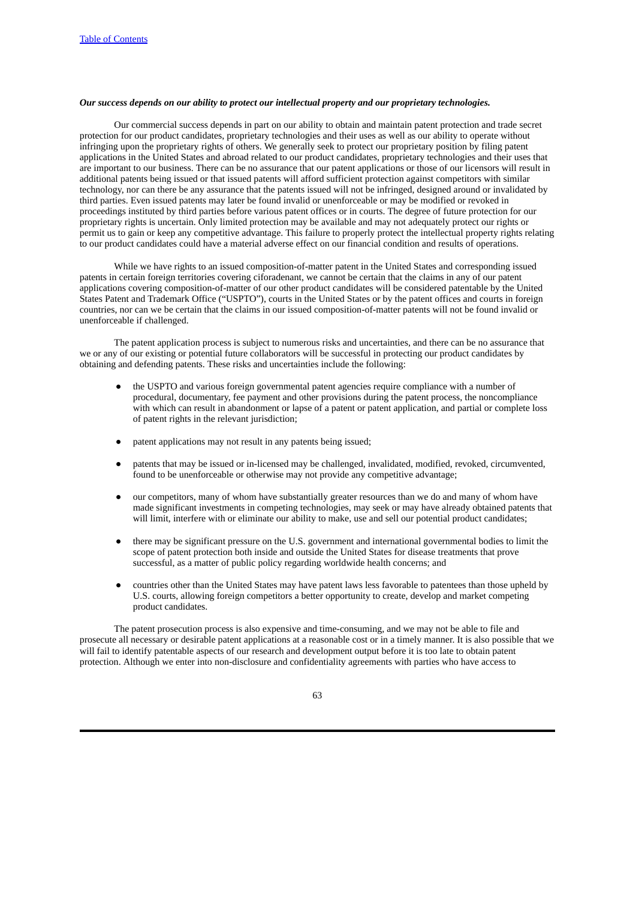## *Our success depends on our ability to protect our intellectual property and our proprietary technologies.*

Our commercial success depends in part on our ability to obtain and maintain patent protection and trade secret protection for our product candidates, proprietary technologies and their uses as well as our ability to operate without infringing upon the proprietary rights of others. We generally seek to protect our proprietary position by filing patent applications in the United States and abroad related to our product candidates, proprietary technologies and their uses that are important to our business. There can be no assurance that our patent applications or those of our licensors will result in additional patents being issued or that issued patents will afford sufficient protection against competitors with similar technology, nor can there be any assurance that the patents issued will not be infringed, designed around or invalidated by third parties. Even issued patents may later be found invalid or unenforceable or may be modified or revoked in proceedings instituted by third parties before various patent offices or in courts. The degree of future protection for our proprietary rights is uncertain. Only limited protection may be available and may not adequately protect our rights or permit us to gain or keep any competitive advantage. This failure to properly protect the intellectual property rights relating to our product candidates could have a material adverse effect on our financial condition and results of operations.

While we have rights to an issued composition-of-matter patent in the United States and corresponding issued patents in certain foreign territories covering ciforadenant, we cannot be certain that the claims in any of our patent applications covering composition-of-matter of our other product candidates will be considered patentable by the United States Patent and Trademark Office ("USPTO"), courts in the United States or by the patent offices and courts in foreign countries, nor can we be certain that the claims in our issued composition-of-matter patents will not be found invalid or unenforceable if challenged.

The patent application process is subject to numerous risks and uncertainties, and there can be no assurance that we or any of our existing or potential future collaborators will be successful in protecting our product candidates by obtaining and defending patents. These risks and uncertainties include the following:

- the USPTO and various foreign governmental patent agencies require compliance with a number of procedural, documentary, fee payment and other provisions during the patent process, the noncompliance with which can result in abandonment or lapse of a patent or patent application, and partial or complete loss of patent rights in the relevant jurisdiction;
- patent applications may not result in any patents being issued;
- patents that may be issued or in-licensed may be challenged, invalidated, modified, revoked, circumvented, found to be unenforceable or otherwise may not provide any competitive advantage;
- our competitors, many of whom have substantially greater resources than we do and many of whom have made significant investments in competing technologies, may seek or may have already obtained patents that will limit, interfere with or eliminate our ability to make, use and sell our potential product candidates;
- there may be significant pressure on the U.S. government and international governmental bodies to limit the scope of patent protection both inside and outside the United States for disease treatments that prove successful, as a matter of public policy regarding worldwide health concerns; and
- countries other than the United States may have patent laws less favorable to patentees than those upheld by U.S. courts, allowing foreign competitors a better opportunity to create, develop and market competing product candidates.

The patent prosecution process is also expensive and time-consuming, and we may not be able to file and prosecute all necessary or desirable patent applications at a reasonable cost or in a timely manner. It is also possible that we will fail to identify patentable aspects of our research and development output before it is too late to obtain patent protection. Although we enter into non-disclosure and confidentiality agreements with parties who have access to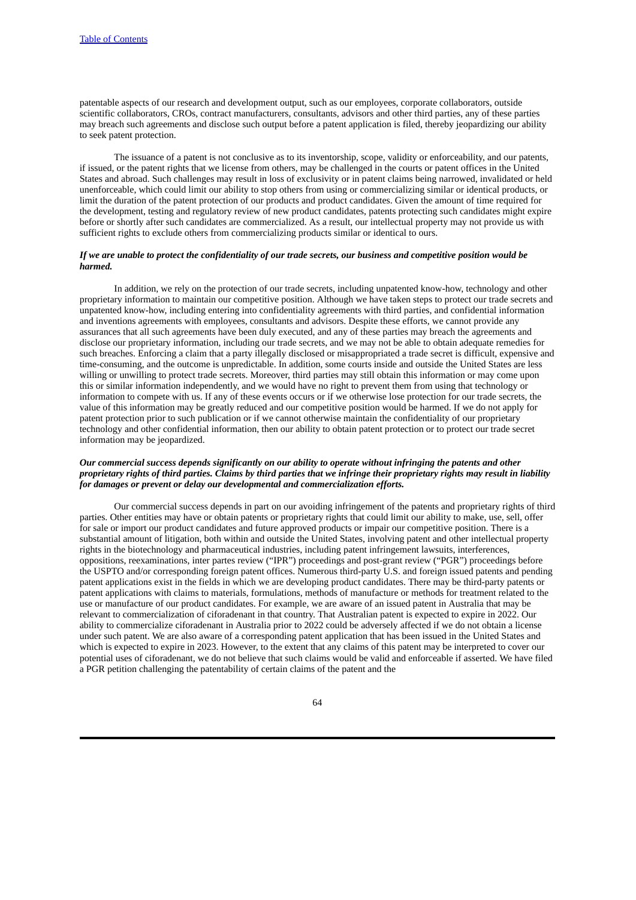patentable aspects of our research and development output, such as our employees, corporate collaborators, outside scientific collaborators, CROs, contract manufacturers, consultants, advisors and other third parties, any of these parties may breach such agreements and disclose such output before a patent application is filed, thereby jeopardizing our ability to seek patent protection.

The issuance of a patent is not conclusive as to its inventorship, scope, validity or enforceability, and our patents, if issued, or the patent rights that we license from others, may be challenged in the courts or patent offices in the United States and abroad. Such challenges may result in loss of exclusivity or in patent claims being narrowed, invalidated or held unenforceable, which could limit our ability to stop others from using or commercializing similar or identical products, or limit the duration of the patent protection of our products and product candidates. Given the amount of time required for the development, testing and regulatory review of new product candidates, patents protecting such candidates might expire before or shortly after such candidates are commercialized. As a result, our intellectual property may not provide us with sufficient rights to exclude others from commercializing products similar or identical to ours.

## If we are unable to protect the confidentiality of our trade secrets, our business and competitive position would be *harmed.*

In addition, we rely on the protection of our trade secrets, including unpatented know-how, technology and other proprietary information to maintain our competitive position. Although we have taken steps to protect our trade secrets and unpatented know-how, including entering into confidentiality agreements with third parties, and confidential information and inventions agreements with employees, consultants and advisors. Despite these efforts, we cannot provide any assurances that all such agreements have been duly executed, and any of these parties may breach the agreements and disclose our proprietary information, including our trade secrets, and we may not be able to obtain adequate remedies for such breaches. Enforcing a claim that a party illegally disclosed or misappropriated a trade secret is difficult, expensive and time-consuming, and the outcome is unpredictable. In addition, some courts inside and outside the United States are less willing or unwilling to protect trade secrets. Moreover, third parties may still obtain this information or may come upon this or similar information independently, and we would have no right to prevent them from using that technology or information to compete with us. If any of these events occurs or if we otherwise lose protection for our trade secrets, the value of this information may be greatly reduced and our competitive position would be harmed. If we do not apply for patent protection prior to such publication or if we cannot otherwise maintain the confidentiality of our proprietary technology and other confidential information, then our ability to obtain patent protection or to protect our trade secret information may be jeopardized.

## *Our commercial success depends significantly on our ability to operate without infringing the patents and other* proprietary rights of third parties. Claims by third parties that we infringe their proprietary rights may result in liability *for damages or prevent or delay our developmental and commercialization efforts.*

Our commercial success depends in part on our avoiding infringement of the patents and proprietary rights of third parties. Other entities may have or obtain patents or proprietary rights that could limit our ability to make, use, sell, offer for sale or import our product candidates and future approved products or impair our competitive position. There is a substantial amount of litigation, both within and outside the United States, involving patent and other intellectual property rights in the biotechnology and pharmaceutical industries, including patent infringement lawsuits, interferences, oppositions, reexaminations, inter partes review ("IPR") proceedings and post-grant review ("PGR") proceedings before the USPTO and/or corresponding foreign patent offices. Numerous third-party U.S. and foreign issued patents and pending patent applications exist in the fields in which we are developing product candidates. There may be third-party patents or patent applications with claims to materials, formulations, methods of manufacture or methods for treatment related to the use or manufacture of our product candidates. For example, we are aware of an issued patent in Australia that may be relevant to commercialization of ciforadenant in that country. That Australian patent is expected to expire in 2022. Our ability to commercialize ciforadenant in Australia prior to 2022 could be adversely affected if we do not obtain a license under such patent. We are also aware of a corresponding patent application that has been issued in the United States and which is expected to expire in 2023. However, to the extent that any claims of this patent may be interpreted to cover our potential uses of ciforadenant, we do not believe that such claims would be valid and enforceable if asserted. We have filed a PGR petition challenging the patentability of certain claims of the patent and the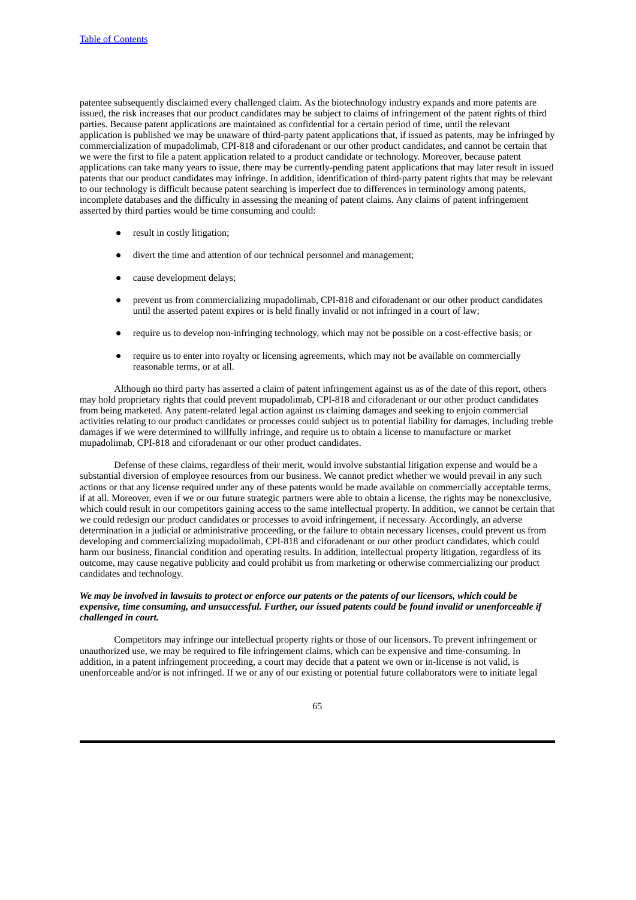patentee subsequently disclaimed every challenged claim. As the biotechnology industry expands and more patents are issued, the risk increases that our product candidates may be subject to claims of infringement of the patent rights of third parties. Because patent applications are maintained as confidential for a certain period of time, until the relevant application is published we may be unaware of third-party patent applications that, if issued as patents, may be infringed by commercialization of mupadolimab, CPI-818 and ciforadenant or our other product candidates, and cannot be certain that we were the first to file a patent application related to a product candidate or technology. Moreover, because patent applications can take many years to issue, there may be currently-pending patent applications that may later result in issued patents that our product candidates may infringe. In addition, identification of third-party patent rights that may be relevant to our technology is difficult because patent searching is imperfect due to differences in terminology among patents, incomplete databases and the difficulty in assessing the meaning of patent claims. Any claims of patent infringement asserted by third parties would be time consuming and could:

- result in costly litigation;
- divert the time and attention of our technical personnel and management;
- cause development delays;
- prevent us from commercializing mupadolimab, CPI-818 and ciforadenant or our other product candidates until the asserted patent expires or is held finally invalid or not infringed in a court of law;
- require us to develop non-infringing technology, which may not be possible on a cost-effective basis; or
- require us to enter into royalty or licensing agreements, which may not be available on commercially reasonable terms, or at all.

Although no third party has asserted a claim of patent infringement against us as of the date of this report, others may hold proprietary rights that could prevent mupadolimab, CPI-818 and ciforadenant or our other product candidates from being marketed. Any patent-related legal action against us claiming damages and seeking to enjoin commercial activities relating to our product candidates or processes could subject us to potential liability for damages, including treble damages if we were determined to willfully infringe, and require us to obtain a license to manufacture or market mupadolimab, CPI-818 and ciforadenant or our other product candidates.

Defense of these claims, regardless of their merit, would involve substantial litigation expense and would be a substantial diversion of employee resources from our business. We cannot predict whether we would prevail in any such actions or that any license required under any of these patents would be made available on commercially acceptable terms, if at all. Moreover, even if we or our future strategic partners were able to obtain a license, the rights may be nonexclusive, which could result in our competitors gaining access to the same intellectual property. In addition, we cannot be certain that we could redesign our product candidates or processes to avoid infringement, if necessary. Accordingly, an adverse determination in a judicial or administrative proceeding, or the failure to obtain necessary licenses, could prevent us from developing and commercializing mupadolimab, CPI-818 and ciforadenant or our other product candidates, which could harm our business, financial condition and operating results. In addition, intellectual property litigation, regardless of its outcome, may cause negative publicity and could prohibit us from marketing or otherwise commercializing our product candidates and technology.

## We may be involved in lawsuits to protect or enforce our patents or the patents of our licensors, which could be expensive, time consuming, and unsuccessful. Further, our issued patents could be found invalid or unenforceable if *challenged in court.*

Competitors may infringe our intellectual property rights or those of our licensors. To prevent infringement or unauthorized use, we may be required to file infringement claims, which can be expensive and time-consuming. In addition, in a patent infringement proceeding, a court may decide that a patent we own or in-license is not valid, is unenforceable and/or is not infringed. If we or any of our existing or potential future collaborators were to initiate legal

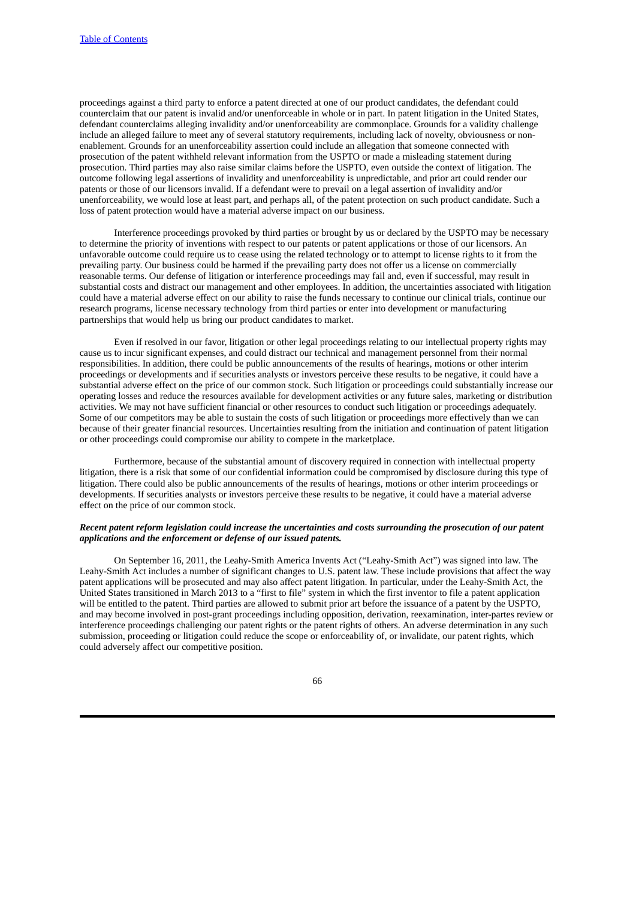proceedings against a third party to enforce a patent directed at one of our product candidates, the defendant could counterclaim that our patent is invalid and/or unenforceable in whole or in part. In patent litigation in the United States, defendant counterclaims alleging invalidity and/or unenforceability are commonplace. Grounds for a validity challenge include an alleged failure to meet any of several statutory requirements, including lack of novelty, obviousness or nonenablement. Grounds for an unenforceability assertion could include an allegation that someone connected with prosecution of the patent withheld relevant information from the USPTO or made a misleading statement during prosecution. Third parties may also raise similar claims before the USPTO, even outside the context of litigation. The outcome following legal assertions of invalidity and unenforceability is unpredictable, and prior art could render our patents or those of our licensors invalid. If a defendant were to prevail on a legal assertion of invalidity and/or unenforceability, we would lose at least part, and perhaps all, of the patent protection on such product candidate. Such a loss of patent protection would have a material adverse impact on our business.

Interference proceedings provoked by third parties or brought by us or declared by the USPTO may be necessary to determine the priority of inventions with respect to our patents or patent applications or those of our licensors. An unfavorable outcome could require us to cease using the related technology or to attempt to license rights to it from the prevailing party. Our business could be harmed if the prevailing party does not offer us a license on commercially reasonable terms. Our defense of litigation or interference proceedings may fail and, even if successful, may result in substantial costs and distract our management and other employees. In addition, the uncertainties associated with litigation could have a material adverse effect on our ability to raise the funds necessary to continue our clinical trials, continue our research programs, license necessary technology from third parties or enter into development or manufacturing partnerships that would help us bring our product candidates to market.

Even if resolved in our favor, litigation or other legal proceedings relating to our intellectual property rights may cause us to incur significant expenses, and could distract our technical and management personnel from their normal responsibilities. In addition, there could be public announcements of the results of hearings, motions or other interim proceedings or developments and if securities analysts or investors perceive these results to be negative, it could have a substantial adverse effect on the price of our common stock. Such litigation or proceedings could substantially increase our operating losses and reduce the resources available for development activities or any future sales, marketing or distribution activities. We may not have sufficient financial or other resources to conduct such litigation or proceedings adequately. Some of our competitors may be able to sustain the costs of such litigation or proceedings more effectively than we can because of their greater financial resources. Uncertainties resulting from the initiation and continuation of patent litigation or other proceedings could compromise our ability to compete in the marketplace.

Furthermore, because of the substantial amount of discovery required in connection with intellectual property litigation, there is a risk that some of our confidential information could be compromised by disclosure during this type of litigation. There could also be public announcements of the results of hearings, motions or other interim proceedings or developments. If securities analysts or investors perceive these results to be negative, it could have a material adverse effect on the price of our common stock.

## Recent patent reform legislation could increase the uncertainties and costs surrounding the prosecution of our patent *applications and the enforcement or defense of our issued patents.*

On September 16, 2011, the Leahy-Smith America Invents Act ("Leahy-Smith Act") was signed into law. The Leahy-Smith Act includes a number of significant changes to U.S. patent law. These include provisions that affect the way patent applications will be prosecuted and may also affect patent litigation. In particular, under the Leahy-Smith Act, the United States transitioned in March 2013 to a "first to file" system in which the first inventor to file a patent application will be entitled to the patent. Third parties are allowed to submit prior art before the issuance of a patent by the USPTO, and may become involved in post-grant proceedings including opposition, derivation, reexamination, inter-partes review or interference proceedings challenging our patent rights or the patent rights of others. An adverse determination in any such submission, proceeding or litigation could reduce the scope or enforceability of, or invalidate, our patent rights, which could adversely affect our competitive position.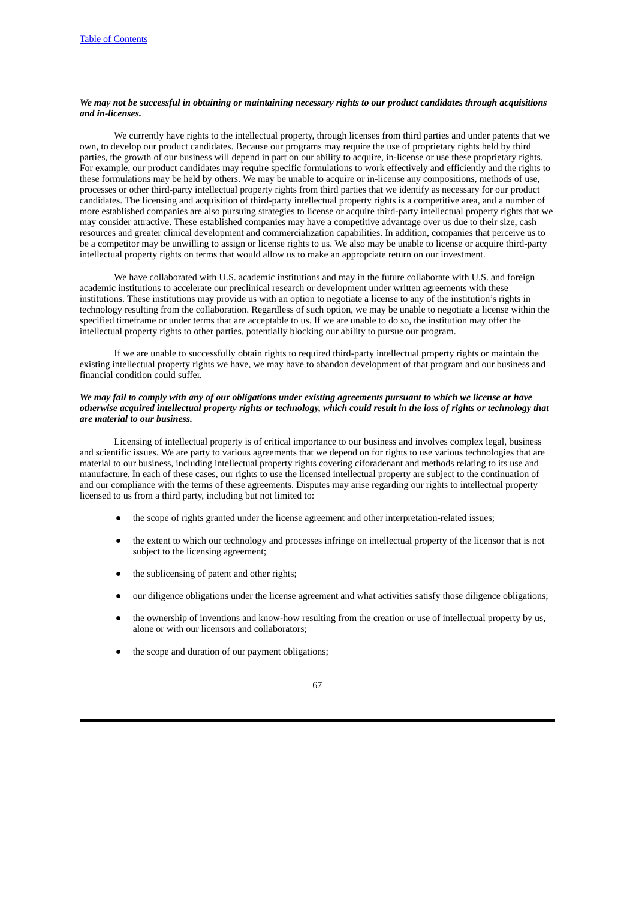## We may not be successful in obtaining or maintaining necessary rights to our product candidates through acquisitions *and in-licenses.*

We currently have rights to the intellectual property, through licenses from third parties and under patents that we own, to develop our product candidates. Because our programs may require the use of proprietary rights held by third parties, the growth of our business will depend in part on our ability to acquire, in-license or use these proprietary rights. For example, our product candidates may require specific formulations to work effectively and efficiently and the rights to these formulations may be held by others. We may be unable to acquire or in-license any compositions, methods of use, processes or other third-party intellectual property rights from third parties that we identify as necessary for our product candidates. The licensing and acquisition of third-party intellectual property rights is a competitive area, and a number of more established companies are also pursuing strategies to license or acquire third-party intellectual property rights that we may consider attractive. These established companies may have a competitive advantage over us due to their size, cash resources and greater clinical development and commercialization capabilities. In addition, companies that perceive us to be a competitor may be unwilling to assign or license rights to us. We also may be unable to license or acquire third-party intellectual property rights on terms that would allow us to make an appropriate return on our investment.

We have collaborated with U.S. academic institutions and may in the future collaborate with U.S. and foreign academic institutions to accelerate our preclinical research or development under written agreements with these institutions. These institutions may provide us with an option to negotiate a license to any of the institution's rights in technology resulting from the collaboration. Regardless of such option, we may be unable to negotiate a license within the specified timeframe or under terms that are acceptable to us. If we are unable to do so, the institution may offer the intellectual property rights to other parties, potentially blocking our ability to pursue our program.

If we are unable to successfully obtain rights to required third-party intellectual property rights or maintain the existing intellectual property rights we have, we may have to abandon development of that program and our business and financial condition could suffer.

#### We may fail to comply with any of our obligations under existing agreements pursuant to which we license or have otherwise acquired intellectual property rights or technology, which could result in the loss of rights or technology that *are material to our business.*

Licensing of intellectual property is of critical importance to our business and involves complex legal, business and scientific issues. We are party to various agreements that we depend on for rights to use various technologies that are material to our business, including intellectual property rights covering ciforadenant and methods relating to its use and manufacture. In each of these cases, our rights to use the licensed intellectual property are subject to the continuation of and our compliance with the terms of these agreements. Disputes may arise regarding our rights to intellectual property licensed to us from a third party, including but not limited to:

- the scope of rights granted under the license agreement and other interpretation-related issues;
- the extent to which our technology and processes infringe on intellectual property of the licensor that is not subject to the licensing agreement;
- the sublicensing of patent and other rights;
- our diligence obligations under the license agreement and what activities satisfy those diligence obligations;
- the ownership of inventions and know-how resulting from the creation or use of intellectual property by us, alone or with our licensors and collaborators;
- the scope and duration of our payment obligations;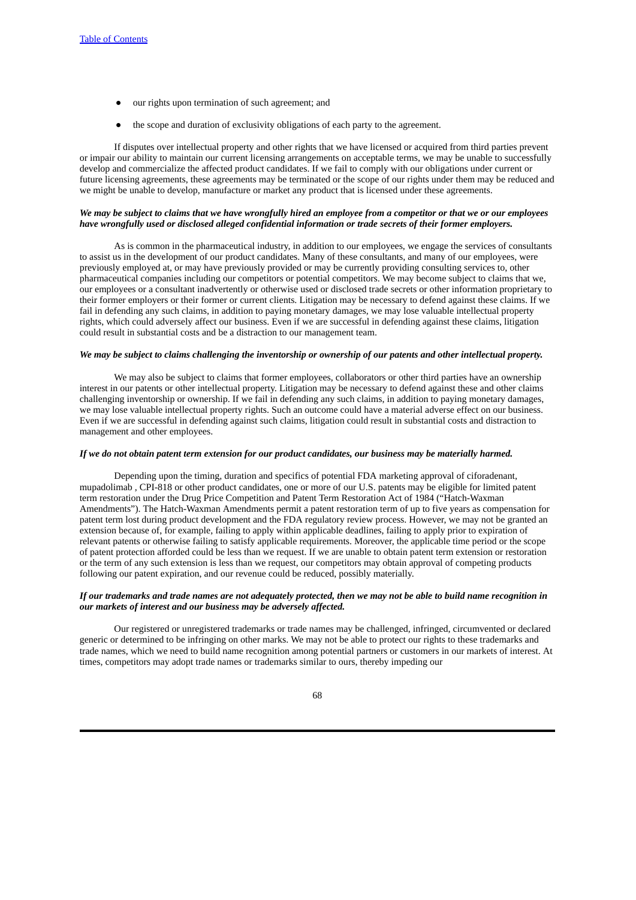- our rights upon termination of such agreement; and
- the scope and duration of exclusivity obligations of each party to the agreement.

If disputes over intellectual property and other rights that we have licensed or acquired from third parties prevent or impair our ability to maintain our current licensing arrangements on acceptable terms, we may be unable to successfully develop and commercialize the affected product candidates. If we fail to comply with our obligations under current or future licensing agreements, these agreements may be terminated or the scope of our rights under them may be reduced and we might be unable to develop, manufacture or market any product that is licensed under these agreements.

### We may be subject to claims that we have wrongfully hired an employee from a competitor or that we or our employees *have wrongfully used or disclosed alleged confidential information or trade secrets of their former employers.*

As is common in the pharmaceutical industry, in addition to our employees, we engage the services of consultants to assist us in the development of our product candidates. Many of these consultants, and many of our employees, were previously employed at, or may have previously provided or may be currently providing consulting services to, other pharmaceutical companies including our competitors or potential competitors. We may become subject to claims that we, our employees or a consultant inadvertently or otherwise used or disclosed trade secrets or other information proprietary to their former employers or their former or current clients. Litigation may be necessary to defend against these claims. If we fail in defending any such claims, in addition to paying monetary damages, we may lose valuable intellectual property rights, which could adversely affect our business. Even if we are successful in defending against these claims, litigation could result in substantial costs and be a distraction to our management team.

## We may be subject to claims challenging the inventorship or ownership of our patents and other intellectual property.

We may also be subject to claims that former employees, collaborators or other third parties have an ownership interest in our patents or other intellectual property. Litigation may be necessary to defend against these and other claims challenging inventorship or ownership. If we fail in defending any such claims, in addition to paying monetary damages, we may lose valuable intellectual property rights. Such an outcome could have a material adverse effect on our business. Even if we are successful in defending against such claims, litigation could result in substantial costs and distraction to management and other employees.

# If we do not obtain patent term extension for our product candidates, our business may be materially harmed,

Depending upon the timing, duration and specifics of potential FDA marketing approval of ciforadenant, mupadolimab , CPI-818 or other product candidates, one or more of our U.S. patents may be eligible for limited patent term restoration under the Drug Price Competition and Patent Term Restoration Act of 1984 ("Hatch-Waxman Amendments"). The Hatch-Waxman Amendments permit a patent restoration term of up to five years as compensation for patent term lost during product development and the FDA regulatory review process. However, we may not be granted an extension because of, for example, failing to apply within applicable deadlines, failing to apply prior to expiration of relevant patents or otherwise failing to satisfy applicable requirements. Moreover, the applicable time period or the scope of patent protection afforded could be less than we request. If we are unable to obtain patent term extension or restoration or the term of any such extension is less than we request, our competitors may obtain approval of competing products following our patent expiration, and our revenue could be reduced, possibly materially.

#### If our trademarks and trade names are not adequately protected, then we may not be able to build name recognition in *our markets of interest and our business may be adversely affected.*

Our registered or unregistered trademarks or trade names may be challenged, infringed, circumvented or declared generic or determined to be infringing on other marks. We may not be able to protect our rights to these trademarks and trade names, which we need to build name recognition among potential partners or customers in our markets of interest. At times, competitors may adopt trade names or trademarks similar to ours, thereby impeding our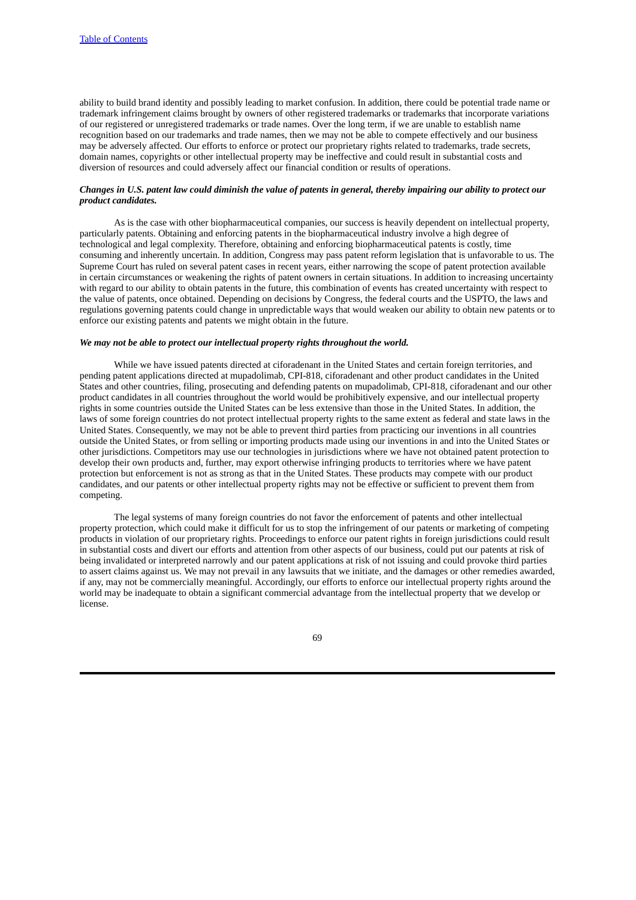ability to build brand identity and possibly leading to market confusion. In addition, there could be potential trade name or trademark infringement claims brought by owners of other registered trademarks or trademarks that incorporate variations of our registered or unregistered trademarks or trade names. Over the long term, if we are unable to establish name recognition based on our trademarks and trade names, then we may not be able to compete effectively and our business may be adversely affected. Our efforts to enforce or protect our proprietary rights related to trademarks, trade secrets, domain names, copyrights or other intellectual property may be ineffective and could result in substantial costs and diversion of resources and could adversely affect our financial condition or results of operations.

### Changes in U.S. patent law could diminish the value of patents in general, thereby impairing our ability to protect our *product candidates.*

As is the case with other biopharmaceutical companies, our success is heavily dependent on intellectual property, particularly patents. Obtaining and enforcing patents in the biopharmaceutical industry involve a high degree of technological and legal complexity. Therefore, obtaining and enforcing biopharmaceutical patents is costly, time consuming and inherently uncertain. In addition, Congress may pass patent reform legislation that is unfavorable to us. The Supreme Court has ruled on several patent cases in recent years, either narrowing the scope of patent protection available in certain circumstances or weakening the rights of patent owners in certain situations. In addition to increasing uncertainty with regard to our ability to obtain patents in the future, this combination of events has created uncertainty with respect to the value of patents, once obtained. Depending on decisions by Congress, the federal courts and the USPTO, the laws and regulations governing patents could change in unpredictable ways that would weaken our ability to obtain new patents or to enforce our existing patents and patents we might obtain in the future.

## *We may not be able to protect our intellectual property rights throughout the world.*

While we have issued patents directed at ciforadenant in the United States and certain foreign territories, and pending patent applications directed at mupadolimab, CPI-818, ciforadenant and other product candidates in the United States and other countries, filing, prosecuting and defending patents on mupadolimab, CPI-818, ciforadenant and our other product candidates in all countries throughout the world would be prohibitively expensive, and our intellectual property rights in some countries outside the United States can be less extensive than those in the United States. In addition, the laws of some foreign countries do not protect intellectual property rights to the same extent as federal and state laws in the United States. Consequently, we may not be able to prevent third parties from practicing our inventions in all countries outside the United States, or from selling or importing products made using our inventions in and into the United States or other jurisdictions. Competitors may use our technologies in jurisdictions where we have not obtained patent protection to develop their own products and, further, may export otherwise infringing products to territories where we have patent protection but enforcement is not as strong as that in the United States. These products may compete with our product candidates, and our patents or other intellectual property rights may not be effective or sufficient to prevent them from competing.

The legal systems of many foreign countries do not favor the enforcement of patents and other intellectual property protection, which could make it difficult for us to stop the infringement of our patents or marketing of competing products in violation of our proprietary rights. Proceedings to enforce our patent rights in foreign jurisdictions could result in substantial costs and divert our efforts and attention from other aspects of our business, could put our patents at risk of being invalidated or interpreted narrowly and our patent applications at risk of not issuing and could provoke third parties to assert claims against us. We may not prevail in any lawsuits that we initiate, and the damages or other remedies awarded, if any, may not be commercially meaningful. Accordingly, our efforts to enforce our intellectual property rights around the world may be inadequate to obtain a significant commercial advantage from the intellectual property that we develop or license.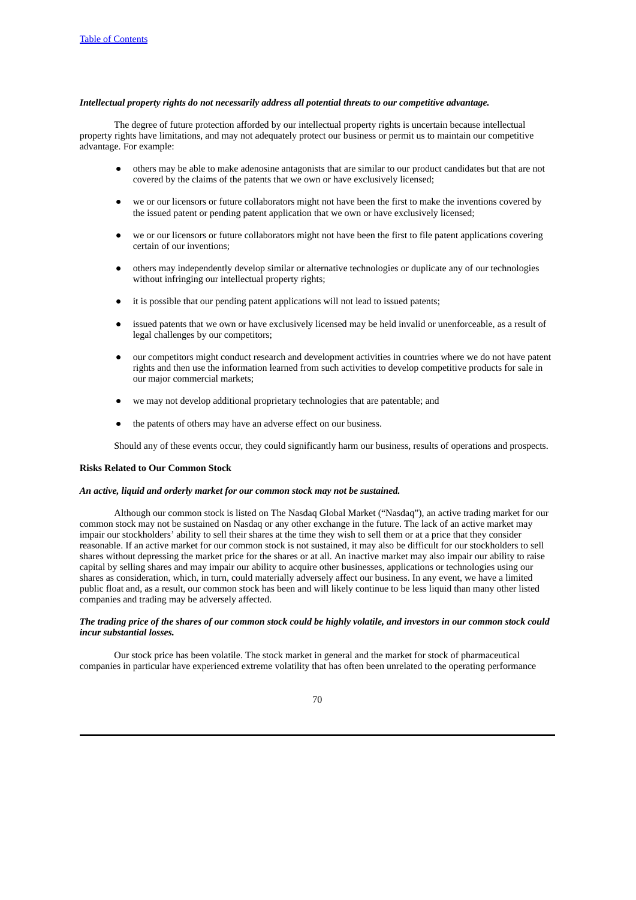#### *Intellectual property rights do not necessarily address all potential threats to our competitive advantage.*

The degree of future protection afforded by our intellectual property rights is uncertain because intellectual property rights have limitations, and may not adequately protect our business or permit us to maintain our competitive advantage. For example:

- others may be able to make adenosine antagonists that are similar to our product candidates but that are not covered by the claims of the patents that we own or have exclusively licensed;
- we or our licensors or future collaborators might not have been the first to make the inventions covered by the issued patent or pending patent application that we own or have exclusively licensed;
- we or our licensors or future collaborators might not have been the first to file patent applications covering certain of our inventions;
- others may independently develop similar or alternative technologies or duplicate any of our technologies without infringing our intellectual property rights;
- it is possible that our pending patent applications will not lead to issued patents;
- issued patents that we own or have exclusively licensed may be held invalid or unenforceable, as a result of legal challenges by our competitors;
- our competitors might conduct research and development activities in countries where we do not have patent rights and then use the information learned from such activities to develop competitive products for sale in our major commercial markets;
- we may not develop additional proprietary technologies that are patentable; and
- the patents of others may have an adverse effect on our business.

Should any of these events occur, they could significantly harm our business, results of operations and prospects.

#### **Risks Related to Our Common Stock**

#### *An active, liquid and orderly market for our common stock may not be sustained.*

Although our common stock is listed on The Nasdaq Global Market ("Nasdaq"), an active trading market for our common stock may not be sustained on Nasdaq or any other exchange in the future. The lack of an active market may impair our stockholders' ability to sell their shares at the time they wish to sell them or at a price that they consider reasonable. If an active market for our common stock is not sustained, it may also be difficult for our stockholders to sell shares without depressing the market price for the shares or at all. An inactive market may also impair our ability to raise capital by selling shares and may impair our ability to acquire other businesses, applications or technologies using our shares as consideration, which, in turn, could materially adversely affect our business. In any event, we have a limited public float and, as a result, our common stock has been and will likely continue to be less liquid than many other listed companies and trading may be adversely affected.

## The trading price of the shares of our common stock could be highly volatile, and investors in our common stock could *incur substantial losses.*

Our stock price has been volatile. The stock market in general and the market for stock of pharmaceutical companies in particular have experienced extreme volatility that has often been unrelated to the operating performance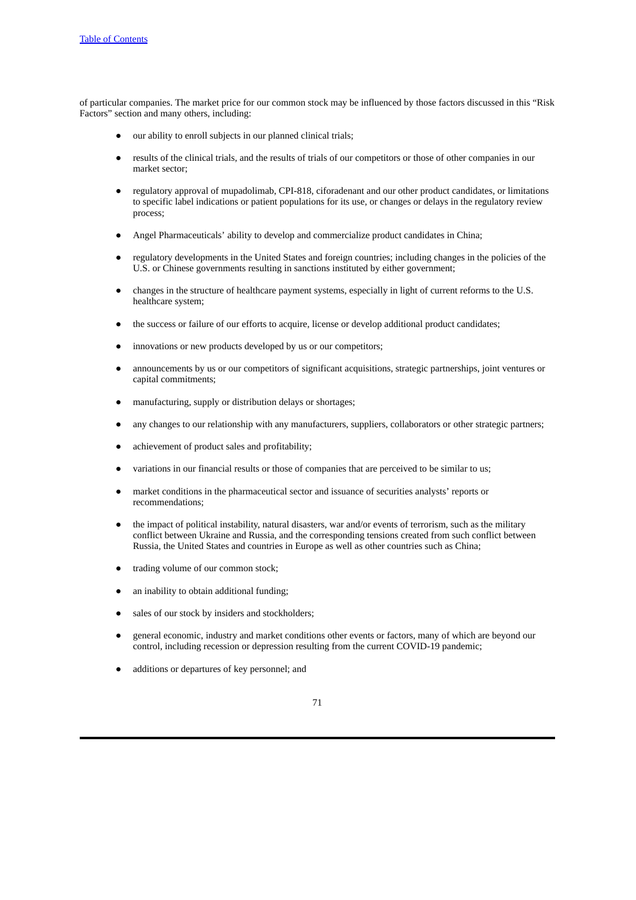of particular companies. The market price for our common stock may be influenced by those factors discussed in this "Risk Factors" section and many others, including:

- our ability to enroll subjects in our planned clinical trials;
- results of the clinical trials, and the results of trials of our competitors or those of other companies in our market sector;
- regulatory approval of mupadolimab, CPI-818, ciforadenant and our other product candidates, or limitations to specific label indications or patient populations for its use, or changes or delays in the regulatory review process;
- Angel Pharmaceuticals' ability to develop and commercialize product candidates in China;
- regulatory developments in the United States and foreign countries; including changes in the policies of the U.S. or Chinese governments resulting in sanctions instituted by either government;
- changes in the structure of healthcare payment systems, especially in light of current reforms to the U.S. healthcare system;
- the success or failure of our efforts to acquire, license or develop additional product candidates;
- innovations or new products developed by us or our competitors;
- announcements by us or our competitors of significant acquisitions, strategic partnerships, joint ventures or capital commitments;
- manufacturing, supply or distribution delays or shortages;
- any changes to our relationship with any manufacturers, suppliers, collaborators or other strategic partners;
- achievement of product sales and profitability;
- variations in our financial results or those of companies that are perceived to be similar to us;
- market conditions in the pharmaceutical sector and issuance of securities analysts' reports or recommendations;
- the impact of political instability, natural disasters, war and/or events of terrorism, such as the military conflict between Ukraine and Russia, and the corresponding tensions created from such conflict between Russia, the United States and countries in Europe as well as other countries such as China;
- trading volume of our common stock;
- an inability to obtain additional funding;
- sales of our stock by insiders and stockholders;
- general economic, industry and market conditions other events or factors, many of which are beyond our control, including recession or depression resulting from the current COVID-19 pandemic;
- additions or departures of key personnel; and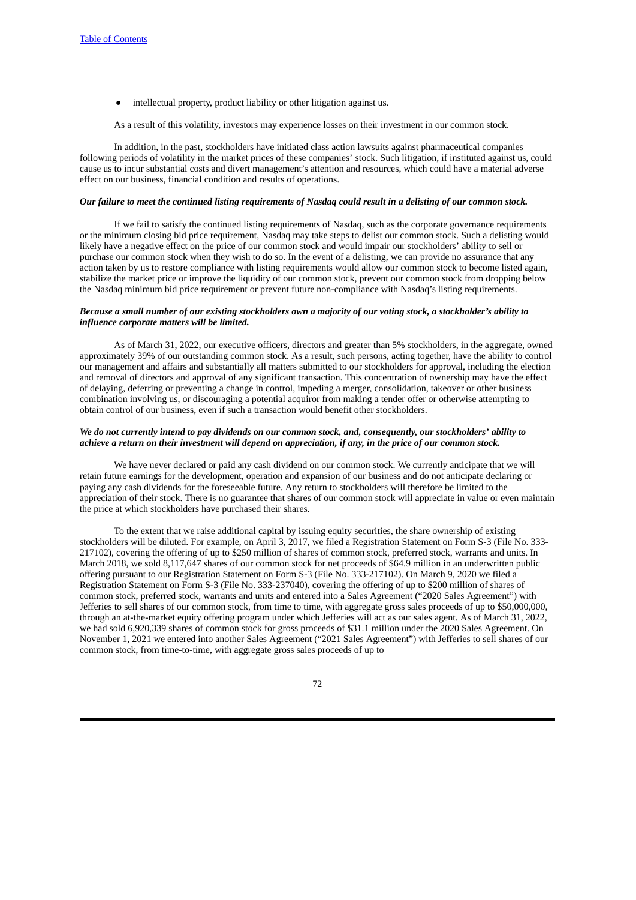● intellectual property, product liability or other litigation against us.

As a result of this volatility, investors may experience losses on their investment in our common stock.

In addition, in the past, stockholders have initiated class action lawsuits against pharmaceutical companies following periods of volatility in the market prices of these companies' stock. Such litigation, if instituted against us, could cause us to incur substantial costs and divert management's attention and resources, which could have a material adverse effect on our business, financial condition and results of operations.

## Our failure to meet the continued listing requirements of Nasdaq could result in a delisting of our common stock.

If we fail to satisfy the continued listing requirements of Nasdaq, such as the corporate governance requirements or the minimum closing bid price requirement, Nasdaq may take steps to delist our common stock. Such a delisting would likely have a negative effect on the price of our common stock and would impair our stockholders' ability to sell or purchase our common stock when they wish to do so. In the event of a delisting, we can provide no assurance that any action taken by us to restore compliance with listing requirements would allow our common stock to become listed again, stabilize the market price or improve the liquidity of our common stock, prevent our common stock from dropping below the Nasdaq minimum bid price requirement or prevent future non-compliance with Nasdaq's listing requirements.

## Because a small number of our existing stockholders own a majority of our voting stock, a stockholder's ability to *influence corporate matters will be limited.*

As of March 31, 2022, our executive officers, directors and greater than 5% stockholders, in the aggregate, owned approximately 39% of our outstanding common stock. As a result, such persons, acting together, have the ability to control our management and affairs and substantially all matters submitted to our stockholders for approval, including the election and removal of directors and approval of any significant transaction. This concentration of ownership may have the effect of delaying, deferring or preventing a change in control, impeding a merger, consolidation, takeover or other business combination involving us, or discouraging a potential acquiror from making a tender offer or otherwise attempting to obtain control of our business, even if such a transaction would benefit other stockholders.

## We do not currently intend to pay dividends on our common stock, and, consequently, our stockholders' ability to achieve a return on their investment will depend on appreciation, if any, in the price of our common stock.

We have never declared or paid any cash dividend on our common stock. We currently anticipate that we will retain future earnings for the development, operation and expansion of our business and do not anticipate declaring or paying any cash dividends for the foreseeable future. Any return to stockholders will therefore be limited to the appreciation of their stock. There is no guarantee that shares of our common stock will appreciate in value or even maintain the price at which stockholders have purchased their shares.

To the extent that we raise additional capital by issuing equity securities, the share ownership of existing stockholders will be diluted. For example, on April 3, 2017, we filed a Registration Statement on Form S-3 (File No. 333- 217102), covering the offering of up to \$250 million of shares of common stock, preferred stock, warrants and units. In March 2018, we sold 8,117,647 shares of our common stock for net proceeds of \$64.9 million in an underwritten public offering pursuant to our Registration Statement on Form S-3 (File No. 333-217102). On March 9, 2020 we filed a Registration Statement on Form S-3 (File No. 333-237040), covering the offering of up to \$200 million of shares of common stock, preferred stock, warrants and units and entered into a Sales Agreement ("2020 Sales Agreement") with Jefferies to sell shares of our common stock, from time to time, with aggregate gross sales proceeds of up to \$50,000,000, through an at-the-market equity offering program under which Jefferies will act as our sales agent. As of March 31, 2022, we had sold 6,920,339 shares of common stock for gross proceeds of \$31.1 million under the 2020 Sales Agreement. On November 1, 2021 we entered into another Sales Agreement ("2021 Sales Agreement") with Jefferies to sell shares of our common stock, from time-to-time, with aggregate gross sales proceeds of up to

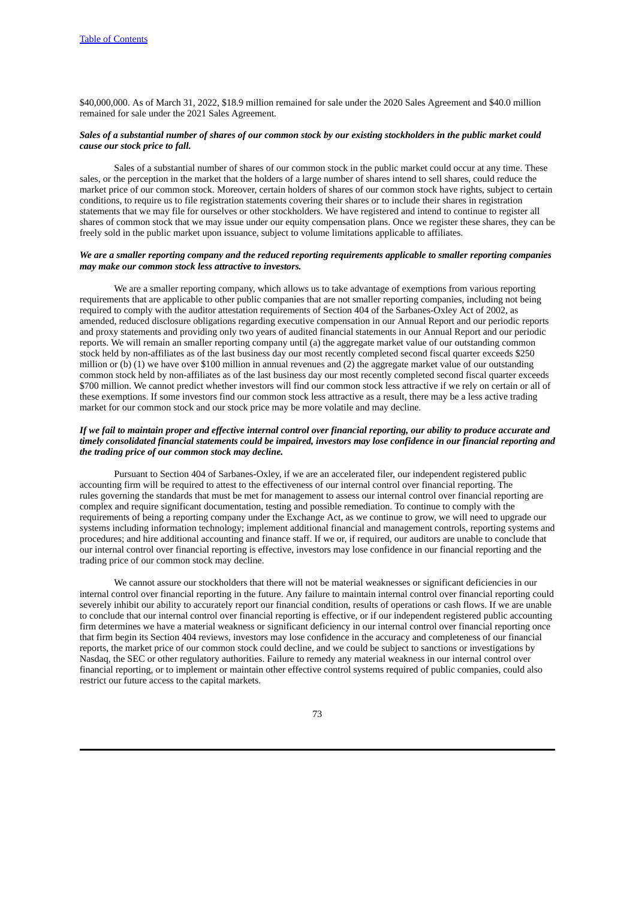\$40,000,000. As of March 31, 2022, \$18.9 million remained for sale under the 2020 Sales Agreement and \$40.0 million remained for sale under the 2021 Sales Agreement.

# Sales of a substantial number of shares of our common stock by our existing stockholders in the public market could *cause our stock price to fall.*

Sales of a substantial number of shares of our common stock in the public market could occur at any time. These sales, or the perception in the market that the holders of a large number of shares intend to sell shares, could reduce the market price of our common stock. Moreover, certain holders of shares of our common stock have rights, subject to certain conditions, to require us to file registration statements covering their shares or to include their shares in registration statements that we may file for ourselves or other stockholders. We have registered and intend to continue to register all shares of common stock that we may issue under our equity compensation plans. Once we register these shares, they can be freely sold in the public market upon issuance, subject to volume limitations applicable to affiliates.

# We are a smaller reporting company and the reduced reporting requirements applicable to smaller reporting companies *may make our common stock less attractive to investors.*

We are a smaller reporting company, which allows us to take advantage of exemptions from various reporting requirements that are applicable to other public companies that are not smaller reporting companies, including not being required to comply with the auditor attestation requirements of Section 404 of the Sarbanes-Oxley Act of 2002, as amended, reduced disclosure obligations regarding executive compensation in our Annual Report and our periodic reports and proxy statements and providing only two years of audited financial statements in our Annual Report and our periodic reports. We will remain an smaller reporting company until (a) the aggregate market value of our outstanding common stock held by non-affiliates as of the last business day our most recently completed second fiscal quarter exceeds \$250 million or (b) (1) we have over \$100 million in annual revenues and (2) the aggregate market value of our outstanding common stock held by non-affiliates as of the last business day our most recently completed second fiscal quarter exceeds \$700 million. We cannot predict whether investors will find our common stock less attractive if we rely on certain or all of these exemptions. If some investors find our common stock less attractive as a result, there may be a less active trading market for our common stock and our stock price may be more volatile and may decline.

# If we fail to maintain proper and effective internal control over financial reporting, our ability to produce accurate and timely consolidated financial statements could be impaired, investors may lose confidence in our financial reporting and *the trading price of our common stock may decline.*

Pursuant to Section 404 of Sarbanes-Oxley, if we are an accelerated filer, our independent registered public accounting firm will be required to attest to the effectiveness of our internal control over financial reporting. The rules governing the standards that must be met for management to assess our internal control over financial reporting are complex and require significant documentation, testing and possible remediation. To continue to comply with the requirements of being a reporting company under the Exchange Act, as we continue to grow, we will need to upgrade our systems including information technology; implement additional financial and management controls, reporting systems and procedures; and hire additional accounting and finance staff. If we or, if required, our auditors are unable to conclude that our internal control over financial reporting is effective, investors may lose confidence in our financial reporting and the trading price of our common stock may decline.

We cannot assure our stockholders that there will not be material weaknesses or significant deficiencies in our internal control over financial reporting in the future. Any failure to maintain internal control over financial reporting could severely inhibit our ability to accurately report our financial condition, results of operations or cash flows. If we are unable to conclude that our internal control over financial reporting is effective, or if our independent registered public accounting firm determines we have a material weakness or significant deficiency in our internal control over financial reporting once that firm begin its Section 404 reviews, investors may lose confidence in the accuracy and completeness of our financial reports, the market price of our common stock could decline, and we could be subject to sanctions or investigations by Nasdaq, the SEC or other regulatory authorities. Failure to remedy any material weakness in our internal control over financial reporting, or to implement or maintain other effective control systems required of public companies, could also restrict our future access to the capital markets.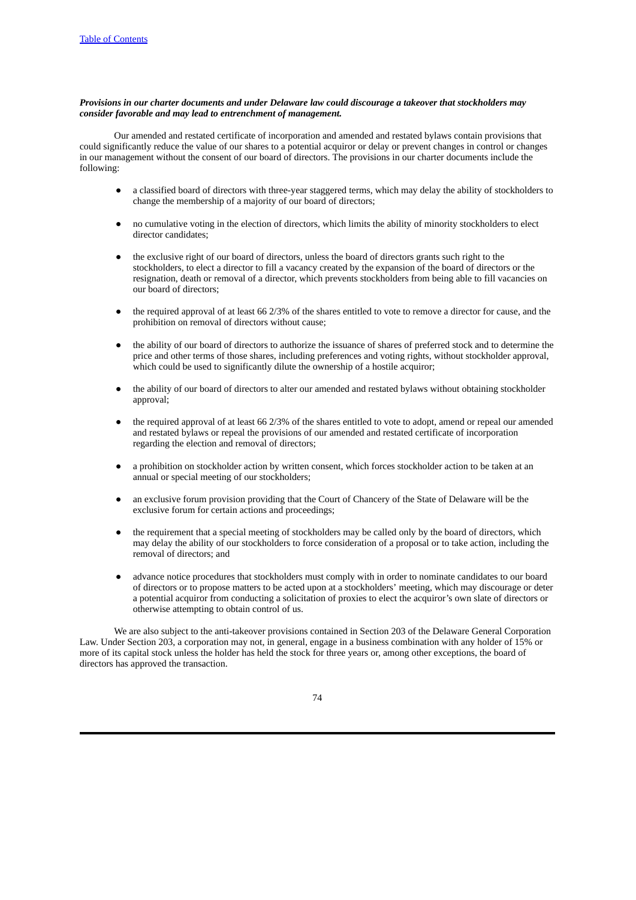## *Provisions in our charter documents and under Delaware law could discourage a takeover that stockholders may consider favorable and may lead to entrenchment of management.*

Our amended and restated certificate of incorporation and amended and restated bylaws contain provisions that could significantly reduce the value of our shares to a potential acquiror or delay or prevent changes in control or changes in our management without the consent of our board of directors. The provisions in our charter documents include the following:

- a classified board of directors with three-year staggered terms, which may delay the ability of stockholders to change the membership of a majority of our board of directors;
- no cumulative voting in the election of directors, which limits the ability of minority stockholders to elect director candidates;
- the exclusive right of our board of directors, unless the board of directors grants such right to the stockholders, to elect a director to fill a vacancy created by the expansion of the board of directors or the resignation, death or removal of a director, which prevents stockholders from being able to fill vacancies on our board of directors;
- the required approval of at least 66 2/3% of the shares entitled to vote to remove a director for cause, and the prohibition on removal of directors without cause;
- the ability of our board of directors to authorize the issuance of shares of preferred stock and to determine the price and other terms of those shares, including preferences and voting rights, without stockholder approval, which could be used to significantly dilute the ownership of a hostile acquiror;
- the ability of our board of directors to alter our amended and restated bylaws without obtaining stockholder approval;
- the required approval of at least 66 2/3% of the shares entitled to vote to adopt, amend or repeal our amended and restated bylaws or repeal the provisions of our amended and restated certificate of incorporation regarding the election and removal of directors;
- a prohibition on stockholder action by written consent, which forces stockholder action to be taken at an annual or special meeting of our stockholders;
- an exclusive forum provision providing that the Court of Chancery of the State of Delaware will be the exclusive forum for certain actions and proceedings;
- the requirement that a special meeting of stockholders may be called only by the board of directors, which may delay the ability of our stockholders to force consideration of a proposal or to take action, including the removal of directors; and
- advance notice procedures that stockholders must comply with in order to nominate candidates to our board of directors or to propose matters to be acted upon at a stockholders' meeting, which may discourage or deter a potential acquiror from conducting a solicitation of proxies to elect the acquiror's own slate of directors or otherwise attempting to obtain control of us.

We are also subject to the anti-takeover provisions contained in Section 203 of the Delaware General Corporation Law. Under Section 203, a corporation may not, in general, engage in a business combination with any holder of 15% or more of its capital stock unless the holder has held the stock for three years or, among other exceptions, the board of directors has approved the transaction.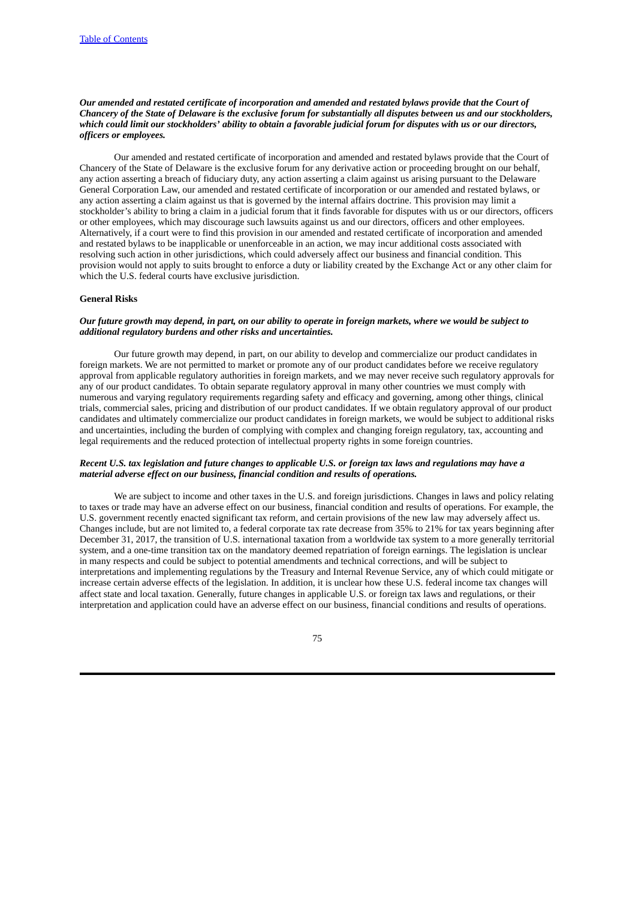# Our amended and restated certificate of incorporation and amended and restated bylaws provide that the Court of Chancery of the State of Delaware is the exclusive forum for substantially all disputes between us and our stockholders, which could limit our stockholders' ability to obtain a favorable judicial forum for disputes with us or our directors, *officers or employees.*

Our amended and restated certificate of incorporation and amended and restated bylaws provide that the Court of Chancery of the State of Delaware is the exclusive forum for any derivative action or proceeding brought on our behalf, any action asserting a breach of fiduciary duty, any action asserting a claim against us arising pursuant to the Delaware General Corporation Law, our amended and restated certificate of incorporation or our amended and restated bylaws, or any action asserting a claim against us that is governed by the internal affairs doctrine. This provision may limit a stockholder's ability to bring a claim in a judicial forum that it finds favorable for disputes with us or our directors, officers or other employees, which may discourage such lawsuits against us and our directors, officers and other employees. Alternatively, if a court were to find this provision in our amended and restated certificate of incorporation and amended and restated bylaws to be inapplicable or unenforceable in an action, we may incur additional costs associated with resolving such action in other jurisdictions, which could adversely affect our business and financial condition. This provision would not apply to suits brought to enforce a duty or liability created by the Exchange Act or any other claim for which the U.S. federal courts have exclusive jurisdiction.

# **General Risks**

## Our future growth may depend, in part, on our ability to operate in foreign markets, where we would be subject to *additional regulatory burdens and other risks and uncertainties.*

Our future growth may depend, in part, on our ability to develop and commercialize our product candidates in foreign markets. We are not permitted to market or promote any of our product candidates before we receive regulatory approval from applicable regulatory authorities in foreign markets, and we may never receive such regulatory approvals for any of our product candidates. To obtain separate regulatory approval in many other countries we must comply with numerous and varying regulatory requirements regarding safety and efficacy and governing, among other things, clinical trials, commercial sales, pricing and distribution of our product candidates. If we obtain regulatory approval of our product candidates and ultimately commercialize our product candidates in foreign markets, we would be subject to additional risks and uncertainties, including the burden of complying with complex and changing foreign regulatory, tax, accounting and legal requirements and the reduced protection of intellectual property rights in some foreign countries.

# Recent U.S. tax legislation and future changes to applicable U.S. or foreign tax laws and regulations may have a *material adverse effect on our business, financial condition and results of operations.*

We are subject to income and other taxes in the U.S. and foreign jurisdictions. Changes in laws and policy relating to taxes or trade may have an adverse effect on our business, financial condition and results of operations. For example, the U.S. government recently enacted significant tax reform, and certain provisions of the new law may adversely affect us. Changes include, but are not limited to, a federal corporate tax rate decrease from 35% to 21% for tax years beginning after December 31, 2017, the transition of U.S. international taxation from a worldwide tax system to a more generally territorial system, and a one-time transition tax on the mandatory deemed repatriation of foreign earnings. The legislation is unclear in many respects and could be subject to potential amendments and technical corrections, and will be subject to interpretations and implementing regulations by the Treasury and Internal Revenue Service, any of which could mitigate or increase certain adverse effects of the legislation. In addition, it is unclear how these U.S. federal income tax changes will affect state and local taxation. Generally, future changes in applicable U.S. or foreign tax laws and regulations, or their interpretation and application could have an adverse effect on our business, financial conditions and results of operations.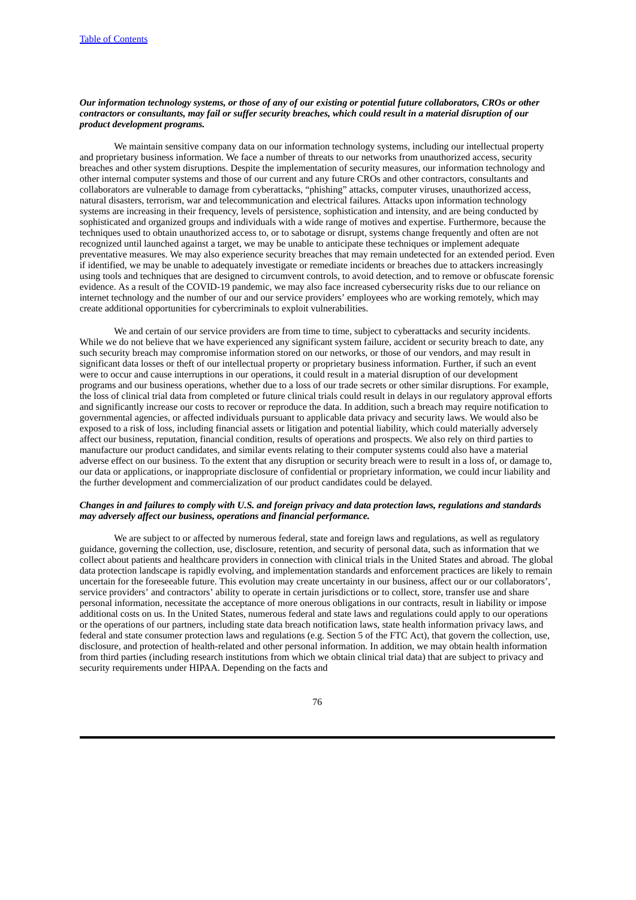# Our information technology systems, or those of any of our existing or potential future collaborators, CROs or other contractors or consultants, may fail or suffer security breaches, which could result in a material disruption of our *product development programs.*

We maintain sensitive company data on our information technology systems, including our intellectual property and proprietary business information. We face a number of threats to our networks from unauthorized access, security breaches and other system disruptions. Despite the implementation of security measures, our information technology and other internal computer systems and those of our current and any future CROs and other contractors, consultants and collaborators are vulnerable to damage from cyberattacks, "phishing" attacks, computer viruses, unauthorized access, natural disasters, terrorism, war and telecommunication and electrical failures. Attacks upon information technology systems are increasing in their frequency, levels of persistence, sophistication and intensity, and are being conducted by sophisticated and organized groups and individuals with a wide range of motives and expertise. Furthermore, because the techniques used to obtain unauthorized access to, or to sabotage or disrupt, systems change frequently and often are not recognized until launched against a target, we may be unable to anticipate these techniques or implement adequate preventative measures. We may also experience security breaches that may remain undetected for an extended period. Even if identified, we may be unable to adequately investigate or remediate incidents or breaches due to attackers increasingly using tools and techniques that are designed to circumvent controls, to avoid detection, and to remove or obfuscate forensic evidence. As a result of the COVID-19 pandemic, we may also face increased cybersecurity risks due to our reliance on internet technology and the number of our and our service providers' employees who are working remotely, which may create additional opportunities for cybercriminals to exploit vulnerabilities.

We and certain of our service providers are from time to time, subject to cyberattacks and security incidents. While we do not believe that we have experienced any significant system failure, accident or security breach to date, any such security breach may compromise information stored on our networks, or those of our vendors, and may result in significant data losses or theft of our intellectual property or proprietary business information. Further, if such an event were to occur and cause interruptions in our operations, it could result in a material disruption of our development programs and our business operations, whether due to a loss of our trade secrets or other similar disruptions. For example, the loss of clinical trial data from completed or future clinical trials could result in delays in our regulatory approval efforts and significantly increase our costs to recover or reproduce the data. In addition, such a breach may require notification to governmental agencies, or affected individuals pursuant to applicable data privacy and security laws. We would also be exposed to a risk of loss, including financial assets or litigation and potential liability, which could materially adversely affect our business, reputation, financial condition, results of operations and prospects. We also rely on third parties to manufacture our product candidates, and similar events relating to their computer systems could also have a material adverse effect on our business. To the extent that any disruption or security breach were to result in a loss of, or damage to, our data or applications, or inappropriate disclosure of confidential or proprietary information, we could incur liability and the further development and commercialization of our product candidates could be delayed.

## Changes in and failures to comply with U.S. and foreign privacy and data protection laws, regulations and standards *may adversely affect our business, operations and financial performance.*

We are subject to or affected by numerous federal, state and foreign laws and regulations, as well as regulatory guidance, governing the collection, use, disclosure, retention, and security of personal data, such as information that we collect about patients and healthcare providers in connection with clinical trials in the United States and abroad. The global data protection landscape is rapidly evolving, and implementation standards and enforcement practices are likely to remain uncertain for the foreseeable future. This evolution may create uncertainty in our business, affect our or our collaborators', service providers' and contractors' ability to operate in certain jurisdictions or to collect, store, transfer use and share personal information, necessitate the acceptance of more onerous obligations in our contracts, result in liability or impose additional costs on us. In the United States, numerous federal and state laws and regulations could apply to our operations or the operations of our partners, including state data breach notification laws, state health information privacy laws, and federal and state consumer protection laws and regulations (e.g. Section 5 of the FTC Act), that govern the collection, use, disclosure, and protection of health-related and other personal information. In addition, we may obtain health information from third parties (including research institutions from which we obtain clinical trial data) that are subject to privacy and security requirements under HIPAA. Depending on the facts and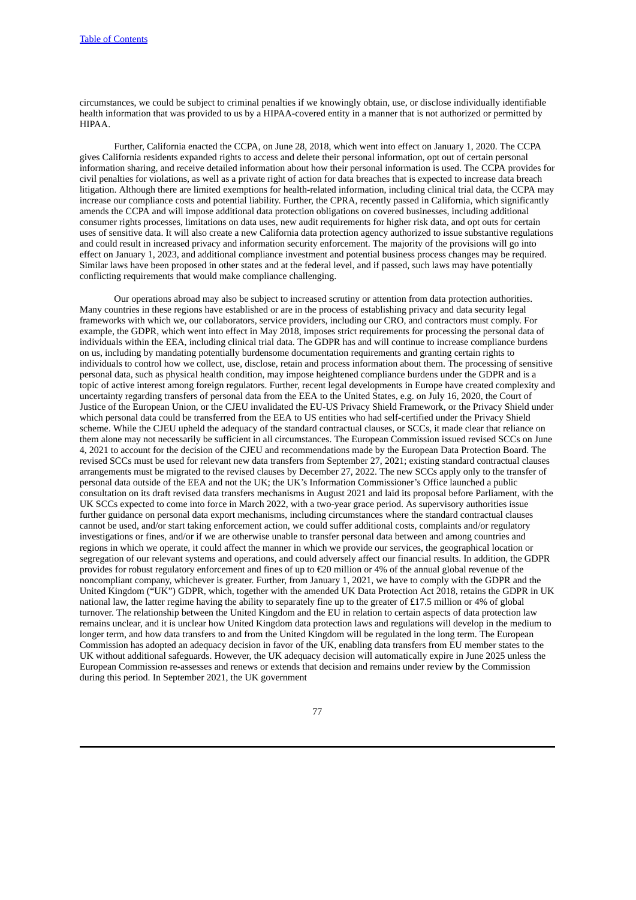circumstances, we could be subject to criminal penalties if we knowingly obtain, use, or disclose individually identifiable health information that was provided to us by a HIPAA-covered entity in a manner that is not authorized or permitted by HIPAA.

Further, California enacted the CCPA, on June 28, 2018, which went into effect on January 1, 2020. The CCPA gives California residents expanded rights to access and delete their personal information, opt out of certain personal information sharing, and receive detailed information about how their personal information is used. The CCPA provides for civil penalties for violations, as well as a private right of action for data breaches that is expected to increase data breach litigation. Although there are limited exemptions for health-related information, including clinical trial data, the CCPA may increase our compliance costs and potential liability. Further, the CPRA, recently passed in California, which significantly amends the CCPA and will impose additional data protection obligations on covered businesses, including additional consumer rights processes, limitations on data uses, new audit requirements for higher risk data, and opt outs for certain uses of sensitive data. It will also create a new California data protection agency authorized to issue substantive regulations and could result in increased privacy and information security enforcement. The majority of the provisions will go into effect on January 1, 2023, and additional compliance investment and potential business process changes may be required. Similar laws have been proposed in other states and at the federal level, and if passed, such laws may have potentially conflicting requirements that would make compliance challenging.

Our operations abroad may also be subject to increased scrutiny or attention from data protection authorities. Many countries in these regions have established or are in the process of establishing privacy and data security legal frameworks with which we, our collaborators, service providers, including our CRO, and contractors must comply. For example, the GDPR, which went into effect in May 2018, imposes strict requirements for processing the personal data of individuals within the EEA, including clinical trial data. The GDPR has and will continue to increase compliance burdens on us, including by mandating potentially burdensome documentation requirements and granting certain rights to individuals to control how we collect, use, disclose, retain and process information about them. The processing of sensitive personal data, such as physical health condition, may impose heightened compliance burdens under the GDPR and is a topic of active interest among foreign regulators. Further, recent legal developments in Europe have created complexity and uncertainty regarding transfers of personal data from the EEA to the United States, e.g. on July 16, 2020, the Court of Justice of the European Union, or the CJEU invalidated the EU-US Privacy Shield Framework, or the Privacy Shield under which personal data could be transferred from the EEA to US entities who had self-certified under the Privacy Shield scheme. While the CJEU upheld the adequacy of the standard contractual clauses, or SCCs, it made clear that reliance on them alone may not necessarily be sufficient in all circumstances. The European Commission issued revised SCCs on June 4, 2021 to account for the decision of the CJEU and recommendations made by the European Data Protection Board. The revised SCCs must be used for relevant new data transfers from September 27, 2021; existing standard contractual clauses arrangements must be migrated to the revised clauses by December 27, 2022. The new SCCs apply only to the transfer of personal data outside of the EEA and not the UK; the UK's Information Commissioner's Office launched a public consultation on its draft revised data transfers mechanisms in August 2021 and laid its proposal before Parliament, with the UK SCCs expected to come into force in March 2022, with a two-year grace period. As supervisory authorities issue further guidance on personal data export mechanisms, including circumstances where the standard contractual clauses cannot be used, and/or start taking enforcement action, we could suffer additional costs, complaints and/or regulatory investigations or fines, and/or if we are otherwise unable to transfer personal data between and among countries and regions in which we operate, it could affect the manner in which we provide our services, the geographical location or segregation of our relevant systems and operations, and could adversely affect our financial results. In addition, the GDPR provides for robust regulatory enforcement and fines of up to €20 million or 4% of the annual global revenue of the noncompliant company, whichever is greater. Further, from January 1, 2021, we have to comply with the GDPR and the United Kingdom ("UK") GDPR, which, together with the amended UK Data Protection Act 2018, retains the GDPR in UK national law, the latter regime having the ability to separately fine up to the greater of £17.5 million or 4% of global turnover. The relationship between the United Kingdom and the EU in relation to certain aspects of data protection law remains unclear, and it is unclear how United Kingdom data protection laws and regulations will develop in the medium to longer term, and how data transfers to and from the United Kingdom will be regulated in the long term. The European Commission has adopted an adequacy decision in favor of the UK, enabling data transfers from EU member states to the UK without additional safeguards. However, the UK adequacy decision will automatically expire in June 2025 unless the European Commission re-assesses and renews or extends that decision and remains under review by the Commission during this period. In September 2021, the UK government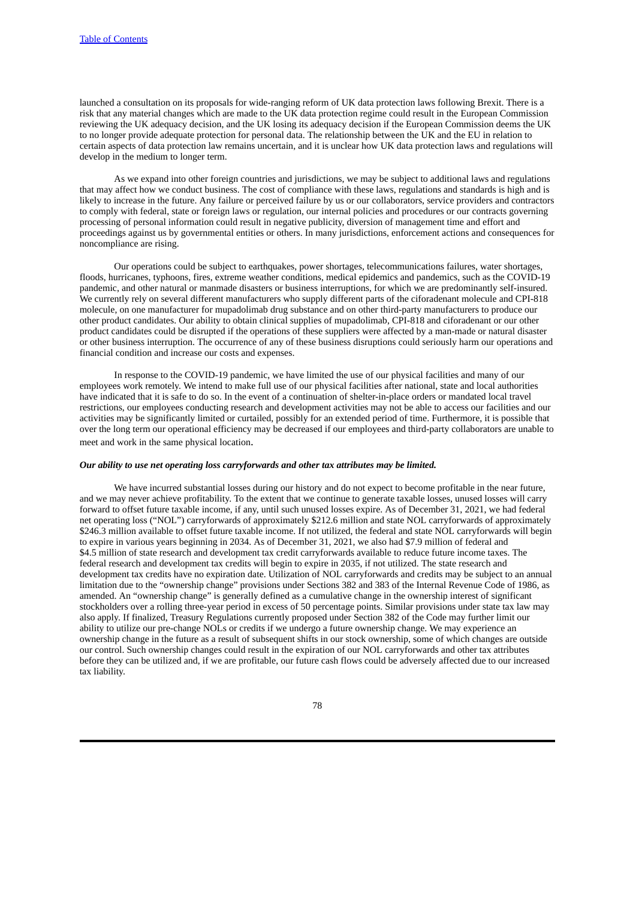launched a consultation on its proposals for wide-ranging reform of UK data protection laws following Brexit. There is a risk that any material changes which are made to the UK data protection regime could result in the European Commission reviewing the UK adequacy decision, and the UK losing its adequacy decision if the European Commission deems the UK to no longer provide adequate protection for personal data. The relationship between the UK and the EU in relation to certain aspects of data protection law remains uncertain, and it is unclear how UK data protection laws and regulations will develop in the medium to longer term.

As we expand into other foreign countries and jurisdictions, we may be subject to additional laws and regulations that may affect how we conduct business. The cost of compliance with these laws, regulations and standards is high and is likely to increase in the future. Any failure or perceived failure by us or our collaborators, service providers and contractors to comply with federal, state or foreign laws or regulation, our internal policies and procedures or our contracts governing processing of personal information could result in negative publicity, diversion of management time and effort and proceedings against us by governmental entities or others. In many jurisdictions, enforcement actions and consequences for noncompliance are rising.

Our operations could be subject to earthquakes, power shortages, telecommunications failures, water shortages, floods, hurricanes, typhoons, fires, extreme weather conditions, medical epidemics and pandemics, such as the COVID-19 pandemic, and other natural or manmade disasters or business interruptions, for which we are predominantly self-insured. We currently rely on several different manufacturers who supply different parts of the ciforadenant molecule and CPI-818 molecule, on one manufacturer for mupadolimab drug substance and on other third-party manufacturers to produce our other product candidates. Our ability to obtain clinical supplies of mupadolimab, CPI-818 and ciforadenant or our other product candidates could be disrupted if the operations of these suppliers were affected by a man-made or natural disaster or other business interruption. The occurrence of any of these business disruptions could seriously harm our operations and financial condition and increase our costs and expenses.

In response to the COVID-19 pandemic, we have limited the use of our physical facilities and many of our employees work remotely. We intend to make full use of our physical facilities after national, state and local authorities have indicated that it is safe to do so. In the event of a continuation of shelter-in-place orders or mandated local travel restrictions, our employees conducting research and development activities may not be able to access our facilities and our activities may be significantly limited or curtailed, possibly for an extended period of time. Furthermore, it is possible that over the long term our operational efficiency may be decreased if our employees and third-party collaborators are unable to meet and work in the same physical location.

## *Our ability to use net operating loss carryforwards and other tax attributes may be limited.*

We have incurred substantial losses during our history and do not expect to become profitable in the near future, and we may never achieve profitability. To the extent that we continue to generate taxable losses, unused losses will carry forward to offset future taxable income, if any, until such unused losses expire. As of December 31, 2021, we had federal net operating loss ("NOL") carryforwards of approximately \$212.6 million and state NOL carryforwards of approximately \$246.3 million available to offset future taxable income. If not utilized, the federal and state NOL carryforwards will begin to expire in various years beginning in 2034. As of December 31, 2021, we also had \$7.9 million of federal and \$4.5 million of state research and development tax credit carryforwards available to reduce future income taxes. The federal research and development tax credits will begin to expire in 2035, if not utilized. The state research and development tax credits have no expiration date. Utilization of NOL carryforwards and credits may be subject to an annual limitation due to the "ownership change" provisions under Sections 382 and 383 of the Internal Revenue Code of 1986, as amended. An "ownership change" is generally defined as a cumulative change in the ownership interest of significant stockholders over a rolling three-year period in excess of 50 percentage points. Similar provisions under state tax law may also apply. If finalized, Treasury Regulations currently proposed under Section 382 of the Code may further limit our ability to utilize our pre-change NOLs or credits if we undergo a future ownership change. We may experience an ownership change in the future as a result of subsequent shifts in our stock ownership, some of which changes are outside our control. Such ownership changes could result in the expiration of our NOL carryforwards and other tax attributes before they can be utilized and, if we are profitable, our future cash flows could be adversely affected due to our increased tax liability.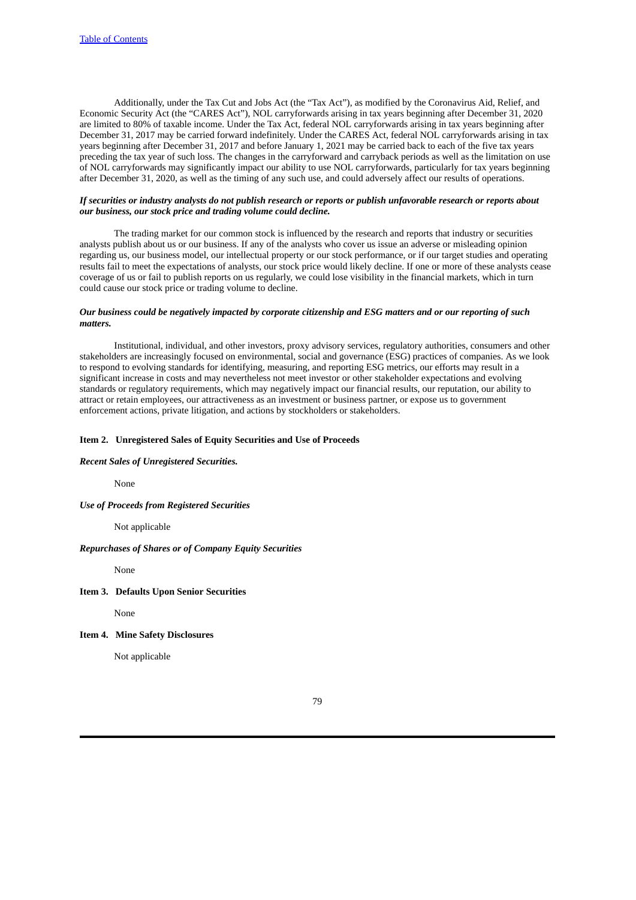Additionally, under the Tax Cut and Jobs Act (the "Tax Act"), as modified by the Coronavirus Aid, Relief, and Economic Security Act (the "CARES Act"), NOL carryforwards arising in tax years beginning after December 31, 2020 are limited to 80% of taxable income. Under the Tax Act, federal NOL carryforwards arising in tax years beginning after December 31, 2017 may be carried forward indefinitely. Under the CARES Act, federal NOL carryforwards arising in tax years beginning after December 31, 2017 and before January 1, 2021 may be carried back to each of the five tax years preceding the tax year of such loss. The changes in the carryforward and carryback periods as well as the limitation on use of NOL carryforwards may significantly impact our ability to use NOL carryforwards, particularly for tax years beginning after December 31, 2020, as well as the timing of any such use, and could adversely affect our results of operations.

## If securities or industry analysts do not publish research or reports or publish unfavorable research or reports about *our business, our stock price and trading volume could decline.*

The trading market for our common stock is influenced by the research and reports that industry or securities analysts publish about us or our business. If any of the analysts who cover us issue an adverse or misleading opinion regarding us, our business model, our intellectual property or our stock performance, or if our target studies and operating results fail to meet the expectations of analysts, our stock price would likely decline. If one or more of these analysts cease coverage of us or fail to publish reports on us regularly, we could lose visibility in the financial markets, which in turn could cause our stock price or trading volume to decline.

## Our business could be negatively impacted by corporate citizenship and ESG matters and or our reporting of such *matters.*

Institutional, individual, and other investors, proxy advisory services, regulatory authorities, consumers and other stakeholders are increasingly focused on environmental, social and governance (ESG) practices of companies. As we look to respond to evolving standards for identifying, measuring, and reporting ESG metrics, our efforts may result in a significant increase in costs and may nevertheless not meet investor or other stakeholder expectations and evolving standards or regulatory requirements, which may negatively impact our financial results, our reputation, our ability to attract or retain employees, our attractiveness as an investment or business partner, or expose us to government enforcement actions, private litigation, and actions by stockholders or stakeholders.

## **Item 2. Unregistered Sales of Equity Securities and Use of Proceeds**

# *Recent Sales of Unregistered Securities.*

None

*Use of Proceeds from Registered Securities*

Not applicable

#### *Repurchases of Shares or of Company Equity Securities*

None

# **Item 3. Defaults Upon Senior Securities**

None

# **Item 4. Mine Safety Disclosures**

Not applicable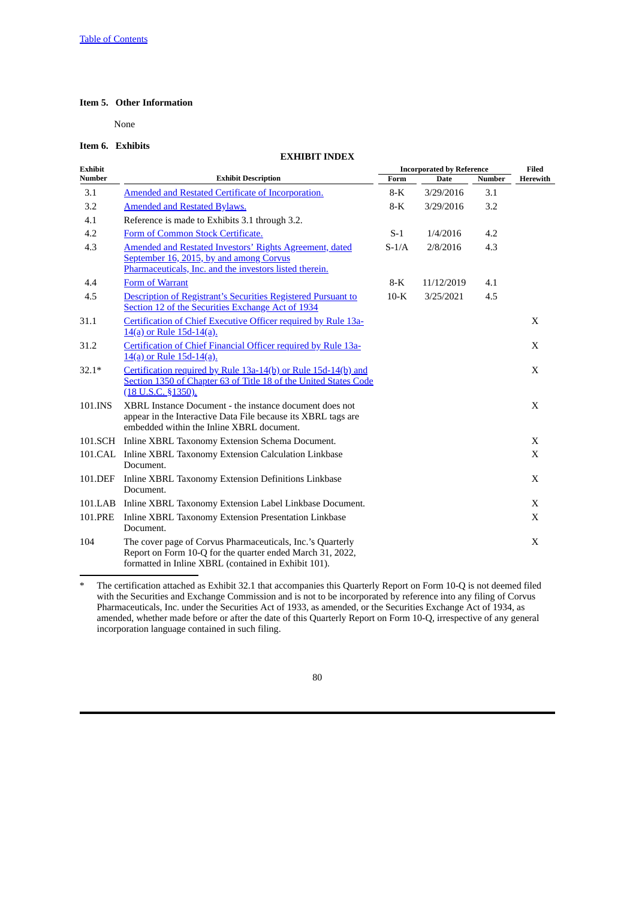# **Item 5. Other Information**

None

# **Item 6. Exhibits**

# **EXHIBIT INDEX**

| <b>Exhibit</b> |                                                                                                                                                                                 | <b>Incorporated by Reference</b> |            |               | Filed    |
|----------------|---------------------------------------------------------------------------------------------------------------------------------------------------------------------------------|----------------------------------|------------|---------------|----------|
| Number         | <b>Exhibit Description</b>                                                                                                                                                      | Form                             | Date       | <b>Number</b> | Herewith |
| 3.1            | Amended and Restated Certificate of Incorporation.                                                                                                                              | $8-K$                            | 3/29/2016  | 3.1           |          |
| 3.2            | <b>Amended and Restated Bylaws.</b>                                                                                                                                             | $8-K$                            | 3/29/2016  | 3.2           |          |
| 4.1            | Reference is made to Exhibits 3.1 through 3.2.                                                                                                                                  |                                  |            |               |          |
| 4.2            | Form of Common Stock Certificate.                                                                                                                                               | $S-1$                            | 1/4/2016   | 4.2           |          |
| 4.3            | <b>Amended and Restated Investors' Rights Agreement, dated</b><br>September 16, 2015, by and among Corvus<br>Pharmaceuticals, Inc. and the investors listed therein.            | $S-1/A$                          | 2/8/2016   | 4.3           |          |
| 4.4            | Form of Warrant                                                                                                                                                                 | $8-K$                            | 11/12/2019 | 4.1           |          |
| 4.5            | Description of Registrant's Securities Registered Pursuant to<br>Section 12 of the Securities Exchange Act of 1934                                                              | $10-K$                           | 3/25/2021  | 4.5           |          |
| 31.1           | Certification of Chief Executive Officer required by Rule 13a-<br>14(a) or Rule 15d-14(a).                                                                                      |                                  |            |               | X        |
| 31.2           | Certification of Chief Financial Officer required by Rule 13a-<br>$14(a)$ or Rule $15d-14(a)$ .                                                                                 |                                  |            |               | X        |
| $32.1*$        | Certification required by Rule 13a-14(b) or Rule 15d-14(b) and<br>Section 1350 of Chapter 63 of Title 18 of the United States Code<br>$(18 \text{ U.S.C. }$ \$1350).            |                                  |            |               | X        |
| 101.INS        | XBRL Instance Document - the instance document does not<br>appear in the Interactive Data File because its XBRL tags are<br>embedded within the Inline XBRL document.           |                                  |            |               | X        |
|                | 101.SCH Inline XBRL Taxonomy Extension Schema Document.                                                                                                                         |                                  |            |               | X        |
| 101.CAL        | Inline XBRL Taxonomy Extension Calculation Linkbase<br>Document.                                                                                                                |                                  |            |               | X        |
| 101.DEF        | Inline XBRL Taxonomy Extension Definitions Linkbase<br>Document.                                                                                                                |                                  |            |               | X        |
|                | 101.LAB Inline XBRL Taxonomy Extension Label Linkbase Document.                                                                                                                 |                                  |            |               | X        |
| 101.PRE        | Inline XBRL Taxonomy Extension Presentation Linkbase<br>Document.                                                                                                               |                                  |            |               | X        |
| 104            | The cover page of Corvus Pharmaceuticals, Inc.'s Quarterly<br>Report on Form 10-Q for the quarter ended March 31, 2022,<br>formatted in Inline XBRL (contained in Exhibit 101). |                                  |            |               | X        |

<sup>\*</sup> The certification attached as Exhibit 32.1 that accompanies this Quarterly Report on Form 10-Q is not deemed filed with the Securities and Exchange Commission and is not to be incorporated by reference into any filing of Corvus Pharmaceuticals, Inc. under the Securities Act of 1933, as amended, or the Securities Exchange Act of 1934, as amended, whether made before or after the date of this Quarterly Report on Form 10-Q, irrespective of any general incorporation language contained in such filing.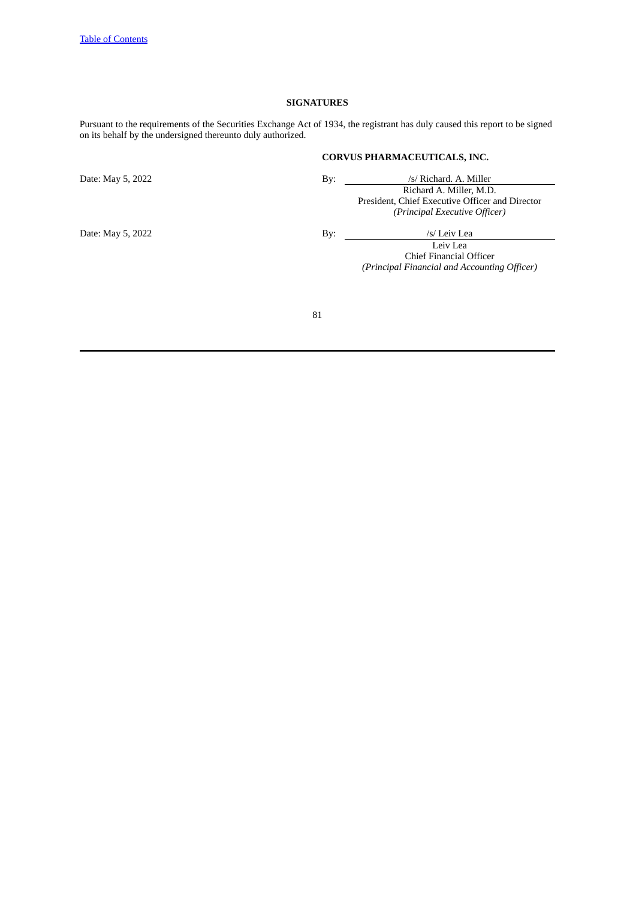# **SIGNATURES**

Pursuant to the requirements of the Securities Exchange Act of 1934, the registrant has duly caused this report to be signed on its behalf by the undersigned thereunto duly authorized.

# **CORVUS PHARMACEUTICALS, INC.**

Date: May 5, 2022 By: /s/ Richard. A. Miller Richard A. Miller, M.D. President, Chief Executive Officer and Director *(Principal Executive Officer)*

Date: May 5, 2022 By: /s/ Leiv Lea

Leiv Lea Chief Financial Officer *(Principal Financial and Accounting Officer)*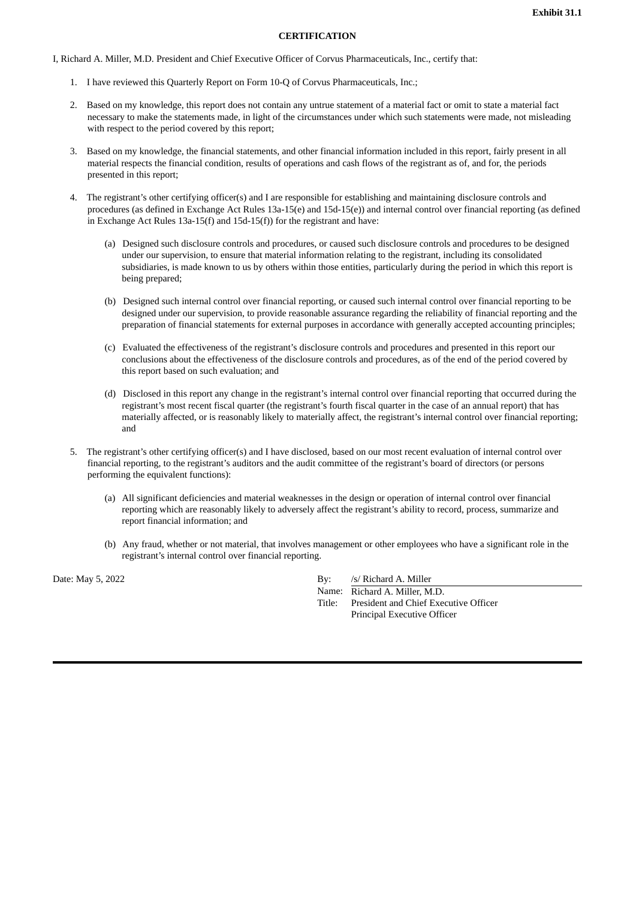# **CERTIFICATION**

<span id="page-81-0"></span>I, Richard A. Miller, M.D. President and Chief Executive Officer of Corvus Pharmaceuticals, Inc., certify that:

- 1. I have reviewed this Quarterly Report on Form 10-Q of Corvus Pharmaceuticals, Inc.;
- 2. Based on my knowledge, this report does not contain any untrue statement of a material fact or omit to state a material fact necessary to make the statements made, in light of the circumstances under which such statements were made, not misleading with respect to the period covered by this report;
- 3. Based on my knowledge, the financial statements, and other financial information included in this report, fairly present in all material respects the financial condition, results of operations and cash flows of the registrant as of, and for, the periods presented in this report;
- 4. The registrant's other certifying officer(s) and I are responsible for establishing and maintaining disclosure controls and procedures (as defined in Exchange Act Rules 13a-15(e) and 15d-15(e)) and internal control over financial reporting (as defined in Exchange Act Rules 13a-15(f) and 15d-15(f)) for the registrant and have:
	- (a) Designed such disclosure controls and procedures, or caused such disclosure controls and procedures to be designed under our supervision, to ensure that material information relating to the registrant, including its consolidated subsidiaries, is made known to us by others within those entities, particularly during the period in which this report is being prepared;
	- (b) Designed such internal control over financial reporting, or caused such internal control over financial reporting to be designed under our supervision, to provide reasonable assurance regarding the reliability of financial reporting and the preparation of financial statements for external purposes in accordance with generally accepted accounting principles;
	- (c) Evaluated the effectiveness of the registrant's disclosure controls and procedures and presented in this report our conclusions about the effectiveness of the disclosure controls and procedures, as of the end of the period covered by this report based on such evaluation; and
	- (d) Disclosed in this report any change in the registrant's internal control over financial reporting that occurred during the registrant's most recent fiscal quarter (the registrant's fourth fiscal quarter in the case of an annual report) that has materially affected, or is reasonably likely to materially affect, the registrant's internal control over financial reporting; and
- 5. The registrant's other certifying officer(s) and I have disclosed, based on our most recent evaluation of internal control over financial reporting, to the registrant's auditors and the audit committee of the registrant's board of directors (or persons performing the equivalent functions):
	- (a) All significant deficiencies and material weaknesses in the design or operation of internal control over financial reporting which are reasonably likely to adversely affect the registrant's ability to record, process, summarize and report financial information; and
	- (b) Any fraud, whether or not material, that involves management or other employees who have a significant role in the registrant's internal control over financial reporting.

Date: May 5, 2022

| Bv:    | /s/ Richard A. Miller                 |
|--------|---------------------------------------|
|        | Name: Richard A. Miller, M.D.         |
| Title: | President and Chief Executive Officer |
|        | Principal Executive Officer           |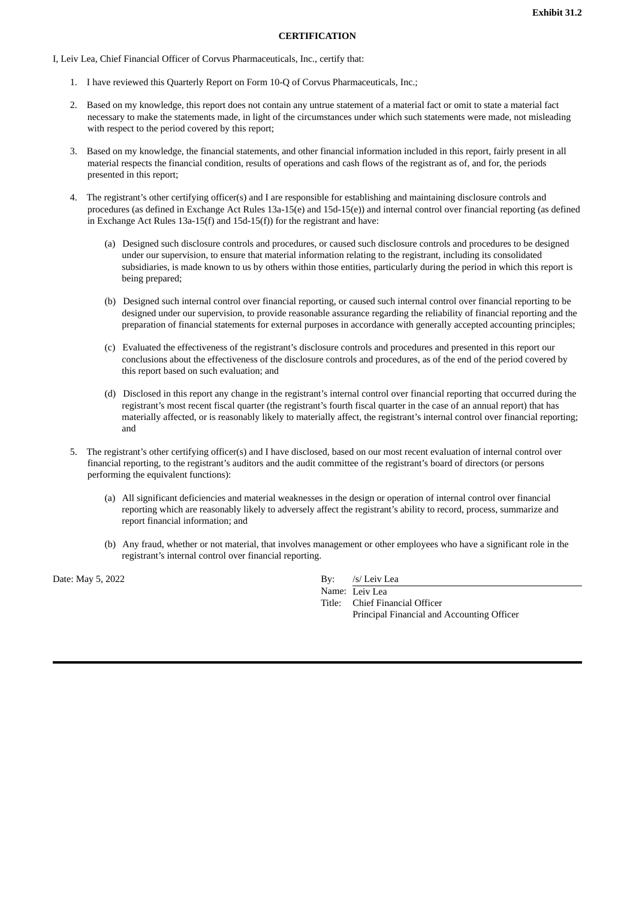# **CERTIFICATION**

<span id="page-82-0"></span>I, Leiv Lea, Chief Financial Officer of Corvus Pharmaceuticals, Inc., certify that:

- 1. I have reviewed this Quarterly Report on Form 10-Q of Corvus Pharmaceuticals, Inc.;
- 2. Based on my knowledge, this report does not contain any untrue statement of a material fact or omit to state a material fact necessary to make the statements made, in light of the circumstances under which such statements were made, not misleading with respect to the period covered by this report;
- 3. Based on my knowledge, the financial statements, and other financial information included in this report, fairly present in all material respects the financial condition, results of operations and cash flows of the registrant as of, and for, the periods presented in this report;
- 4. The registrant's other certifying officer(s) and I are responsible for establishing and maintaining disclosure controls and procedures (as defined in Exchange Act Rules 13a-15(e) and 15d-15(e)) and internal control over financial reporting (as defined in Exchange Act Rules 13a-15(f) and 15d-15(f)) for the registrant and have:
	- (a) Designed such disclosure controls and procedures, or caused such disclosure controls and procedures to be designed under our supervision, to ensure that material information relating to the registrant, including its consolidated subsidiaries, is made known to us by others within those entities, particularly during the period in which this report is being prepared;
	- (b) Designed such internal control over financial reporting, or caused such internal control over financial reporting to be designed under our supervision, to provide reasonable assurance regarding the reliability of financial reporting and the preparation of financial statements for external purposes in accordance with generally accepted accounting principles;
	- (c) Evaluated the effectiveness of the registrant's disclosure controls and procedures and presented in this report our conclusions about the effectiveness of the disclosure controls and procedures, as of the end of the period covered by this report based on such evaluation; and
	- (d) Disclosed in this report any change in the registrant's internal control over financial reporting that occurred during the registrant's most recent fiscal quarter (the registrant's fourth fiscal quarter in the case of an annual report) that has materially affected, or is reasonably likely to materially affect, the registrant's internal control over financial reporting; and
- 5. The registrant's other certifying officer(s) and I have disclosed, based on our most recent evaluation of internal control over financial reporting, to the registrant's auditors and the audit committee of the registrant's board of directors (or persons performing the equivalent functions):
	- (a) All significant deficiencies and material weaknesses in the design or operation of internal control over financial reporting which are reasonably likely to adversely affect the registrant's ability to record, process, summarize and report financial information; and
	- (b) Any fraud, whether or not material, that involves management or other employees who have a significant role in the registrant's internal control over financial reporting.

Date: May 5, 2022

| By: /s/ Leiv Lea                           |
|--------------------------------------------|
| Name: Leiv Lea                             |
| Title: Chief Financial Officer             |
| Principal Financial and Accounting Officer |